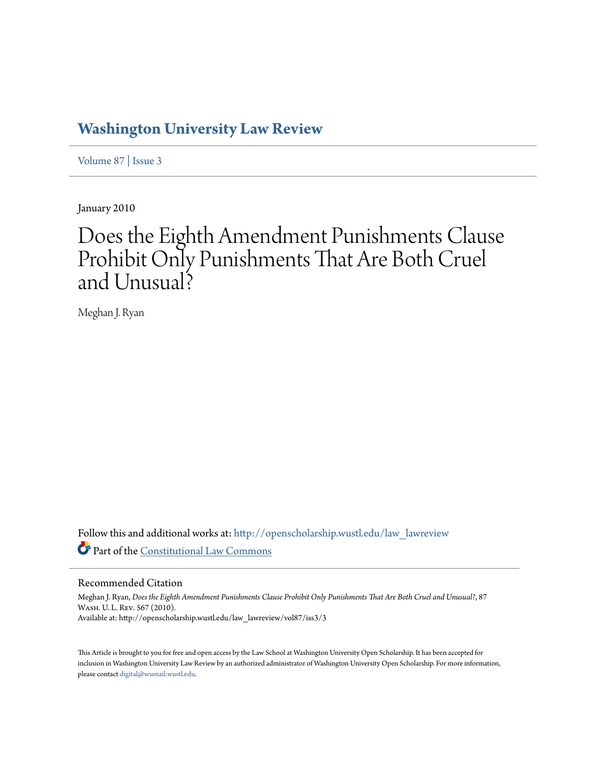# **[Washington University Law Review](http://openscholarship.wustl.edu/law_lawreview?utm_source=openscholarship.wustl.edu%2Flaw_lawreview%2Fvol87%2Fiss3%2F3&utm_medium=PDF&utm_campaign=PDFCoverPages)**

[Volume 87](http://openscholarship.wustl.edu/law_lawreview/vol87?utm_source=openscholarship.wustl.edu%2Flaw_lawreview%2Fvol87%2Fiss3%2F3&utm_medium=PDF&utm_campaign=PDFCoverPages) | [Issue 3](http://openscholarship.wustl.edu/law_lawreview/vol87/iss3?utm_source=openscholarship.wustl.edu%2Flaw_lawreview%2Fvol87%2Fiss3%2F3&utm_medium=PDF&utm_campaign=PDFCoverPages)

January 2010

# Does the Eighth Amendment Punishments Clause Prohibit Only Punishments That Are Both Cruel and Unusual?

Meghan J. Ryan

Follow this and additional works at: [http://openscholarship.wustl.edu/law\\_lawreview](http://openscholarship.wustl.edu/law_lawreview?utm_source=openscholarship.wustl.edu%2Flaw_lawreview%2Fvol87%2Fiss3%2F3&utm_medium=PDF&utm_campaign=PDFCoverPages) Part of the [Constitutional Law Commons](http://network.bepress.com/hgg/discipline/589?utm_source=openscholarship.wustl.edu%2Flaw_lawreview%2Fvol87%2Fiss3%2F3&utm_medium=PDF&utm_campaign=PDFCoverPages)

# Recommended Citation

Meghan J. Ryan, *Does the Eighth Amendment Punishments Clause Prohibit Only Punishments That Are Both Cruel and Unusual?*, 87 Wash. U. L. Rev. 567 (2010). Available at: http://openscholarship.wustl.edu/law\_lawreview/vol87/iss3/3

This Article is brought to you for free and open access by the Law School at Washington University Open Scholarship. It has been accepted for inclusion in Washington University Law Review by an authorized administrator of Washington University Open Scholarship. For more information, please contact [digital@wumail.wustl.edu.](mailto:digital@wumail.wustl.edu)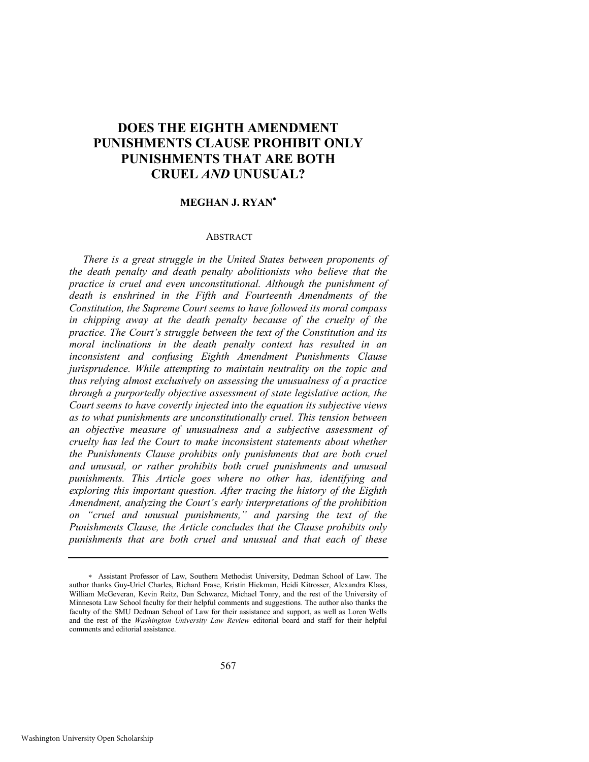# **DOES THE EIGHTH AMENDMENT PUNISHMENTS CLAUSE PROHIBIT ONLY PUNISHMENTS THAT ARE BOTH CRUEL** *AND* **UNUSUAL?**

# **MEGHAN J. RYAN**

#### **ABSTRACT**

*There is a great struggle in the United States between proponents of the death penalty and death penalty abolitionists who believe that the practice is cruel and even unconstitutional. Although the punishment of death is enshrined in the Fifth and Fourteenth Amendments of the Constitution, the Supreme Court seems to have followed its moral compass in chipping away at the death penalty because of the cruelty of the practice. The Court's struggle between the text of the Constitution and its moral inclinations in the death penalty context has resulted in an inconsistent and confusing Eighth Amendment Punishments Clause jurisprudence. While attempting to maintain neutrality on the topic and thus relying almost exclusively on assessing the unusualness of a practice through a purportedly objective assessment of state legislative action, the Court seems to have covertly injected into the equation its subjective views as to what punishments are unconstitutionally cruel. This tension between an objective measure of unusualness and a subjective assessment of cruelty has led the Court to make inconsistent statements about whether the Punishments Clause prohibits only punishments that are both cruel and unusual, or rather prohibits both cruel punishments and unusual punishments. This Article goes where no other has, identifying and exploring this important question. After tracing the history of the Eighth Amendment, analyzing the Court's early interpretations of the prohibition on "cruel and unusual punishments," and parsing the text of the Punishments Clause, the Article concludes that the Clause prohibits only punishments that are both cruel and unusual and that each of these* 

Assistant Professor of Law, Southern Methodist University, Dedman School of Law. The author thanks Guy-Uriel Charles, Richard Frase, Kristin Hickman, Heidi Kitrosser, Alexandra Klass, William McGeveran, Kevin Reitz, Dan Schwarcz, Michael Tonry, and the rest of the University of Minnesota Law School faculty for their helpful comments and suggestions. The author also thanks the faculty of the SMU Dedman School of Law for their assistance and support, as well as Loren Wells and the rest of the *Washington University Law Review* editorial board and staff for their helpful comments and editorial assistance.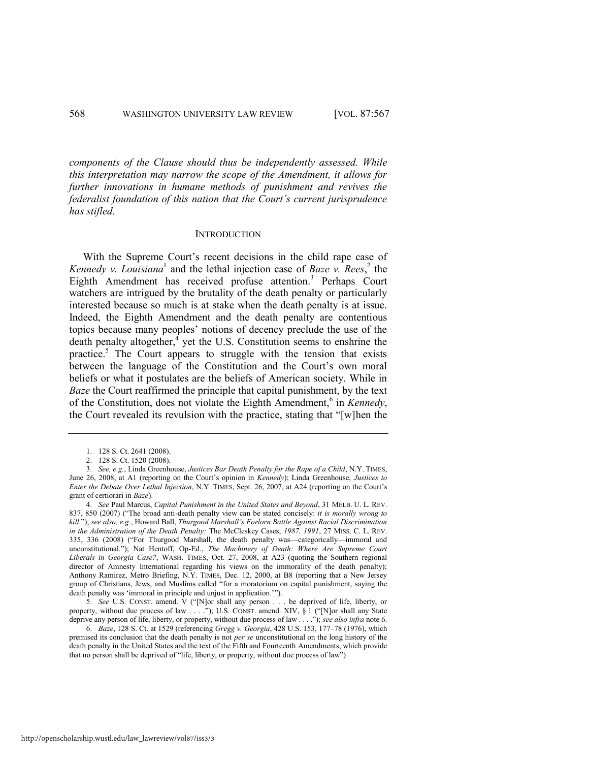*components of the Clause should thus be independently assessed. While this interpretation may narrow the scope of the Amendment, it allows for further innovations in humane methods of punishment and revives the federalist foundation of this nation that the Court's current jurisprudence has stifled.* 

#### <span id="page-2-0"></span>**INTRODUCTION**

With the Supreme Court's recent decisions in the child rape case of *Kennedy v. Louisiana*<sup>1</sup> and the lethal injection case of *Baze v. Rees*,  $^{2}$  the Eighth Amendment has received profuse attention.<sup>3</sup> Perhaps Court watchers are intrigued by the brutality of the death penalty or particularly interested because so much is at stake when the death penalty is at issue. Indeed, the Eighth Amendment and the death penalty are contentious topics because many peoples' notions of decency preclude the use of the death penalty altogether,  $\frac{4}{3}$  yet the U.S. Constitution seems to enshrine the practice.<sup>5</sup> The Court appears to struggle with the tension that exists between the language of the Constitution and the Court's own moral beliefs or what it postulates are the beliefs of American society. While in *Baze* the Court reaffirmed the principle that capital punishment, by the text of the Constitution, does not violate the Eighth Amendment,<sup>6</sup> in *Kennedy*, the Court revealed its revulsion with the practice, stating that "[w]hen the

<sup>1. 128</sup> S. Ct. 2641 (2008).

<sup>2. 128</sup> S. Ct. 1520 (2008).

<sup>3.</sup> *See, e.g.*, Linda Greenhouse, *Justices Bar Death Penalty for the Rape of a Child*, N.Y. TIMES, June 26, 2008, at A1 (reporting on the Court's opinion in *Kennedy*); Linda Greenhouse, *Justices to Enter the Debate Over Lethal Injection*, N.Y. TIMES, Sept. 26, 2007, at A24 (reporting on the Court's grant of certiorari in *Baze*).

<sup>4.</sup> *See* Paul Marcus, *Capital Punishment in the United States and Beyond*, 31 MELB. U. L. REV. 837, 850 (2007) ("The broad anti-death penalty view can be stated concisely: *it is morally wrong to kill*.‖); *see also, e.g.*, Howard Ball, *Thurgood Marshall's Forlorn Battle Against Racial Discrimination in the Administration of the Death Penalty:* The McCleskey Cases, *1987, 1991*, 27 MISS. C. L. REV. 335, 336 (2008) ("For Thurgood Marshall, the death penalty was—categorically—immoral and unconstitutional."); Nat Hentoff, Op-Ed., *The Machinery of Death: Where Are Supreme Court Liberals in Georgia Case?*, WASH. TIMES, Oct. 27, 2008, at A23 (quoting the Southern regional director of Amnesty International regarding his views on the immorality of the death penalty); Anthony Ramirez, Metro Briefing, N.Y. TIMES, Dec. 12, 2000, at B8 (reporting that a New Jersey group of Christians, Jews, and Muslims called "for a moratorium on capital punishment, saying the death penalty was 'immoral in principle and unjust in application.'").

<sup>5.</sup> See U.S. CONST. amend. V ("[N]or shall any person . . . be deprived of life, liberty, or property, without due process of law . . . ."); U.S. CONST. amend. XIV, § 1 ("[N]or shall any State deprive any person of life, liberty, or property, without due process of law . . . ."); *see also infra* note 6.

<sup>6.</sup> *Baze*, 128 S. Ct. at 1529 (referencing *Gregg v. Georgia*, 428 U.S. 153, 177–78 (1976), which premised its conclusion that the death penalty is not *per se* unconstitutional on the long history of the death penalty in the United States and the text of the Fifth and Fourteenth Amendments, which provide that no person shall be deprived of "life, liberty, or property, without due process of law").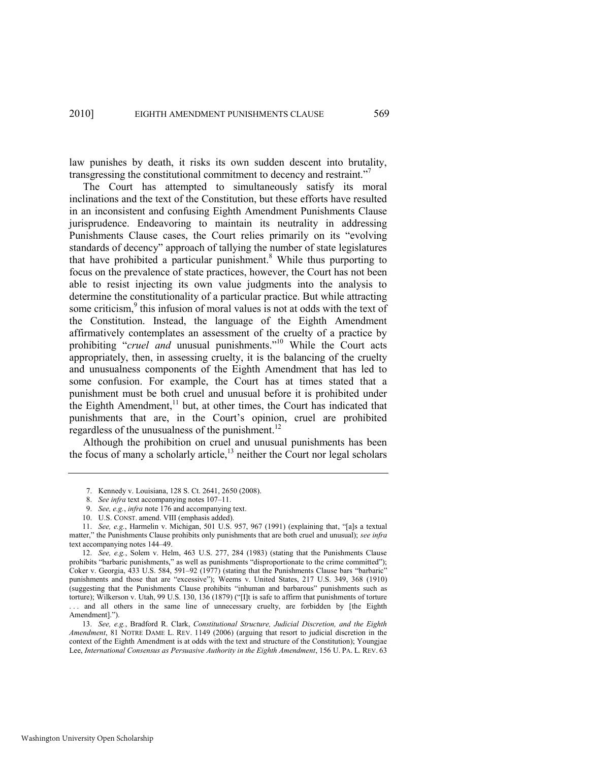law punishes by death, it risks its own sudden descent into brutality, transgressing the constitutional commitment to decency and restraint."<sup>7</sup>

The Court has attempted to simultaneously satisfy its moral inclinations and the text of the Constitution, but these efforts have resulted in an inconsistent and confusing Eighth Amendment Punishments Clause jurisprudence. Endeavoring to maintain its neutrality in addressing Punishments Clause cases, the Court relies primarily on its "evolving" standards of decency" approach of tallying the number of state legislatures that have prohibited a particular punishment.<sup>8</sup> While thus purporting to focus on the prevalence of state practices, however, the Court has not been able to resist injecting its own value judgments into the analysis to determine the constitutionality of a particular practice. But while attracting some criticism, $9$  this infusion of moral values is not at odds with the text of the Constitution. Instead, the language of the Eighth Amendment affirmatively contemplates an assessment of the cruelty of a practice by prohibiting "cruel and unusual punishments."<sup>10</sup> While the Court acts appropriately, then, in assessing cruelty, it is the balancing of the cruelty and unusualness components of the Eighth Amendment that has led to some confusion. For example, the Court has at times stated that a punishment must be both cruel and unusual before it is prohibited under the Eighth Amendment, $11$  but, at other times, the Court has indicated that punishments that are, in the Court's opinion, cruel are prohibited regardless of the unusualness of the punishment.<sup>12</sup>

Although the prohibition on cruel and unusual punishments has been the focus of many a scholarly article, $^{13}$  neither the Court nor legal scholars

<span id="page-3-0"></span><sup>7.</sup> Kennedy v. Louisiana, 128 S. Ct. 2641, 2650 (2008).

<sup>8.</sup> *See infra* text accompanying note[s 107](#page-20-0)–11.

<sup>9.</sup> *See, e.g.*, *infra* not[e 176](#page-31-0) and accompanying text.

<sup>10.</sup> U.S. CONST. amend. VIII (emphasis added).

<sup>11.</sup> *See, e.g.*, Harmelin v. Michigan, 501 U.S. 957, 967 (1991) (explaining that, "[a]s a textual matter," the Punishments Clause prohibits only punishments that are both cruel and unusual); *see infra* text accompanying note[s 144](#page-26-0)–49.

<sup>12.</sup> *See, e.g.*, Solem v. Helm, 463 U.S. 277, 284 (1983) (stating that the Punishments Clause prohibits "barbaric punishments," as well as punishments "disproportionate to the crime committed"); Coker v. Georgia, 433 U.S. 584, 591-92 (1977) (stating that the Punishments Clause bars "barbaric" punishments and those that are "excessive"); Weems v. United States, 217 U.S. 349, 368 (1910) (suggesting that the Punishments Clause prohibits "inhuman and barbarous" punishments such as torture); Wilkerson v. Utah, 99 U.S. 130, 136 (1879) ("[I]t is safe to affirm that punishments of torture ... and all others in the same line of unnecessary cruelty, are forbidden by [the Eighth Amendment].").

<sup>13.</sup> *See, e.g.*, Bradford R. Clark, *Constitutional Structure, Judicial Discretion, and the Eighth Amendment*, 81 NOTRE DAME L. REV. 1149 (2006) (arguing that resort to judicial discretion in the context of the Eighth Amendment is at odds with the text and structure of the Constitution); Youngjae Lee, *International Consensus as Persuasive Authority in the Eighth Amendment*, 156 U. PA. L. REV. 63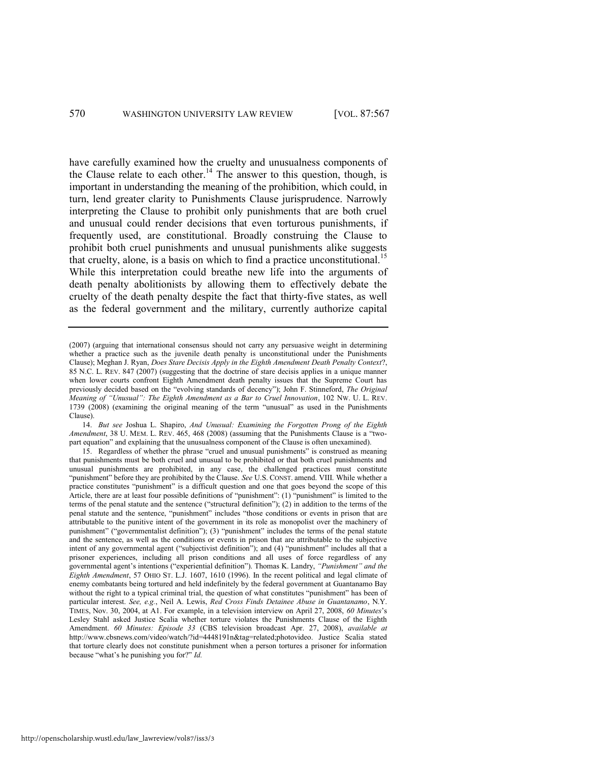<span id="page-4-1"></span>have carefully examined how the cruelty and unusualness components of the Clause relate to each other.<sup>14</sup> The answer to this question, though, is important in understanding the meaning of the prohibition, which could, in turn, lend greater clarity to Punishments Clause jurisprudence. Narrowly interpreting the Clause to prohibit only punishments that are both cruel and unusual could render decisions that even torturous punishments, if frequently used, are constitutional. Broadly construing the Clause to prohibit both cruel punishments and unusual punishments alike suggests that cruelty, alone, is a basis on which to find a practice unconstitutional.<sup>15</sup> While this interpretation could breathe new life into the arguments of death penalty abolitionists by allowing them to effectively debate the cruelty of the death penalty despite the fact that thirty-five states, as well as the federal government and the military, currently authorize capital

14. *But see* Joshua L. Shapiro, *And Unusual: Examining the Forgotten Prong of the Eighth Amendment*, 38 U. MEM. L. REV. 465, 468 (2008) (assuming that the Punishments Clause is a "twopart equation" and explaining that the unusualness component of the Clause is often unexamined).

15. Regardless of whether the phrase "cruel and unusual punishments" is construed as meaning that punishments must be both cruel and unusual to be prohibited or that both cruel punishments and unusual punishments are prohibited, in any case, the challenged practices must constitute ―punishment‖ before they are prohibited by the Clause. *See* U.S. CONST. amend. VIII. While whether a practice constitutes "punishment" is a difficult question and one that goes beyond the scope of this Article, there are at least four possible definitions of "punishment":  $(1)$  "punishment" is limited to the terms of the penal statute and the sentence ("structural definition"); (2) in addition to the terms of the penal statute and the sentence, "punishment" includes "those conditions or events in prison that are attributable to the punitive intent of the government in its role as monopolist over the machinery of punishment" ("governmentalist definition"); (3) "punishment" includes the terms of the penal statute and the sentence, as well as the conditions or events in prison that are attributable to the subjective intent of any governmental agent ("subjectivist definition"); and (4) "punishment" includes all that a prisoner experiences, including all prison conditions and all uses of force regardless of any governmental agent's intentions ("experiential definition"). Thomas K. Landry, "Punishment" and the *Eighth Amendment*, 57 OHIO ST. L.J. 1607, 1610 (1996). In the recent political and legal climate of enemy combatants being tortured and held indefinitely by the federal government at Guantanamo Bay without the right to a typical criminal trial, the question of what constitutes "punishment" has been of particular interest. *See, e.g.*, Neil A. Lewis, *Red Cross Finds Detainee Abuse in Guantanamo*, N.Y. TIMES, Nov. 30, 2004, at A1. For example, in a television interview on April 27, 2008, *60 Minutes*'s Lesley Stahl asked Justice Scalia whether torture violates the Punishments Clause of the Eighth Amendment. *60 Minutes: Episode 33* (CBS television broadcast Apr. 27, 2008), *available at*  http://www.cbsnews.com/video/watch/?id=4448191n&tag=related;photovideo. Justice Scalia stated that torture clearly does not constitute punishment when a person tortures a prisoner for information because "what's he punishing you for?" *Id.* 

<span id="page-4-0"></span><sup>(2007) (</sup>arguing that international consensus should not carry any persuasive weight in determining whether a practice such as the juvenile death penalty is unconstitutional under the Punishments Clause); Meghan J. Ryan, *Does Stare Decisis Apply in the Eighth Amendment Death Penalty Context*?, 85 N.C. L. REV. 847 (2007) (suggesting that the doctrine of stare decisis applies in a unique manner when lower courts confront Eighth Amendment death penalty issues that the Supreme Court has previously decided based on the "evolving standards of decency"); John F. Stinneford, *The Original Meaning of "Unusual": The Eighth Amendment as a Bar to Cruel Innovation*, 102 NW. U. L. REV.  $1739$  ( $2008$ ) (examining the original meaning of the term "unusual" as used in the Punishments Clause).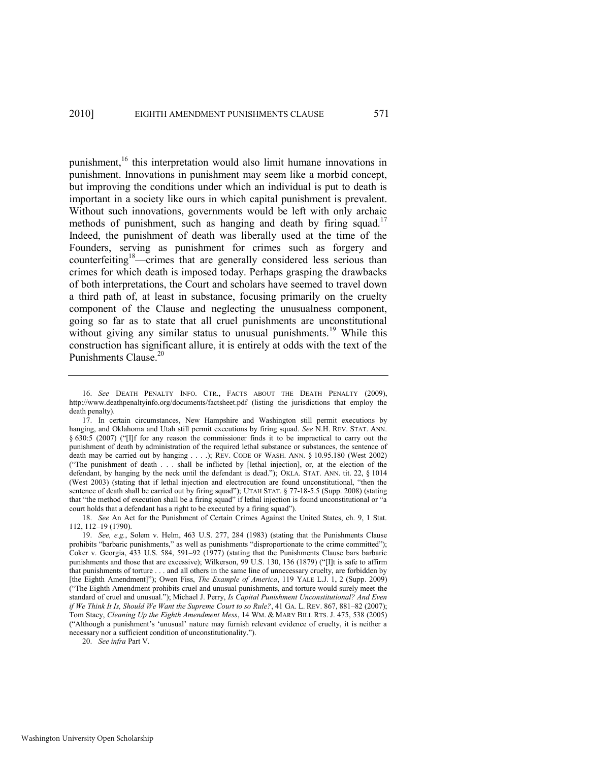<span id="page-5-3"></span><span id="page-5-2"></span><span id="page-5-1"></span>punishment,<sup>16</sup> this interpretation would also limit humane innovations in punishment. Innovations in punishment may seem like a morbid concept, but improving the conditions under which an individual is put to death is important in a society like ours in which capital punishment is prevalent. Without such innovations, governments would be left with only archaic methods of punishment, such as hanging and death by firing squad.<sup>17</sup> Indeed, the punishment of death was liberally used at the time of the Founders, serving as punishment for crimes such as forgery and counterfeiting<sup>18</sup>—crimes that are generally considered less serious than crimes for which death is imposed today. Perhaps grasping the drawbacks of both interpretations, the Court and scholars have seemed to travel down a third path of, at least in substance, focusing primarily on the cruelty component of the Clause and neglecting the unusualness component, going so far as to state that all cruel punishments are unconstitutional without giving any similar status to unusual punishments.<sup>19</sup> While this construction has significant allure, it is entirely at odds with the text of the Punishments Clause.<sup>20</sup>

<span id="page-5-0"></span><sup>16.</sup> *See* DEATH PENALTY INFO. CTR., FACTS ABOUT THE DEATH PENALTY (2009), http://www.deathpenaltyinfo.org/documents/factsheet.pdf (listing the jurisdictions that employ the death penalty).

<sup>17.</sup> In certain circumstances, New Hampshire and Washington still permit executions by hanging, and Oklahoma and Utah still permit executions by firing squad. *See* N.H. REV. STAT. ANN.  $§ 630.5 (2007)$  ("[I]f for any reason the commissioner finds it to be impractical to carry out the punishment of death by administration of the required lethal substance or substances, the sentence of death may be carried out by hanging . . . .); REV. CODE OF WASH. ANN. § 10.95.180 (West 2002) (―The punishment of death . . . shall be inflicted by [lethal injection], or, at the election of the defendant, by hanging by the neck until the defendant is dead."); OKLA. STAT. ANN. tit. 22, § 1014 (West 2003) (stating that if lethal injection and electrocution are found unconstitutional, "then the sentence of death shall be carried out by firing squad"); UTAH STAT. § 77-18-5.5 (Supp. 2008) (stating that "the method of execution shall be a firing squad" if lethal injection is found unconstitutional or "a court holds that a defendant has a right to be executed by a firing squad").

<sup>18.</sup> *See* An Act for the Punishment of Certain Crimes Against the United States, ch. 9, 1 Stat. 112, 112–19 (1790).

<sup>19.</sup> *See, e.g.*, Solem v. Helm, 463 U.S. 277, 284 (1983) (stating that the Punishments Clause prohibits "barbaric punishments," as well as punishments "disproportionate to the crime committed"); Coker v. Georgia, 433 U.S. 584, 591–92 (1977) (stating that the Punishments Clause bars barbaric punishments and those that are excessive); Wilkerson, 99 U.S. 130, 136 (1879) ("Ilt is safe to affirm that punishments of torture . . . and all others in the same line of unnecessary cruelty, are forbidden by [the Eighth Amendment]"); Owen Fiss, *The Example of America*, 119 YALE L.J. 1, 2 (Supp. 2009) (―The Eighth Amendment prohibits cruel and unusual punishments, and torture would surely meet the standard of cruel and unusual."); Michael J. Perry, *Is Capital Punishment Unconstitutional? And Even if We Think It Is, Should We Want the Supreme Court to so Rule?*, 41 GA. L. REV. 867, 881–82 (2007); Tom Stacy, *Cleaning Up the Eighth Amendment Mess*, 14 WM. & MARY BILL RTS. J. 475, 538 (2005) (―Although a punishment's ‗unusual' nature may furnish relevant evidence of cruelty, it is neither a necessary nor a sufficient condition of unconstitutionality.").

<sup>20.</sup> *See infra* Part V.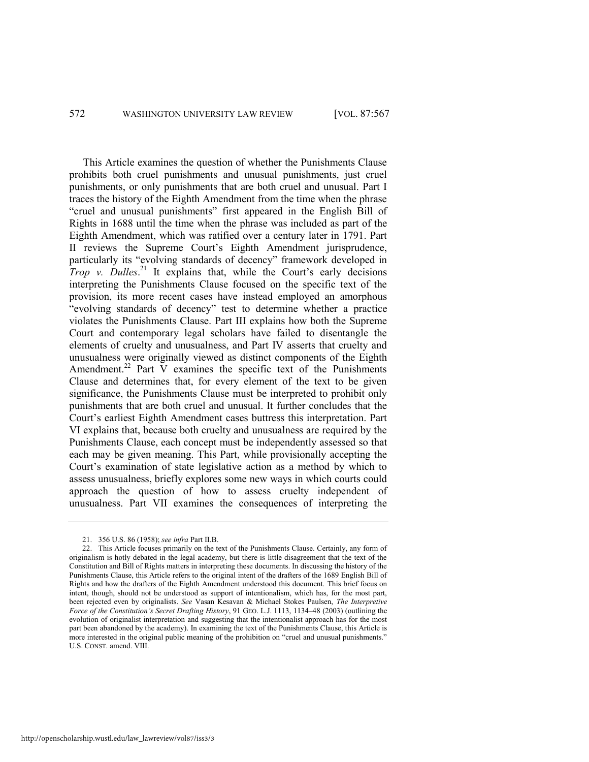# 572 WASHINGTON UNIVERSITY LAW REVIEW [VOL. 87:567

This Article examines the question of whether the Punishments Clause prohibits both cruel punishments and unusual punishments, just cruel punishments, or only punishments that are both cruel and unusual. Part I traces the history of the Eighth Amendment from the time when the phrase "cruel and unusual punishments" first appeared in the English Bill of Rights in 1688 until the time when the phrase was included as part of the Eighth Amendment, which was ratified over a century later in 1791. Part II reviews the Supreme Court's Eighth Amendment jurisprudence, particularly its "evolving standards of decency" framework developed in *Trop v. Dulles.*<sup>21</sup> It explains that, while the Court's early decisions interpreting the Punishments Clause focused on the specific text of the provision, its more recent cases have instead employed an amorphous "evolving standards of decency" test to determine whether a practice violates the Punishments Clause. Part III explains how both the Supreme Court and contemporary legal scholars have failed to disentangle the elements of cruelty and unusualness, and Part IV asserts that cruelty and unusualness were originally viewed as distinct components of the Eighth Amendment.<sup>22</sup> Part V examines the specific text of the Punishments Clause and determines that, for every element of the text to be given significance, the Punishments Clause must be interpreted to prohibit only punishments that are both cruel and unusual. It further concludes that the Court's earliest Eighth Amendment cases buttress this interpretation. Part VI explains that, because both cruelty and unusualness are required by the Punishments Clause, each concept must be independently assessed so that each may be given meaning. This Part, while provisionally accepting the Court's examination of state legislative action as a method by which to assess unusualness, briefly explores some new ways in which courts could approach the question of how to assess cruelty independent of unusualness. Part VII examines the consequences of interpreting the

<span id="page-6-0"></span><sup>21. 356</sup> U.S. 86 (1958); *see infra* Part II.B.

<sup>22.</sup> This Article focuses primarily on the text of the Punishments Clause. Certainly, any form of originalism is hotly debated in the legal academy, but there is little disagreement that the text of the Constitution and Bill of Rights matters in interpreting these documents. In discussing the history of the Punishments Clause, this Article refers to the original intent of the drafters of the 1689 English Bill of Rights and how the drafters of the Eighth Amendment understood this document. This brief focus on intent, though, should not be understood as support of intentionalism, which has, for the most part, been rejected even by originalists. *See* Vasan Kesavan & Michael Stokes Paulsen, *The Interpretive Force of the Constitution's Secret Drafting History*, 91 GEO. L.J. 1113, 1134–48 (2003) (outlining the evolution of originalist interpretation and suggesting that the intentionalist approach has for the most part been abandoned by the academy). In examining the text of the Punishments Clause, this Article is more interested in the original public meaning of the prohibition on "cruel and unusual punishments." U.S. CONST. amend. VIII.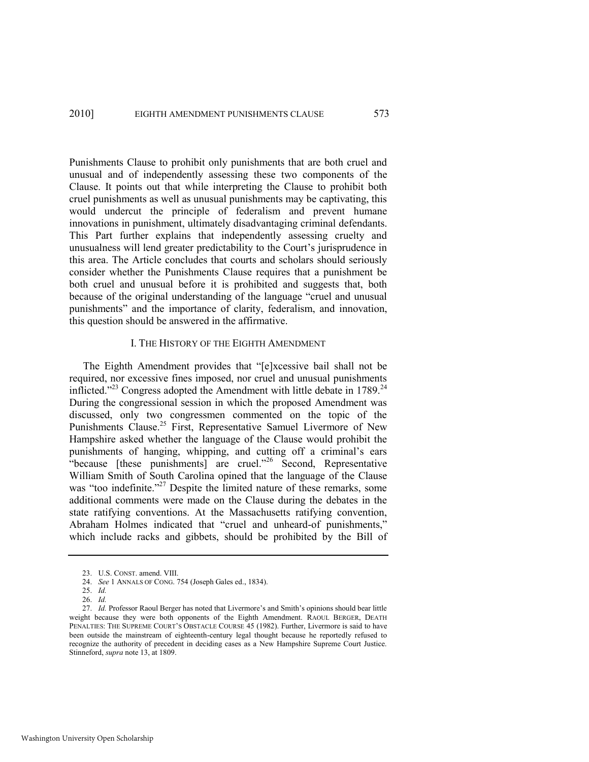Punishments Clause to prohibit only punishments that are both cruel and unusual and of independently assessing these two components of the Clause. It points out that while interpreting the Clause to prohibit both cruel punishments as well as unusual punishments may be captivating, this would undercut the principle of federalism and prevent humane innovations in punishment, ultimately disadvantaging criminal defendants. This Part further explains that independently assessing cruelty and unusualness will lend greater predictability to the Court's jurisprudence in this area. The Article concludes that courts and scholars should seriously consider whether the Punishments Clause requires that a punishment be both cruel and unusual before it is prohibited and suggests that, both because of the original understanding of the language "cruel and unusual punishments" and the importance of clarity, federalism, and innovation, this question should be answered in the affirmative.

# <span id="page-7-1"></span><span id="page-7-0"></span>I. THE HISTORY OF THE EIGHTH AMENDMENT

The Eighth Amendment provides that "[e]xcessive bail shall not be required, nor excessive fines imposed, nor cruel and unusual punishments inflicted."<sup>23</sup> Congress adopted the Amendment with little debate in 1789.<sup>24</sup> During the congressional session in which the proposed Amendment was discussed, only two congressmen commented on the topic of the Punishments Clause.<sup>25</sup> First, Representative Samuel Livermore of New Hampshire asked whether the language of the Clause would prohibit the punishments of hanging, whipping, and cutting off a criminal's ears  $e^{i\theta}$  (these punishments) are cruel.<sup>26</sup> Second, Representative William Smith of South Carolina opined that the language of the Clause was "too indefinite."<sup>27</sup> Despite the limited nature of these remarks, some additional comments were made on the Clause during the debates in the state ratifying conventions. At the Massachusetts ratifying convention, Abraham Holmes indicated that "cruel and unheard-of punishments," which include racks and gibbets, should be prohibited by the Bill of

<sup>23.</sup> U.S. CONST. amend. VIII.

<sup>24.</sup> *See* 1 ANNALS OF CONG. 754 (Joseph Gales ed., 1834).

<sup>25.</sup> *Id.*

<sup>26.</sup> *Id.*

<sup>27.</sup> *Id.* Professor Raoul Berger has noted that Livermore's and Smith's opinions should bear little weight because they were both opponents of the Eighth Amendment. RAOUL BERGER, DEATH PENALTIES: THE SUPREME COURT'S OBSTACLE COURSE 45 (1982). Further, Livermore is said to have been outside the mainstream of eighteenth-century legal thought because he reportedly refused to recognize the authority of precedent in deciding cases as a New Hampshire Supreme Court Justice. Stinneford, *supra* note [13,](#page-3-0) at 1809.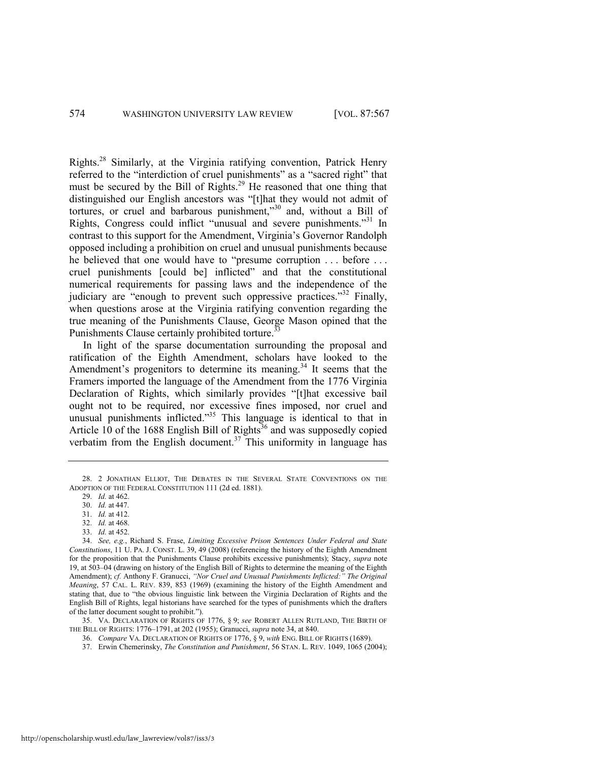Rights.<sup>28</sup> Similarly, at the Virginia ratifying convention, Patrick Henry referred to the "interdiction of cruel punishments" as a "sacred right" that must be secured by the Bill of Rights.<sup>29</sup> He reasoned that one thing that distinguished our English ancestors was "[t]hat they would not admit of tortures, or cruel and barbarous punishment,"<sup>30</sup> and, without a Bill of Rights, Congress could inflict "unusual and severe punishments."<sup>31</sup> In contrast to this support for the Amendment, Virginia's Governor Randolph opposed including a prohibition on cruel and unusual punishments because he believed that one would have to "presume corruption . . . before . . . cruel punishments [could be] inflicted" and that the constitutional numerical requirements for passing laws and the independence of the judiciary are "enough to prevent such oppressive practices."<sup>32</sup> Finally, when questions arose at the Virginia ratifying convention regarding the true meaning of the Punishments Clause, George Mason opined that the Punishments Clause certainly prohibited torture.<sup>3</sup>

<span id="page-8-3"></span><span id="page-8-0"></span>In light of the sparse documentation surrounding the proposal and ratification of the Eighth Amendment, scholars have looked to the Amendment's progenitors to determine its meaning.<sup>34</sup> It seems that the Framers imported the language of the Amendment from the 1776 Virginia Declaration of Rights, which similarly provides "[t]hat excessive bail ought not to be required, nor excessive fines imposed, nor cruel and unusual punishments inflicted."<sup>35</sup> This language is identical to that in Article 10 of the 1688 English Bill of Rights<sup>36</sup> and was supposedly copied verbatim from the English document.<sup>37</sup> This uniformity in language has

31. *Id.* at 412.

33. *Id.* at 452.

35. VA. DECLARATION OF RIGHTS OF 1776, § 9; *see* ROBERT ALLEN RUTLAND, THE BIRTH OF THE BILL OF RIGHTS: 1776–1791, at 202 (1955); Granucci, *supra* not[e 34,](#page-8-0) at 840.

37. Erwin Chemerinsky, *The Constitution and Punishment*, 56 STAN. L. REV. 1049, 1065 (2004);

<sup>28. 2</sup> JONATHAN ELLIOT, THE DEBATES IN THE SEVERAL STATE CONVENTIONS ON THE ADOPTION OF THE FEDERAL CONSTITUTION 111 (2d ed. 1881).

<span id="page-8-2"></span><span id="page-8-1"></span><sup>29.</sup> *Id.* at 462.

<sup>30.</sup> *Id.* at 447.

<sup>32.</sup> *Id.* at 468.

<sup>34.</sup> *See, e.g.*, Richard S. Frase, *Limiting Excessive Prison Sentences Under Federal and State Constitutions*, 11 U. PA. J. CONST. L. 39, 49 (2008) (referencing the history of the Eighth Amendment for the proposition that the Punishments Clause prohibits excessive punishments); Stacy, *supra* note [19,](#page-5-0) at 503–04 (drawing on history of the English Bill of Rights to determine the meaning of the Eighth Amendment); *cf.* Anthony F. Granucci, *"Nor Cruel and Unusual Punishments Inflicted:" The Original Meaning*, 57 CAL. L. REV. 839, 853 (1969) (examining the history of the Eighth Amendment and stating that, due to "the obvious linguistic link between the Virginia Declaration of Rights and the English Bill of Rights, legal historians have searched for the types of punishments which the drafters of the latter document sought to prohibit.").

<sup>36.</sup> *Compare* VA. DECLARATION OF RIGHTS OF 1776, § 9, *with* ENG. BILL OF RIGHTS (1689).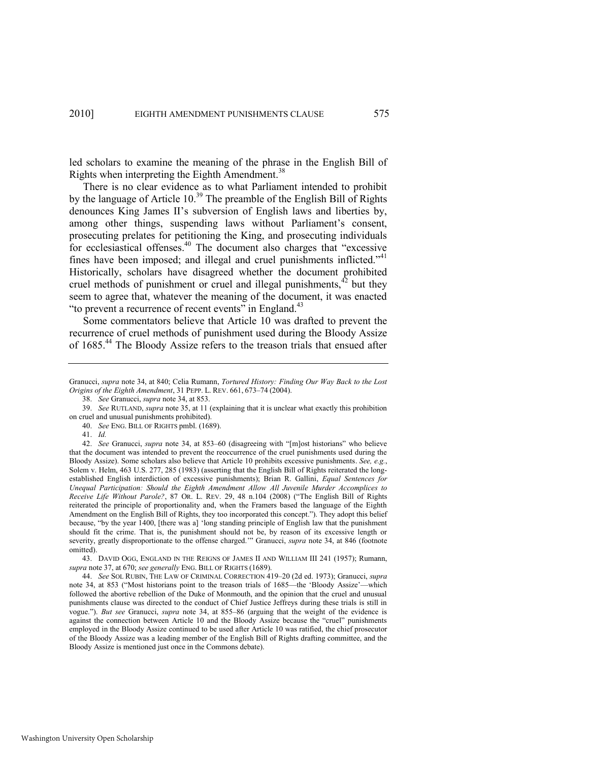led scholars to examine the meaning of the phrase in the English Bill of Rights when interpreting the Eighth Amendment.<sup>38</sup>

<span id="page-9-1"></span>There is no clear evidence as to what Parliament intended to prohibit by the language of Article 10.<sup>39</sup> The preamble of the English Bill of Rights denounces King James II's subversion of English laws and liberties by, among other things, suspending laws without Parliament's consent, prosecuting prelates for petitioning the King, and prosecuting individuals for ecclesiastical offenses.<sup>40</sup> The document also charges that "excessive fines have been imposed; and illegal and cruel punishments inflicted. $14$ <sup>1</sup> Historically, scholars have disagreed whether the document prohibited cruel methods of punishment or cruel and illegal punishments,  $42$  but they seem to agree that, whatever the meaning of the document, it was enacted "to prevent a recurrence of recent events" in England. $43$ 

<span id="page-9-2"></span><span id="page-9-0"></span>Some commentators believe that Article 10 was drafted to prevent the recurrence of cruel methods of punishment used during the Bloody Assize of 1685.<sup>44</sup> The Bloody Assize refers to the treason trials that ensued after

Granucci, *supra* not[e 34,](#page-8-0) at 840; Celia Rumann, *Tortured History: Finding Our Way Back to the Lost Origins of the Eighth Amendment*, 31 PEPP. L. REV. 661, 673–74 (2004).

<sup>38.</sup> *See* Granucci, *supra* not[e 34,](#page-8-0) at 853.

<sup>39.</sup> *See* RUTLAND, *supra* note [35,](#page-8-1) at 11 (explaining that it is unclear what exactly this prohibition on cruel and unusual punishments prohibited).

<sup>40.</sup> *See* ENG. BILL OF RIGHTS pmbl. (1689).

<sup>41.</sup> *Id.* 

<sup>42.</sup> *See Granucci, supra note [34,](#page-8-0) at 853-60 (disagreeing with "[m]ost historians" who believe* that the document was intended to prevent the reoccurrence of the cruel punishments used during the Bloody Assize). Some scholars also believe that Article 10 prohibits excessive punishments. *See, e.g.*, Solem v. Helm, 463 U.S. 277, 285 (1983) (asserting that the English Bill of Rights reiterated the longestablished English interdiction of excessive punishments); Brian R. Gallini, *Equal Sentences for Unequal Participation: Should the Eighth Amendment Allow All Juvenile Murder Accomplices to Receive Life Without Parole?*, 87 OR. L. REV. 29, 48 n.104 (2008) ("The English Bill of Rights reiterated the principle of proportionality and, when the Framers based the language of the Eighth Amendment on the English Bill of Rights, they too incorporated this concept."). They adopt this belief because, "by the year 1400, [there was a] 'long standing principle of English law that the punishment should fit the crime. That is, the punishment should not be, by reason of its excessive length or severity, greatly disproportionate to the offense charged.'" Granucci, *supra* note [34,](#page-8-0) at 846 (footnote omitted).

<sup>43.</sup> DAVID OGG, ENGLAND IN THE REIGNS OF JAMES II AND WILLIAM III 241 (1957); Rumann, *supra* not[e 37,](#page-8-2) at 670; *see generally* ENG. BILL OF RIGHTS (1689).

<sup>44.</sup> *See* SOL RUBIN, THE LAW OF CRIMINAL CORRECTION 419–20 (2d ed. 1973); Granucci, *supra*  note [34](#page-8-0), at 853 ("Most historians point to the treason trials of 1685—the 'Bloody Assize'—which followed the abortive rebellion of the Duke of Monmouth, and the opinion that the cruel and unusual punishments clause was directed to the conduct of Chief Justice Jeffreys during these trials is still in vogue.‖). *But see* Granucci, *supra* note [34,](#page-8-0) at 855–86 (arguing that the weight of the evidence is against the connection between Article 10 and the Bloody Assize because the "cruel" punishments employed in the Bloody Assize continued to be used after Article 10 was ratified, the chief prosecutor of the Bloody Assize was a leading member of the English Bill of Rights drafting committee, and the Bloody Assize is mentioned just once in the Commons debate).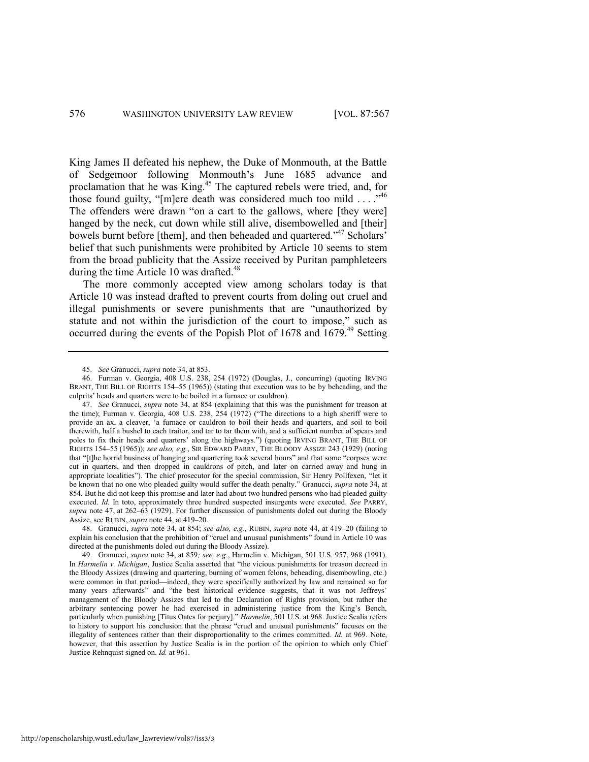King James II defeated his nephew, the Duke of Monmouth, at the Battle of Sedgemoor following Monmouth's June 1685 advance and proclamation that he was King.<sup>45</sup> The captured rebels were tried, and, for those found guilty, "[m]ere death was considered much too mild  $\dots$ ."<sup>46</sup> The offenders were drawn "on a cart to the gallows, where [they were] hanged by the neck, cut down while still alive, disembowelled and [their] bowels burnt before [them], and then beheaded and quartered."<sup>47</sup> Scholars' belief that such punishments were prohibited by Article 10 seems to stem from the broad publicity that the Assize received by Puritan pamphleteers during the time Article 10 was drafted.<sup>48</sup>

<span id="page-10-0"></span>The more commonly accepted view among scholars today is that Article 10 was instead drafted to prevent courts from doling out cruel and illegal punishments or severe punishments that are "unauthorized by statute and not within the jurisdiction of the court to impose," such as occurred during the events of the Popish Plot of 1678 and 1679.<sup>49</sup> Setting

<sup>45.</sup> *See* Granucci, *supra* not[e 34,](#page-8-0) at 853.

<sup>46.</sup> Furman v. Georgia, 408 U.S. 238, 254 (1972) (Douglas, J., concurring) (quoting IRVING BRANT, THE BILL OF RIGHTS 154–55 (1965)) (stating that execution was to be by beheading, and the culprits' heads and quarters were to be boiled in a furnace or cauldron).

<sup>47.</sup> *See* Granucci, *supra* note [34,](#page-8-0) at 854 (explaining that this was the punishment for treason at the time); Furman v. Georgia, 408 U.S. 238, 254 (1972) ("The directions to a high sheriff were to provide an ax, a cleaver, ‗a furnace or cauldron to boil their heads and quarters, and soil to boil therewith, half a bushel to each traitor, and tar to tar them with, and a sufficient number of spears and poles to fix their heads and quarters' along the highways.‖) (quoting IRVING BRANT, THE BILL OF RIGHTS 154–55 (1965)); *see also, e.g.*, SIR EDWARD PARRY, THE BLOODY ASSIZE 243 (1929) (noting that "[t]he horrid business of hanging and quartering took several hours" and that some "corpses were cut in quarters, and then dropped in cauldrons of pitch, and later on carried away and hung in appropriate localities"). The chief prosecutor for the special commission, Sir Henry Pollfexen, "let it be known that no one who pleaded guilty would suffer the death penalty." Granucci, *supra* not[e 34,](#page-8-0) at 854*.* But he did not keep this promise and later had about two hundred persons who had pleaded guilty executed. *Id.* In toto, approximately three hundred suspected insurgents were executed. *See* PARRY, *supra* note [47,](#page-10-0) at 262–63 (1929). For further discussion of punishments doled out during the Bloody Assize, see RUBIN, *supra* note [44,](#page-9-0) at 419–20.

<sup>48.</sup> Granucci, *supra* not[e 34,](#page-8-0) at 854; *see also, e.g.*, RUBIN, *supra* note [44,](#page-9-0) at 419–20 (failing to explain his conclusion that the prohibition of "cruel and unusual punishments" found in Article 10 was directed at the punishments doled out during the Bloody Assize).

<sup>49.</sup> Granucci, *supra* note [34,](#page-8-0) at 859*; see, e.g.*, Harmelin v. Michigan, 501 U.S. 957, 968 (1991). In *Harmelin v. Michigan*, Justice Scalia asserted that "the vicious punishments for treason decreed in the Bloody Assizes (drawing and quartering, burning of women felons, beheading, disembowling, etc.) were common in that period—indeed, they were specifically authorized by law and remained so for many years afterwards" and "the best historical evidence suggests, that it was not Jeffreys' management of the Bloody Assizes that led to the Declaration of Rights provision, but rather the arbitrary sentencing power he had exercised in administering justice from the King's Bench, particularly when punishing [Titus Oates for perjury]." *Harmelin*, 501 U.S. at 968. Justice Scalia refers to history to support his conclusion that the phrase "cruel and unusual punishments" focuses on the illegality of sentences rather than their disproportionality to the crimes committed. *Id.* at 969. Note, however, that this assertion by Justice Scalia is in the portion of the opinion to which only Chief Justice Rehnquist signed on. *Id.* at 961.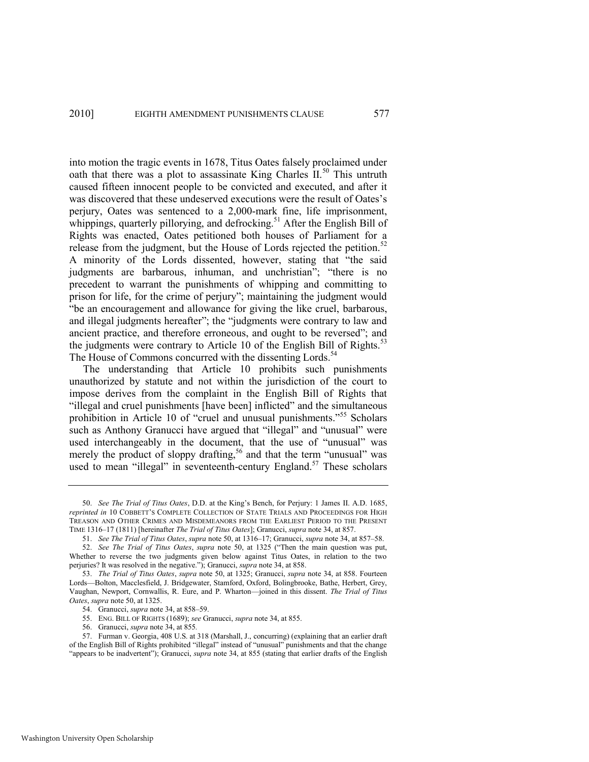<span id="page-11-1"></span><span id="page-11-0"></span>into motion the tragic events in 1678, Titus Oates falsely proclaimed under oath that there was a plot to assassinate King Charles  $II$ <sup>50</sup>. This untruth caused fifteen innocent people to be convicted and executed, and after it was discovered that these undeserved executions were the result of Oates's perjury, Oates was sentenced to a 2,000-mark fine, life imprisonment, whippings, quarterly pillorying, and defrocking.<sup>51</sup> After the English Bill of Rights was enacted, Oates petitioned both houses of Parliament for a release from the judgment, but the House of Lords rejected the petition.<sup>52</sup> A minority of the Lords dissented, however, stating that "the said judgments are barbarous, inhuman, and unchristian"; "there is no precedent to warrant the punishments of whipping and committing to prison for life, for the crime of perjury"; maintaining the judgment would ―be an encouragement and allowance for giving the like cruel, barbarous, and illegal judgments hereafter"; the "judgments were contrary to law and ancient practice, and therefore erroneous, and ought to be reversed"; and the judgments were contrary to Article 10 of the English Bill of Rights.<sup>53</sup> The House of Commons concurred with the dissenting Lords.<sup>54</sup>

<span id="page-11-4"></span><span id="page-11-2"></span>The understanding that Article 10 prohibits such punishments unauthorized by statute and not within the jurisdiction of the court to impose derives from the complaint in the English Bill of Rights that "illegal and cruel punishments [have been] inflicted" and the simultaneous prohibition in Article 10 of "cruel and unusual punishments."<sup>55</sup> Scholars such as Anthony Granucci have argued that "illegal" and "unusual" were used interchangeably in the document, that the use of "unusual" was merely the product of sloppy drafting,<sup>56</sup> and that the term "unusual" was used to mean "illegal" in seventeenth-century England.<sup>57</sup> These scholars

<span id="page-11-3"></span><sup>50.</sup> *See The Trial of Titus Oates*, D.D. at the King's Bench, for Perjury: 1 James II. A.D. 1685, *reprinted in* 10 COBBETT'S COMPLETE COLLECTION OF STATE TRIALS AND PROCEEDINGS FOR HIGH TREASON AND OTHER CRIMES AND MISDEMEANORS FROM THE EARLIEST PERIOD TO THE PRESENT TIME 1316–17 (1811) [hereinafter *The Trial of Titus Oates*]; Granucci, *supra* not[e 34,](#page-8-0) at 857.

<span id="page-11-5"></span><sup>51.</sup> *See The Trial of Titus Oates*, *supra* not[e 50,](#page-11-0) at 1316–17; Granucci, *supra* not[e 34,](#page-8-0) at 857–58.

<sup>52.</sup> *See The Trial of Titus Oates, supra* note [50](#page-11-0), at 1325 ("Then the main question was put, Whether to reverse the two judgments given below against Titus Oates, in relation to the two perjuries? It was resolved in the negative."); Granucci, *supra* not[e 34,](#page-8-0) at 858.

<sup>53.</sup> *The Trial of Titus Oates*, *supra* not[e 50,](#page-11-0) at 1325; Granucci, *supra* note 34, at 858. Fourteen Lords—Bolton, Macclesfield, J. Bridgewater, Stamford, Oxford, Bolingbrooke, Bathe, Herbert, Grey, Vaughan, Newport, Cornwallis, R. Eure, and P. Wharton—joined in this dissent. *The Trial of Titus Oates*, *supra* not[e 50,](#page-11-0) at 1325.

<sup>54.</sup> Granucci, *supra* not[e 34,](#page-8-0) at 858–59.

<sup>55.</sup> ENG. BILL OF RIGHTS (1689); *see* Granucci, *supra* not[e 34,](#page-8-0) at 855.

<sup>56.</sup> Granucci, *supra* not[e 34,](#page-8-0) at 855*.*

<sup>57.</sup> Furman v. Georgia, 408 U.S. at 318 (Marshall, J., concurring) (explaining that an earlier draft of the English Bill of Rights prohibited "illegal" instead of "unusual" punishments and that the change "appears to be inadvertent"); Granucci, *supra* note [34,](#page-8-0) at 855 (stating that earlier drafts of the English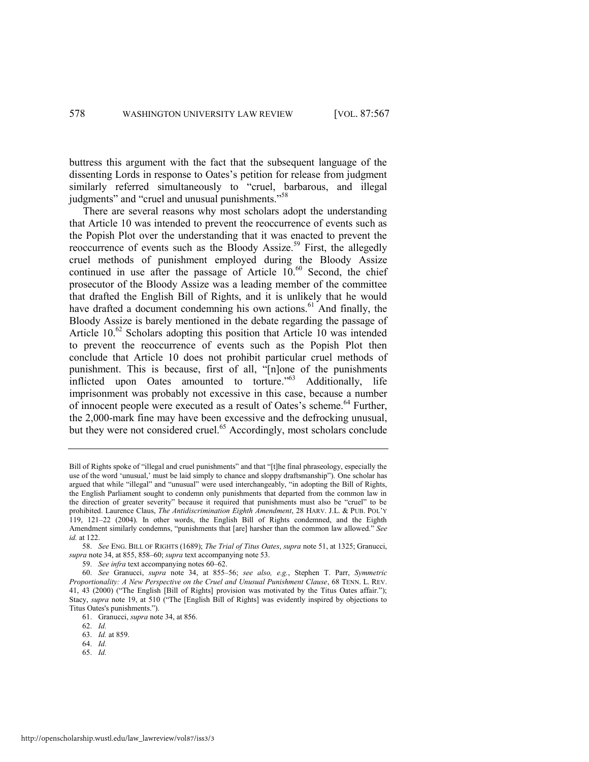buttress this argument with the fact that the subsequent language of the dissenting Lords in response to Oates's petition for release from judgment similarly referred simultaneously to "cruel, barbarous, and illegal judgments" and "cruel and unusual punishments."<sup>58</sup>

<span id="page-12-2"></span><span id="page-12-1"></span><span id="page-12-0"></span>There are several reasons why most scholars adopt the understanding that Article 10 was intended to prevent the reoccurrence of events such as the Popish Plot over the understanding that it was enacted to prevent the reoccurrence of events such as the Bloody Assize.<sup>59</sup> First, the allegedly cruel methods of punishment employed during the Bloody Assize continued in use after the passage of Article  $10^{60}$  Second, the chief prosecutor of the Bloody Assize was a leading member of the committee that drafted the English Bill of Rights, and it is unlikely that he would have drafted a document condemning his own actions.<sup>61</sup> And finally, the Bloody Assize is barely mentioned in the debate regarding the passage of Article 10.<sup>62</sup> Scholars adopting this position that Article 10 was intended to prevent the reoccurrence of events such as the Popish Plot then conclude that Article 10 does not prohibit particular cruel methods of punishment. This is because, first of all, "[n]one of the punishments inflicted upon Oates amounted to torture."<sup>63</sup> Additionally, life imprisonment was probably not excessive in this case, because a number of innocent people were executed as a result of Oates's scheme.<sup>64</sup> Further, the 2,000-mark fine may have been excessive and the defrocking unusual, but they were not considered cruel.<sup>65</sup> Accordingly, most scholars conclude

- 63. *Id.* at 859.
- 64. *Id.*
- 65. *Id.*

Bill of Rights spoke of "illegal and cruel punishments" and that "[t]he final phraseology, especially the use of the word 'unusual,' must be laid simply to chance and sloppy draftsmanship"). One scholar has argued that while "illegal" and "unusual" were used interchangeably, "in adopting the Bill of Rights, the English Parliament sought to condemn only punishments that departed from the common law in the direction of greater severity" because it required that punishments must also be "cruel" to be prohibited. Laurence Claus, *The Antidiscrimination Eighth Amendment*, 28 HARV. J.L. & PUB. POL'Y 119, 121–22 (2004). In other words, the English Bill of Rights condemned, and the Eighth Amendment similarly condemns, "punishments that [are] harsher than the common law allowed." See *id.* at 122.

<sup>58.</sup> *See* ENG. BILL OF RIGHTS (1689); *The Trial of Titus Oates*, *supra* not[e 51,](#page-11-1) at 1325; Granucci, *supra* not[e 34,](#page-8-0) at 855, 858–60; *supra* text accompanying not[e 53.](#page-11-2) 

<sup>59.</sup> *See infra* text accompanying note[s 60](#page-12-0)–[62.](#page-12-1) 

<sup>60.</sup> *See* Granucci, *supra* note [34,](#page-8-0) at 855–56; *see also, e.g.*, Stephen T. Parr, *Symmetric Proportionality: A New Perspective on the Cruel and Unusual Punishment Clause*, 68 TENN. L. REV. 41, 43 (2000) ("The English [Bill of Rights] provision was motivated by the Titus Oates affair."); Stacy, *supra* note [19](#page-5-0), at 510 ("The [English Bill of Rights] was evidently inspired by objections to Titus Oates's punishments.").

<sup>61.</sup> Granucci, *supra* not[e 34,](#page-8-0) at 856.

<sup>62.</sup> *Id.*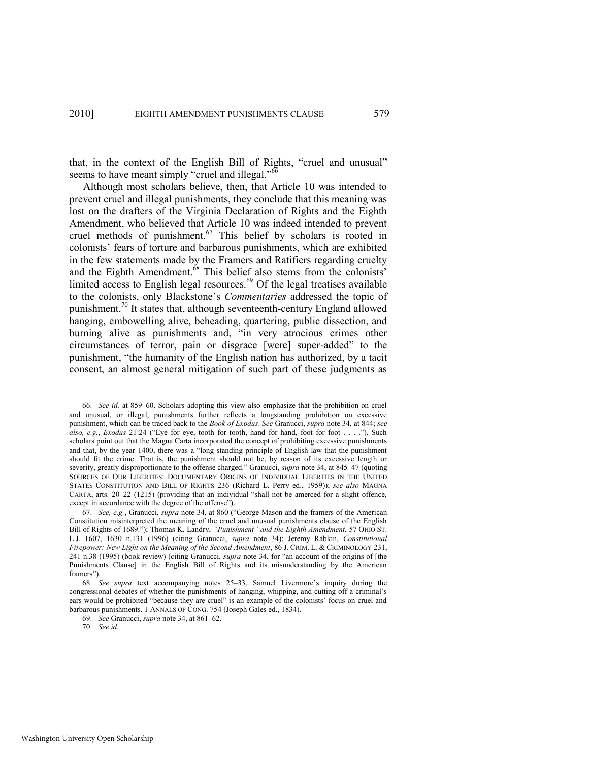that, in the context of the English Bill of Rights, "cruel and unusual" seems to have meant simply "cruel and illegal." $66$ 

<span id="page-13-0"></span>Although most scholars believe, then, that Article 10 was intended to prevent cruel and illegal punishments, they conclude that this meaning was lost on the drafters of the Virginia Declaration of Rights and the Eighth Amendment, who believed that Article 10 was indeed intended to prevent cruel methods of punishment.<sup>67</sup> This belief by scholars is rooted in colonists' fears of torture and barbarous punishments, which are exhibited in the few statements made by the Framers and Ratifiers regarding cruelty and the Eighth Amendment.<sup>68</sup> This belief also stems from the colonists' limited access to English legal resources.<sup>69</sup> Of the legal treatises available to the colonists, only Blackstone's *Commentaries* addressed the topic of punishment.<sup>70</sup> It states that, although seventeenth-century England allowed hanging, embowelling alive, beheading, quartering, public dissection, and burning alive as punishments and, "in very atrocious crimes other circumstances of terror, pain or disgrace [were] super-added" to the punishment, "the humanity of the English nation has authorized, by a tacit consent, an almost general mitigation of such part of these judgments as

<sup>66.</sup> *See id.* at 859–60. Scholars adopting this view also emphasize that the prohibition on cruel and unusual, or illegal, punishments further reflects a longstanding prohibition on excessive punishment, which can be traced back to the *Book of Exodus*. *See* Granucci, *supra* not[e 34,](#page-8-0) at 844; *see also, e.g., Exodus* 21:24 ("Eye for eye, tooth for tooth, hand for hand, foot for foot . . . ."). Such scholars point out that the Magna Carta incorporated the concept of prohibiting excessive punishments and that, by the year 1400, there was a "long standing principle of English law that the punishment should fit the crime. That is, the punishment should not be, by reason of its excessive length or severity, greatly disproportionate to the offense charged." Granucci, *supra* not[e 34,](#page-8-0) at 845–47 (quoting SOURCES OF OUR LIBERTIES: DOCUMENTARY ORIGINS OF INDIVIDUAL LIBERTIES IN THE UNITED STATES CONSTITUTION AND BILL OF RIGHTS 236 (Richard L. Perry ed., 1959)); *see also* MAGNA CARTA, arts.  $20-22$  (1215) (providing that an individual "shall not be amerced for a slight offence, except in accordance with the degree of the offense").

<sup>67.</sup> *See, e.g.*, Granucci, *supra* not[e 34](#page-8-0), at 860 ("George Mason and the framers of the American Constitution misinterpreted the meaning of the cruel and unusual punishments clause of the English Bill of Rights of 1689.‖); Thomas K. Landry, *"Punishment" and the Eighth Amendment*, 57 OHIO ST. L.J. 1607, 1630 n.131 (1996) (citing Granucci, *supra* note [34\)](#page-8-0); Jeremy Rabkin, *Constitutional Firepower: New Light on the Meaning of the Second Amendment*, 86 J. CRIM. L. & CRIMINOLOGY 231, 241 n.38 (1995) (book review) (citing Granucci, *supra* note [34,](#page-8-0) for "an account of the origins of [the Punishments Clause] in the English Bill of Rights and its misunderstanding by the American framers").

<sup>68.</sup> *See supra* text accompanying notes [25](#page-7-0)–[33.](#page-8-3) Samuel Livermore's inquiry during the congressional debates of whether the punishments of hanging, whipping, and cutting off a criminal's ears would be prohibited "because they are cruel" is an example of the colonists' focus on cruel and barbarous punishments. 1 ANNALS OF CONG. 754 (Joseph Gales ed., 1834).

<sup>69.</sup> *See* Granucci, *supra* not[e 34,](#page-8-0) at 861–62.

<sup>70.</sup> *See id.*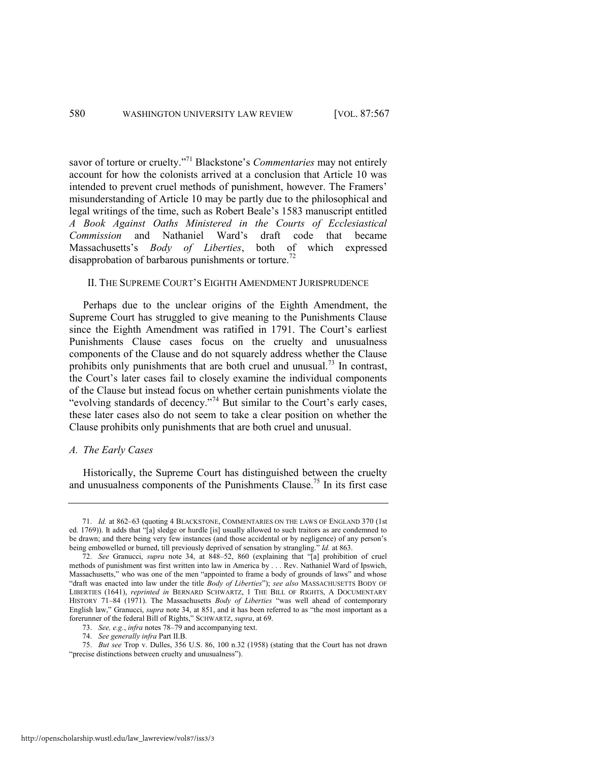savor of torture or cruelty."<sup>71</sup> Blackstone's *Commentaries* may not entirely account for how the colonists arrived at a conclusion that Article 10 was intended to prevent cruel methods of punishment, however. The Framers' misunderstanding of Article 10 may be partly due to the philosophical and legal writings of the time, such as Robert Beale's 1583 manuscript entitled *A Book Against Oaths Ministered in the Courts of Ecclesiastical Commission* and Nathaniel Ward's draft code that became Massachusetts's *Body of Liberties*, both of which expressed disapprobation of barbarous punishments or torture.<sup>72</sup>

#### II. THE SUPREME COURT'S EIGHTH AMENDMENT JURISPRUDENCE

Perhaps due to the unclear origins of the Eighth Amendment, the Supreme Court has struggled to give meaning to the Punishments Clause since the Eighth Amendment was ratified in 1791. The Court's earliest Punishments Clause cases focus on the cruelty and unusualness components of the Clause and do not squarely address whether the Clause prohibits only punishments that are both cruel and unusual.<sup>73</sup> In contrast, the Court's later cases fail to closely examine the individual components of the Clause but instead focus on whether certain punishments violate the "evolving standards of decency."<sup>74</sup> But similar to the Court's early cases, these later cases also do not seem to take a clear position on whether the Clause prohibits only punishments that are both cruel and unusual.

#### *A. The Early Cases*

Historically, the Supreme Court has distinguished between the cruelty and unusualness components of the Punishments Clause.<sup>75</sup> In its first case

75. *But see* Trop v. Dulles, 356 U.S. 86, 100 n.32 (1958) (stating that the Court has not drawn "precise distinctions between cruelty and unusualness").

<sup>71.</sup> *Id.* at 862–63 (quoting 4 BLACKSTONE, COMMENTARIES ON THE LAWS OF ENGLAND 370 (1st ed. 1769)). It adds that "[a] sledge or hurdle [is] usually allowed to such traitors as are condemned to be drawn; and there being very few instances (and those accidental or by negligence) of any person's being embowelled or burned, till previously deprived of sensation by strangling." *Id.* at 863.

<sup>72.</sup> *See* Granucci, *supra* note [34,](#page-8-0) at 848–52, 860 (explaining that "[a] prohibition of cruel methods of punishment was first written into law in America by . . . Rev. Nathaniel Ward of Ipswich, Massachusetts," who was one of the men "appointed to frame a body of grounds of laws" and whose "draft was enacted into law under the title *Body of Liberties*"); see also MASSACHUSETTS BODY OF LIBERTIES (1641), *reprinted in* BERNARD SCHWARTZ, 1 THE BILL OF RIGHTS, A DOCUMENTARY HISTORY 71-84 (1971). The Massachusetts *Body of Liberties* "was well ahead of contemporary English law," Granucci, *supra* note [34](#page-8-0), at 851, and it has been referred to as "the most important as a forerunner of the federal Bill of Rights," SCHWARTZ, *supra*, at 69.

<sup>73.</sup> *See, e.g.*, *infra* note[s 78](#page-15-0)–[79 a](#page-15-1)nd accompanying text.

<sup>74.</sup> *See generally infra* Part II.B.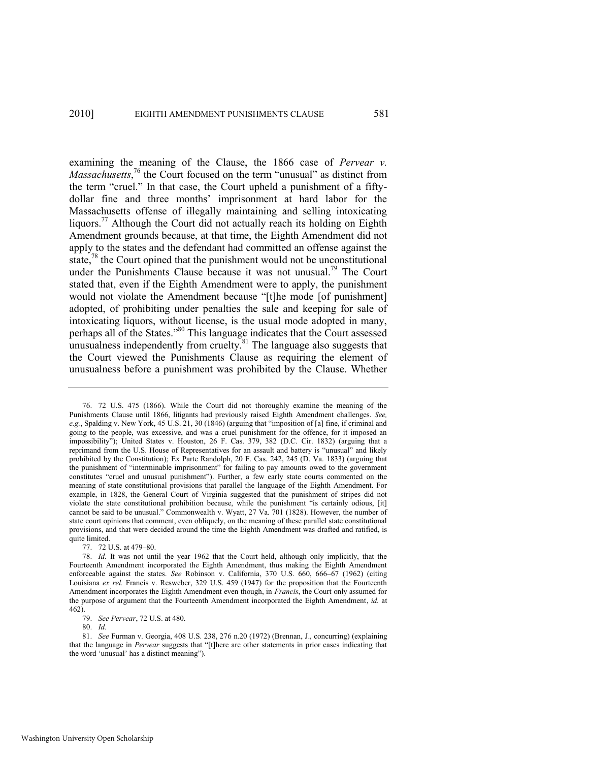<span id="page-15-2"></span><span id="page-15-0"></span>examining the meaning of the Clause, the 1866 case of *Pervear v. Massachusetts*,<sup>76</sup> the Court focused on the term "unusual" as distinct from the term "cruel." In that case, the Court upheld a punishment of a fiftydollar fine and three months' imprisonment at hard labor for the Massachusetts offense of illegally maintaining and selling intoxicating liquors.<sup>77</sup> Although the Court did not actually reach its holding on Eighth Amendment grounds because, at that time, the Eighth Amendment did not apply to the states and the defendant had committed an offense against the state, $78$  the Court opined that the punishment would not be unconstitutional under the Punishments Clause because it was not unusual.<sup>79</sup> The Court stated that, even if the Eighth Amendment were to apply, the punishment would not violate the Amendment because "[t]he mode [of punishment] adopted, of prohibiting under penalties the sale and keeping for sale of intoxicating liquors, without license, is the usual mode adopted in many, perhaps all of the States."<sup>80</sup> This language indicates that the Court assessed unusualness independently from cruelty.<sup>81</sup> The language also suggests that the Court viewed the Punishments Clause as requiring the element of unusualness before a punishment was prohibited by the Clause. Whether

77. 72 U.S. at 479–80.

79. *See Pervear*, 72 U.S. at 480.

80. *Id.*

81. *See* Furman v. Georgia, 408 U.S. 238, 276 n.20 (1972) (Brennan, J., concurring) (explaining that the language in *Pervear* suggests that "[t]here are other statements in prior cases indicating that the word 'unusual' has a distinct meaning").

<span id="page-15-1"></span>

<sup>76. 72</sup> U.S. 475 (1866). While the Court did not thoroughly examine the meaning of the Punishments Clause until 1866, litigants had previously raised Eighth Amendment challenges. *See, e.g.*, Spalding v. New York, 45 U.S. 21, 30 (1846) (arguing that "imposition of [a] fine, if criminal and going to the people, was excessive, and was a cruel punishment for the offence, for it imposed an impossibility"); United States v. Houston, 26 F. Cas. 379, 382 (D.C. Cir. 1832) (arguing that a reprimand from the U.S. House of Representatives for an assault and battery is "unusual" and likely prohibited by the Constitution); Ex Parte Randolph, 20 F. Cas. 242, 245 (D. Va. 1833) (arguing that the punishment of "interminable imprisonment" for failing to pay amounts owed to the government constitutes "cruel and unusual punishment"). Further, a few early state courts commented on the meaning of state constitutional provisions that parallel the language of the Eighth Amendment. For example, in 1828, the General Court of Virginia suggested that the punishment of stripes did not violate the state constitutional prohibition because, while the punishment "is certainly odious, [it] cannot be said to be unusual." Commonwealth v. Wyatt, 27 Va. 701 (1828). However, the number of state court opinions that comment, even obliquely, on the meaning of these parallel state constitutional provisions, and that were decided around the time the Eighth Amendment was drafted and ratified, is quite limited.

<sup>78.</sup> *Id.* It was not until the year 1962 that the Court held, although only implicitly, that the Fourteenth Amendment incorporated the Eighth Amendment, thus making the Eighth Amendment enforceable against the states. *See* Robinson v. California, 370 U.S. 660, 666–67 (1962) (citing Louisiana ex rel. Francis v. Resweber, 329 U.S. 459 (1947) for the proposition that the Fourteenth Amendment incorporates the Eighth Amendment even though, in *Francis*, the Court only assumed for the purpose of argument that the Fourteenth Amendment incorporated the Eighth Amendment, *id.* at 462).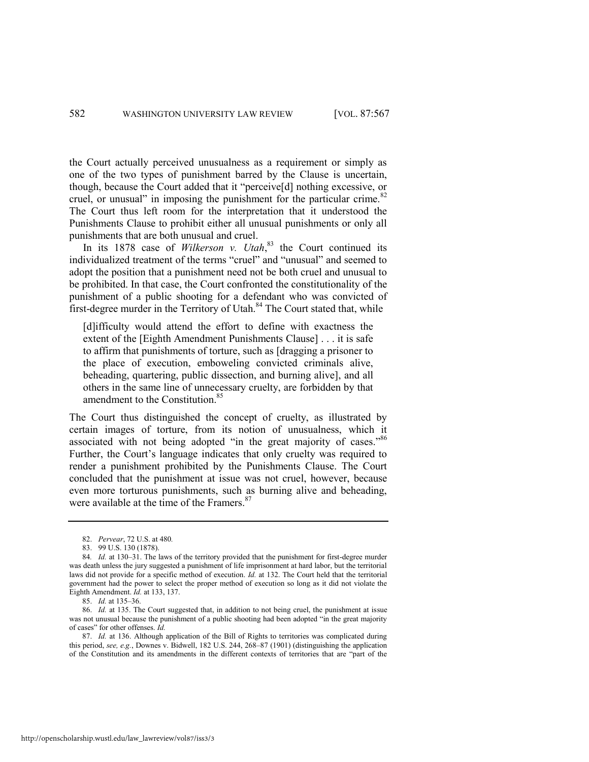<span id="page-16-0"></span>the Court actually perceived unusualness as a requirement or simply as one of the two types of punishment barred by the Clause is uncertain, though, because the Court added that it "perceive[d] nothing excessive, or cruel, or unusual" in imposing the punishment for the particular crime. $82$ The Court thus left room for the interpretation that it understood the Punishments Clause to prohibit either all unusual punishments or only all punishments that are both unusual and cruel.

In its 1878 case of *Wilkerson v. Utah*<sup>83</sup>, the Court continued its individualized treatment of the terms "cruel" and "unusual" and seemed to adopt the position that a punishment need not be both cruel and unusual to be prohibited. In that case, the Court confronted the constitutionality of the punishment of a public shooting for a defendant who was convicted of first-degree murder in the Territory of Utah. $84$  The Court stated that, while

[d]ifficulty would attend the effort to define with exactness the extent of the [Eighth Amendment Punishments Clause] . . . it is safe to affirm that punishments of torture, such as [dragging a prisoner to the place of execution, emboweling convicted criminals alive, beheading, quartering, public dissection, and burning alive], and all others in the same line of unnecessary cruelty, are forbidden by that amendment to the Constitution.<sup>85</sup>

<span id="page-16-2"></span><span id="page-16-1"></span>The Court thus distinguished the concept of cruelty, as illustrated by certain images of torture, from its notion of unusualness, which it associated with not being adopted "in the great majority of cases."86 Further, the Court's language indicates that only cruelty was required to render a punishment prohibited by the Punishments Clause. The Court concluded that the punishment at issue was not cruel, however, because even more torturous punishments, such as burning alive and beheading, were available at the time of the Framers.<sup>87</sup>

<span id="page-16-3"></span><sup>82.</sup> *Pervear*, 72 U.S. at 480*.*

<sup>83. 99</sup> U.S. 130 (1878).

<sup>84.</sup> *Id.* at 130–31. The laws of the territory provided that the punishment for first-degree murder was death unless the jury suggested a punishment of life imprisonment at hard labor, but the territorial laws did not provide for a specific method of execution. *Id.* at 132. The Court held that the territorial government had the power to select the proper method of execution so long as it did not violate the Eighth Amendment. *Id.* at 133, 137.

<sup>85.</sup> *Id.* at 135–36.

<sup>86.</sup> *Id.* at 135. The Court suggested that, in addition to not being cruel, the punishment at issue was not unusual because the punishment of a public shooting had been adopted "in the great majority of cases" for other offenses. *Id.* 

<sup>87.</sup> *Id.* at 136. Although application of the Bill of Rights to territories was complicated during this period, *see, e.g.*, Downes v. Bidwell, 182 U.S. 244, 268–87 (1901) (distinguishing the application of the Constitution and its amendments in the different contexts of territories that are "part of the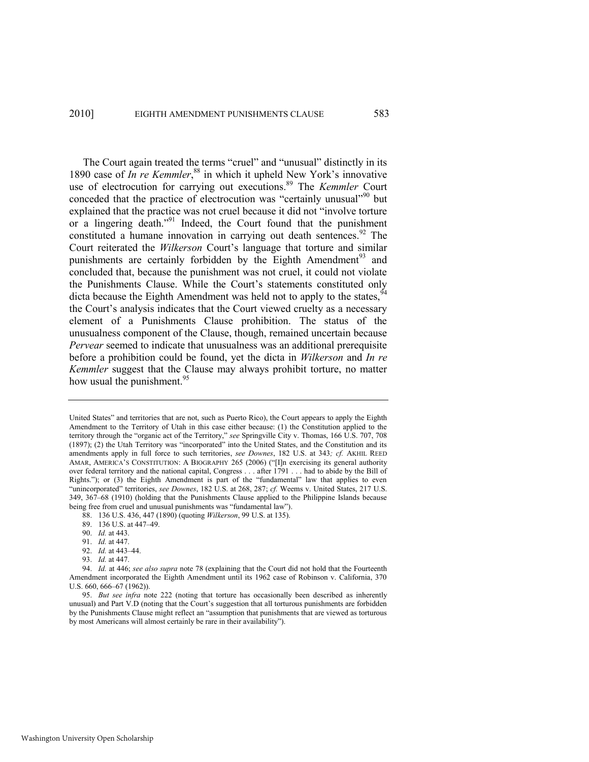<span id="page-17-2"></span><span id="page-17-1"></span><span id="page-17-0"></span>The Court again treated the terms "cruel" and "unusual" distinctly in its 1890 case of *In re Kemmler*,<sup>88</sup> in which it upheld New York's innovative use of electrocution for carrying out executions.<sup>89</sup> The *Kemmler* Court conceded that the practice of electrocution was "certainly unusual"<sup>90</sup> but explained that the practice was not cruel because it did not "involve torture or a lingering death."<sup>91</sup> Indeed, the Court found that the punishment constituted a humane innovation in carrying out death sentences.  $92$  The Court reiterated the *Wilkerson* Court's language that torture and similar punishments are certainly forbidden by the Eighth Amendment<sup>93</sup> and concluded that, because the punishment was not cruel, it could not violate the Punishments Clause. While the Court's statements constituted only dicta because the Eighth Amendment was held not to apply to the states,  $94$ the Court's analysis indicates that the Court viewed cruelty as a necessary element of a Punishments Clause prohibition. The status of the unusualness component of the Clause, though, remained uncertain because *Pervear* seemed to indicate that unusualness was an additional prerequisite before a prohibition could be found, yet the dicta in *Wilkerson* and *In re Kemmler* suggest that the Clause may always prohibit torture, no matter how usual the punishment.<sup>95</sup>

- 89. 136 U.S. at 447–49.
- 90. *Id.* at 443.
- 91. *Id.* at 447.
- 92. *Id.* at 443–44.
- 93. *Id.* at 447.

United States" and territories that are not, such as Puerto Rico), the Court appears to apply the Eighth Amendment to the Territory of Utah in this case either because: (1) the Constitution applied to the territory through the "organic act of the Territory," see Springville City v. Thomas, 166 U.S. 707, 708 (1897); (2) the Utah Territory was "incorporated" into the United States, and the Constitution and its amendments apply in full force to such territories, *see Downes*, 182 U.S. at 343*; cf.* AKHIL REED AMAR, AMERICA'S CONSTITUTION: A BIOGRAPHY 265 (2006) ("Iln exercising its general authority over federal territory and the national capital, Congress . . . after 1791 . . . had to abide by the Bill of Rights."); or  $(3)$  the Eighth Amendment is part of the "fundamental" law that applies to even ―unincorporated‖ territories, *see Downes*, 182 U.S. at 268, 287; *cf.* Weems v. United States, 217 U.S. 349, 367–68 (1910) (holding that the Punishments Clause applied to the Philippine Islands because being free from cruel and unusual punishments was "fundamental law").

<sup>88. 136</sup> U.S. 436, 447 (1890) (quoting *Wilkerson*, 99 U.S. at 135).

<sup>94.</sup> *Id.* at 446; *see also supra* note [78](#page-15-0) (explaining that the Court did not hold that the Fourteenth Amendment incorporated the Eighth Amendment until its 1962 case of Robinson v. California, 370 U.S. 660, 666–67 (1962)).

<sup>95.</sup> *But see infra* note [222](#page-39-0) (noting that torture has occasionally been described as inherently unusual) and Part V.D (noting that the Court's suggestion that all torturous punishments are forbidden by the Punishments Clause might reflect an "assumption that punishments that are viewed as torturous by most Americans will almost certainly be rare in their availability").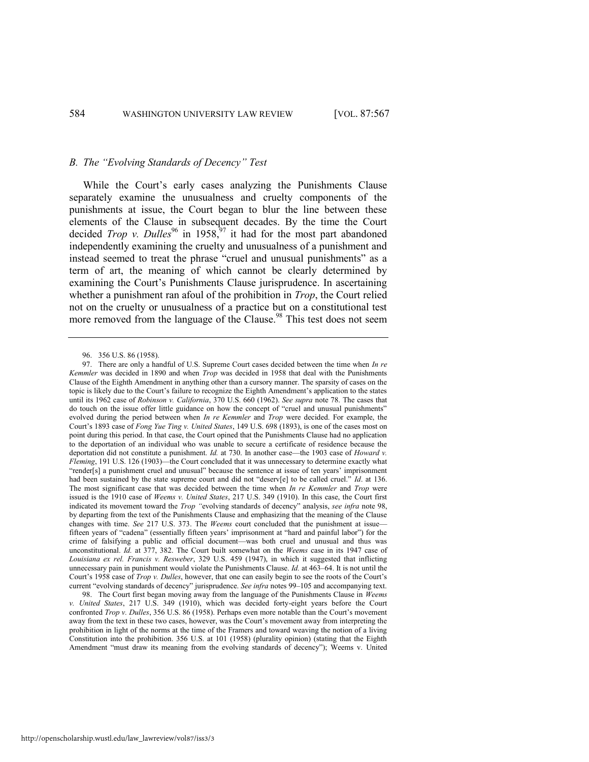#### *B. The "Evolving Standards of Decency" Test*

While the Court's early cases analyzing the Punishments Clause separately examine the unusualness and cruelty components of the punishments at issue, the Court began to blur the line between these elements of the Clause in subsequent decades. By the time the Court decided *Trop v. Dulles*<sup>96</sup> in 1958,<sup>97</sup> it had for the most part abandoned independently examining the cruelty and unusualness of a punishment and instead seemed to treat the phrase "cruel and unusual punishments" as a term of art, the meaning of which cannot be clearly determined by examining the Court's Punishments Clause jurisprudence. In ascertaining whether a punishment ran afoul of the prohibition in *Trop*, the Court relied not on the cruelty or unusualness of a practice but on a constitutional test more removed from the language of the Clause.<sup>98</sup> This test does not seem

<span id="page-18-0"></span><sup>96. 356</sup> U.S. 86 (1958).

<sup>97.</sup> There are only a handful of U.S. Supreme Court cases decided between the time when *In re Kemmler* was decided in 1890 and when *Trop* was decided in 1958 that deal with the Punishments Clause of the Eighth Amendment in anything other than a cursory manner. The sparsity of cases on the topic is likely due to the Court's failure to recognize the Eighth Amendment's application to the states until its 1962 case of *Robinson v. California*, 370 U.S. 660 (1962). *See supra* not[e 78.](#page-15-0) The cases that do touch on the issue offer little guidance on how the concept of "cruel and unusual punishments" evolved during the period between when *In re Kemmler* and *Trop* were decided. For example, the Court's 1893 case of *Fong Yue Ting v. United States*, 149 U.S. 698 (1893), is one of the cases most on point during this period. In that case, the Court opined that the Punishments Clause had no application to the deportation of an individual who was unable to secure a certificate of residence because the deportation did not constitute a punishment. *Id.* at 730. In another case—the 1903 case of *Howard v. Fleming*, 191 U.S. 126 (1903)—the Court concluded that it was unnecessary to determine exactly what ―render[s] a punishment cruel and unusual‖ because the sentence at issue of ten years' imprisonment had been sustained by the state supreme court and did not "deserv[e] to be called cruel." *Id.* at 136. The most significant case that was decided between the time when *In re Kemmler* and *Trop* were issued is the 1910 case of *Weems v. United States*, 217 U.S. 349 (1910). In this case, the Court first indicated its movement toward the *Trop* "evolving standards of decency" analysis, *see infra* note 98, by departing from the text of the Punishments Clause and emphasizing that the meaning of the Clause changes with time. *See* 217 U.S. 373. The *Weems* court concluded that the punishment at issue fifteen years of "cadena" (essentially fifteen years' imprisonment at "hard and painful labor") for the crime of falsifying a public and official document—was both cruel and unusual and thus was unconstitutional. *Id.* at 377, 382. The Court built somewhat on the *Weems* case in its 1947 case of *Louisiana ex rel. Francis v. Resweber*, 329 U.S. 459 (1947), in which it suggested that inflicting unnecessary pain in punishment would violate the Punishments Clause. *Id.* at 463–64. It is not until the Court's 1958 case of *Trop v. Dulles*, however, that one can easily begin to see the roots of the Court's current "evolving standards of decency" jurisprudence. *See infra* note[s 99](#page-19-0)–[105](#page-20-1) and accompanying text.

<sup>98.</sup> The Court first began moving away from the language of the Punishments Clause in *Weems v. United States*, 217 U.S. 349 (1910), which was decided forty-eight years before the Court confronted *Trop v. Dulles*, 356 U.S. 86 (1958). Perhaps even more notable than the Court's movement away from the text in these two cases, however, was the Court's movement away from interpreting the prohibition in light of the norms at the time of the Framers and toward weaving the notion of a living Constitution into the prohibition. 356 U.S. at 101 (1958) (plurality opinion) (stating that the Eighth Amendment "must draw its meaning from the evolving standards of decency"); Weems v. United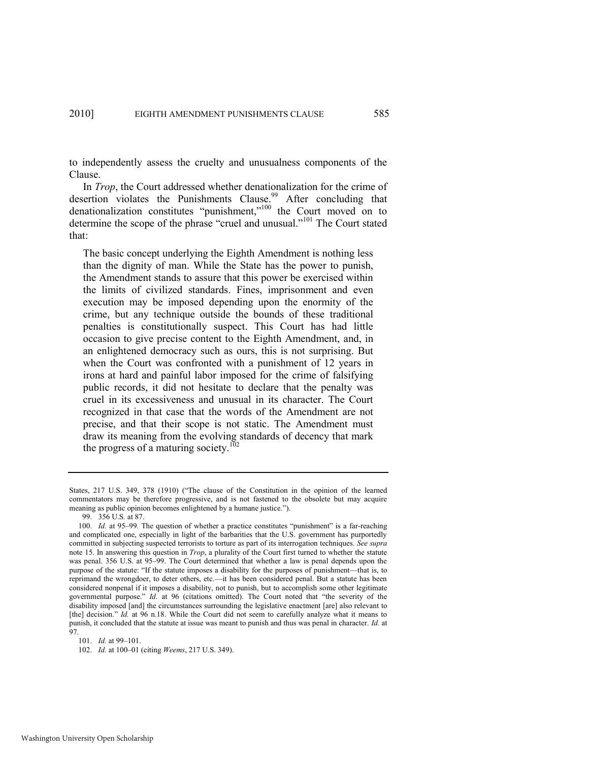to independently assess the cruelty and unusualness components of the Clause.

In *Trop*, the Court addressed whether denationalization for the crime of desertion violates the Punishments Clause.<sup>99</sup> After concluding that denationalization constitutes "punishment," $100$  the Court moved on to determine the scope of the phrase "cruel and unusual."<sup>101</sup> The Court stated that:

<span id="page-19-0"></span>The basic concept underlying the Eighth Amendment is nothing less than the dignity of man. While the State has the power to punish, the Amendment stands to assure that this power be exercised within the limits of civilized standards. Fines, imprisonment and even execution may be imposed depending upon the enormity of the crime, but any technique outside the bounds of these traditional penalties is constitutionally suspect. This Court has had little occasion to give precise content to the Eighth Amendment, and, in an enlightened democracy such as ours, this is not surprising. But when the Court was confronted with a punishment of 12 years in irons at hard and painful labor imposed for the crime of falsifying public records, it did not hesitate to declare that the penalty was cruel in its excessiveness and unusual in its character. The Court recognized in that case that the words of the Amendment are not precise, and that their scope is not static. The Amendment must draw its meaning from the evolving standards of decency that mark the progress of a maturing society.<sup>102</sup>

States, 217 U.S. 349, 378 (1910) ("The clause of the Constitution in the opinion of the learned commentators may be therefore progressive, and is not fastened to the obsolete but may acquire meaning as public opinion becomes enlightened by a humane justice.").

<sup>99. 356</sup> U.S*.* at 87.

<sup>100.</sup> *Id.* at 95–99. The question of whether a practice constitutes "punishment" is a far-reaching and complicated one, especially in light of the barbarities that the U.S. government has purportedly committed in subjecting suspected terrorists to torture as part of its interrogation techniques. *See supra*  note [15.](#page-4-0) In answering this question in *Trop*, a plurality of the Court first turned to whether the statute was penal. 356 U.S. at 95–99. The Court determined that whether a law is penal depends upon the purpose of the statute: "If the statute imposes a disability for the purposes of punishment—that is, to reprimand the wrongdoer, to deter others, etc.—it has been considered penal. But a statute has been considered nonpenal if it imposes a disability, not to punish, but to accomplish some other legitimate governmental purpose." *Id.* at 96 (citations omitted). The Court noted that "the severity of the disability imposed [and] the circumstances surrounding the legislative enactment [are] also relevant to [the] decision." *Id.* at 96 n.18. While the Court did not seem to carefully analyze what it means to punish, it concluded that the statute at issue was meant to punish and thus was penal in character. *Id.* at 97.

<sup>101.</sup> *Id.* at 99–101.

<sup>102.</sup> *Id.* at 100–01 (citing *Weems*, 217 U.S. 349).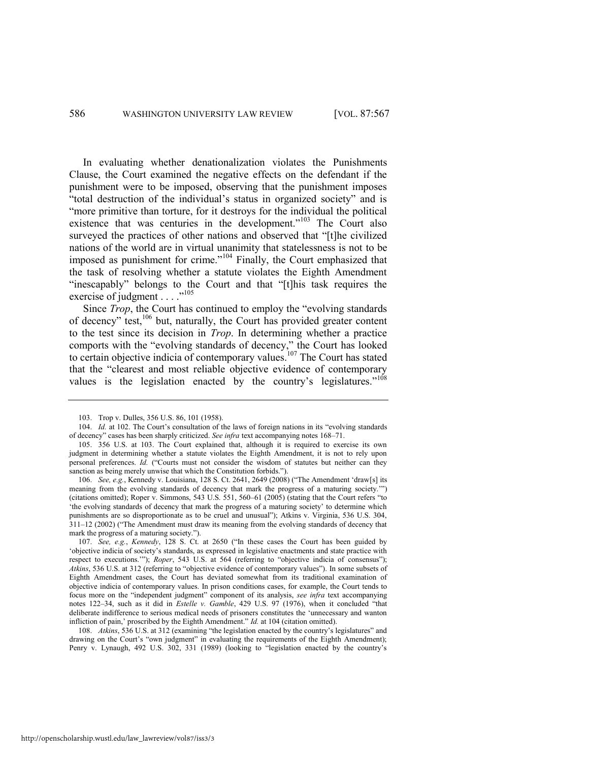In evaluating whether denationalization violates the Punishments Clause, the Court examined the negative effects on the defendant if the punishment were to be imposed, observing that the punishment imposes "total destruction of the individual's status in organized society" and is "more primitive than torture, for it destroys for the individual the political existence that was centuries in the development."<sup>103</sup> The Court also surveyed the practices of other nations and observed that "[t]he civilized nations of the world are in virtual unanimity that statelessness is not to be imposed as punishment for crime."<sup>104</sup> Finally, the Court emphasized that the task of resolving whether a statute violates the Eighth Amendment "inescapably" belongs to the Court and that "[t]his task requires the exercise of judgment . . . .<sup>"105</sup>

<span id="page-20-1"></span>Since *Trop*, the Court has continued to employ the "evolving standards" of decency<sup> $\frac{1}{106}$ </sup> but, naturally, the Court has provided greater content to the test since its decision in *Trop*. In determining whether a practice comports with the "evolving standards of decency," the Court has looked to certain objective indicia of contemporary values.<sup>107</sup> The Court has stated that the "clearest and most reliable objective evidence of contemporary values is the legislation enacted by the country's legislatures." $108$ 

108. *Atkins*, 536 U.S. at 312 (examining "the legislation enacted by the country's legislatures" and drawing on the Court's "own judgment" in evaluating the requirements of the Eighth Amendment); Penry v. Lynaugh, 492 U.S. 302, 331 (1989) (looking to "legislation enacted by the country's

<span id="page-20-2"></span><span id="page-20-0"></span><sup>103.</sup> Trop v. Dulles, 356 U.S. 86, 101 (1958).

<sup>104.</sup> *Id.* at 102. The Court's consultation of the laws of foreign nations in its "evolving standards" of decency‖ cases has been sharply criticized. *See infra* text accompanying note[s 168](#page-30-0)–71.

<sup>105. 356</sup> U.S. at 103. The Court explained that, although it is required to exercise its own judgment in determining whether a statute violates the Eighth Amendment, it is not to rely upon personal preferences. *Id.* ("Courts must not consider the wisdom of statutes but neither can they sanction as being merely unwise that which the Constitution forbids.").

<sup>106.</sup> *See, e.g.*, Kennedy v. Louisiana, 128 S. Ct. 2641, 2649 (2008) ("The Amendment 'draw[s] its meaning from the evolving standards of decency that mark the progress of a maturing society."") (citations omitted); Roper v. Simmons, 543 U.S. 551, 560-61 (2005) (stating that the Court refers "to 'the evolving standards of decency that mark the progress of a maturing society' to determine which punishments are so disproportionate as to be cruel and unusual"); Atkins v. Virginia, 536 U.S. 304,  $311-12$  (2002) ("The Amendment must draw its meaning from the evolving standards of decency that mark the progress of a maturing society.").

<sup>107.</sup> See, e.g., *Kennedy*, 128 S. Ct. at 2650 ("In these cases the Court has been guided by ‗objective indicia of society's standards, as expressed in legislative enactments and state practice with respect to executions.""); *Roper*, 543 U.S. at 564 (referring to "objective indicia of consensus"); Atkins, 536 U.S. at 312 (referring to "objective evidence of contemporary values"). In some subsets of Eighth Amendment cases, the Court has deviated somewhat from its traditional examination of objective indicia of contemporary values. In prison conditions cases, for example, the Court tends to focus more on the "independent judgment" component of its analysis, see infra text accompanying notes [122](#page-23-0)-34, such as it did in *Estelle v. Gamble*, 429 U.S. 97 (1976), when it concluded "that deliberate indifference to serious medical needs of prisoners constitutes the 'unnecessary and wanton infliction of pain,' proscribed by the Eighth Amendment." *Id.* at 104 (citation omitted).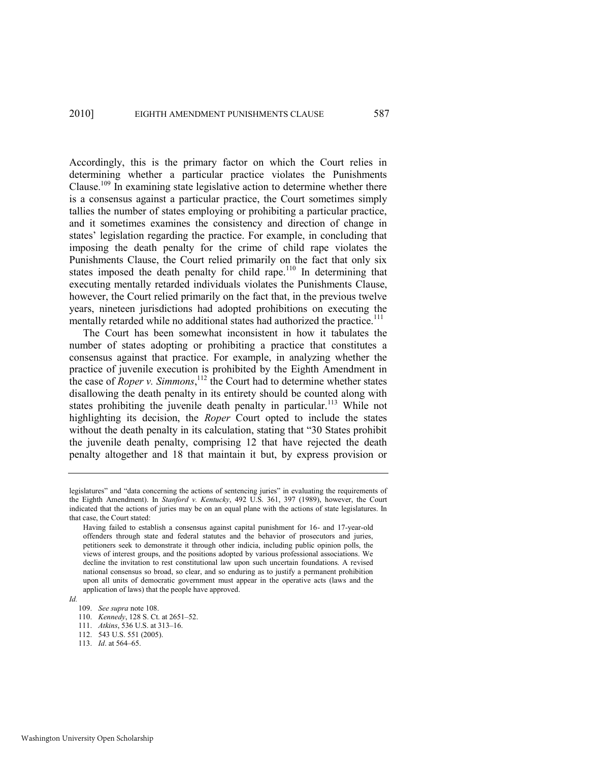Accordingly, this is the primary factor on which the Court relies in determining whether a particular practice violates the Punishments Clause.<sup>109</sup> In examining state legislative action to determine whether there is a consensus against a particular practice, the Court sometimes simply tallies the number of states employing or prohibiting a particular practice, and it sometimes examines the consistency and direction of change in states' legislation regarding the practice. For example, in concluding that imposing the death penalty for the crime of child rape violates the Punishments Clause, the Court relied primarily on the fact that only six states imposed the death penalty for child rape.<sup>110</sup> In determining that executing mentally retarded individuals violates the Punishments Clause, however, the Court relied primarily on the fact that, in the previous twelve years, nineteen jurisdictions had adopted prohibitions on executing the mentally retarded while no additional states had authorized the practice.<sup>111</sup>

<span id="page-21-0"></span>The Court has been somewhat inconsistent in how it tabulates the number of states adopting or prohibiting a practice that constitutes a consensus against that practice. For example, in analyzing whether the practice of juvenile execution is prohibited by the Eighth Amendment in the case of *Roper v. Simmons*, <sup>112</sup> the Court had to determine whether states disallowing the death penalty in its entirety should be counted along with states prohibiting the juvenile death penalty in particular.<sup>113</sup> While not highlighting its decision, the *Roper* Court opted to include the states without the death penalty in its calculation, stating that "30 States prohibit the juvenile death penalty, comprising 12 that have rejected the death penalty altogether and 18 that maintain it but, by express provision or

- 112. 543 U.S. 551 (2005).
- 113. *Id*. at 564–65.

legislatures" and "data concerning the actions of sentencing juries" in evaluating the requirements of the Eighth Amendment). In *Stanford v. Kentucky*, 492 U.S. 361, 397 (1989), however, the Court indicated that the actions of juries may be on an equal plane with the actions of state legislatures. In that case, the Court stated:

Having failed to establish a consensus against capital punishment for 16- and 17-year-old offenders through state and federal statutes and the behavior of prosecutors and juries, petitioners seek to demonstrate it through other indicia, including public opinion polls, the views of interest groups, and the positions adopted by various professional associations. We decline the invitation to rest constitutional law upon such uncertain foundations. A revised national consensus so broad, so clear, and so enduring as to justify a permanent prohibition upon all units of democratic government must appear in the operative acts (laws and the application of laws) that the people have approved.

*Id.* 

<sup>109.</sup> *See supra* not[e 108.](#page-20-2) 

<sup>110.</sup> *Kennedy*, 128 S. Ct. at 2651–52.

<sup>111.</sup> *Atkins*, 536 U.S. at 313–16.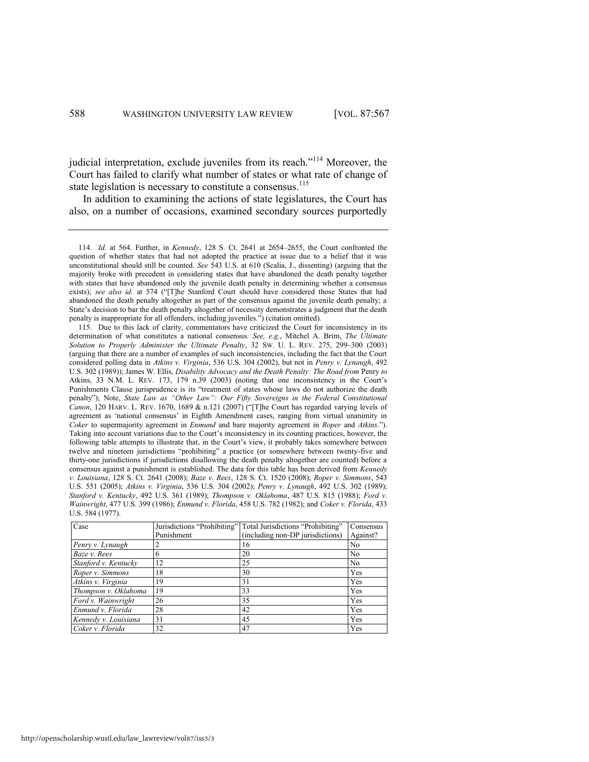judicial interpretation, exclude juveniles from its reach."<sup>114</sup> Moreover, the Court has failed to clarify what number of states or what rate of change of state legislation is necessary to constitute a consensus.<sup>115</sup>

In addition to examining the actions of state legislatures, the Court has also, on a number of occasions, examined secondary sources purportedly

<sup>115.</sup> Due to this lack of clarity, commentators have criticized the Court for inconsistency in its determination of what constitutes a national consensus. *See, e.g.*, Mitchel A. Brim, *The Ultimate Solution to Properly Administer the Ultimate Penalty*, 32 SW. U. L. REV. 275, 299–300 (2003) (arguing that there are a number of examples of such inconsistencies, including the fact that the Court considered polling data in *Atkins v. Virginia*, 536 U.S. 304 (2002), but not in *Penry v. Lynaugh*, 492 U.S. 302 (1989)); James W. Ellis, *Disability Advocacy and the Death Penalty: The Road from Penry to* Atkins, 33 N.M. L. REV. 173, 179 n.39 (2003) (noting that one inconsistency in the Court's Punishments Clause jurisprudence is its "treatment of states whose laws do not authorize the death penalty‖); Note, *State Law as "Other Law": Our Fifty Sovereigns in the Federal Constitutional Canon*, 120 HARV. L. REV. 1670, 1689  $\&$  n.121 (2007) ("The Court has regarded varying levels of agreement as 'national consensus' in Eighth Amendment cases, ranging from virtual unanimity in *Coker* to supermajority agreement in *Enmund* and bare majority agreement in *Roper* and *Atkins*.‖). Taking into account variations due to the Court's inconsistency in its counting practices, however, the following table attempts to illustrate that, in the Court's view, it probably takes somewhere between twelve and nineteen jurisdictions "prohibiting" a practice (or somewhere between twenty-five and thirty-one jurisdictions if jurisdictions disallowing the death penalty altogether are counted) before a consensus against a punishment is established. The data for this table has been derived from *Kennedy v. Louisiana*, 128 S. Ct. 2641 (2008); *Baze v. Rees*, 128 S. Ct. 1520 (2008); *Roper v. Simmons*, 543 U.S. 551 (2005); *Atkins v. Virginia*, 536 U.S. 304 (2002); *Penry v. Lynaugh*, 492 U.S. 302 (1989); *Stanford v. Kentucky*, 492 U.S. 361 (1989); *Thompson v. Oklahoma*, 487 U.S. 815 (1988); *Ford v. Wainwright*, 477 U.S. 399 (1986); *Enmund v. Florida*, 458 U.S. 782 (1982); and *Coker v. Florida*, 433 U.S. 584 (1977).

| Case                 | Jurisdictions "Prohibiting" | Total Jurisdictions "Prohibiting" | Consensus      |
|----------------------|-----------------------------|-----------------------------------|----------------|
|                      | Punishment                  | (including non-DP jurisdictions)  | Against?       |
| Penry v. Lynaugh     |                             | 16                                | No             |
| Baze v. Rees         | 6                           | 20                                | N <sub>0</sub> |
| Stanford v. Kentucky | 12                          | 25                                | N <sub>0</sub> |
| Roper v. Simmons     | 18                          | 30                                | Yes            |
| Atkins v. Virginia   | 19                          | 31                                | Yes            |
| Thompson v. Oklahoma | 19                          | 33                                | Yes            |
| Ford v. Wainwright   | 26                          | 35                                | Yes            |
| Enmund v. Florida    | 28                          | 42                                | Yes            |
| Kennedy v. Louisiana | 31                          | 45                                | Yes            |
| Coker v. Florida     | 32                          | 47                                | Yes            |

<sup>114.</sup> *Id.* at 564. Further, in *Kennedy*, 128 S. Ct. 2641 at 2654–2655, the Court confronted the question of whether states that had not adopted the practice at issue due to a belief that it was unconstitutional should still be counted. *See* 543 U.S. at 610 (Scalia, J., dissenting) (arguing that the majority broke with precedent in considering states that have abandoned the death penalty together with states that have abandoned only the juvenile death penalty in determining whether a consensus exists); see also id. at 574 ("[T]he Stanford Court should have considered those States that had abandoned the death penalty altogether as part of the consensus against the juvenile death penalty; a State's decision to bar the death penalty altogether of necessity demonstrates a judgment that the death penalty is inappropriate for all offenders, including juveniles.‖) (citation omitted)*.*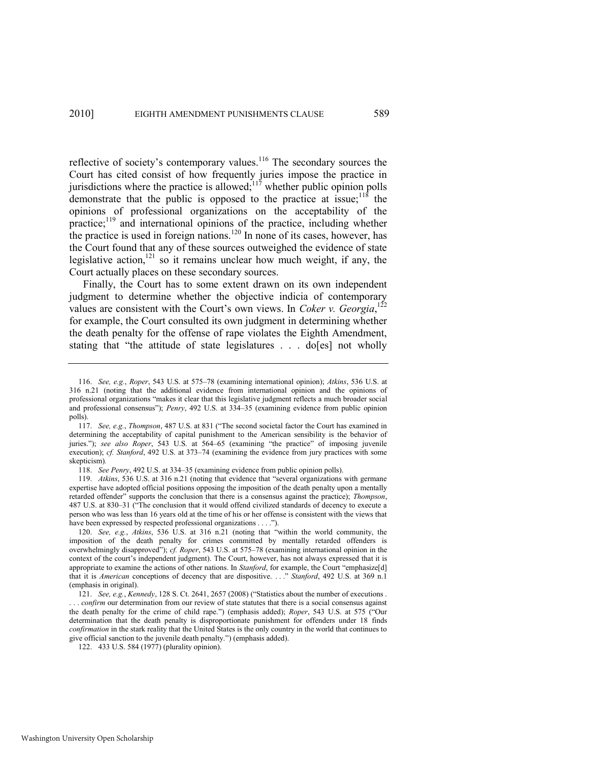reflective of society's contemporary values.<sup>116</sup> The secondary sources the Court has cited consist of how frequently juries impose the practice in jurisdictions where the practice is allowed; $117$  whether public opinion polls demonstrate that the public is opposed to the practice at issue;  $11\hat{8}$  the opinions of professional organizations on the acceptability of the practice;<sup>119</sup> and international opinions of the practice, including whether the practice is used in foreign nations.<sup>120</sup> In none of its cases, however, has the Court found that any of these sources outweighed the evidence of state legislative action,<sup>121</sup> so it remains unclear how much weight, if any, the Court actually places on these secondary sources.

<span id="page-23-2"></span><span id="page-23-1"></span><span id="page-23-0"></span>Finally, the Court has to some extent drawn on its own independent judgment to determine whether the objective indicia of contemporary values are consistent with the Court's own views. In *Coker v. Georgia*,  $^{122}$ for example, the Court consulted its own judgment in determining whether the death penalty for the offense of rape violates the Eighth Amendment, stating that "the attitude of state legislatures  $\ldots$  do [es] not wholly

<sup>116.</sup> *See, e.g.*, *Roper*, 543 U.S. at 575–78 (examining international opinion); *Atkins*, 536 U.S. at 316 n.21 (noting that the additional evidence from international opinion and the opinions of professional organizations "makes it clear that this legislative judgment reflects a much broader social and professional consensus‖); *Penry*, 492 U.S. at 334–35 (examining evidence from public opinion polls).

<sup>117.</sup> *See, e.g., Thompson*, 487 U.S. at 831 ("The second societal factor the Court has examined in determining the acceptability of capital punishment to the American sensibility is the behavior of juries."); see also Roper, 543 U.S. at 564-65 (examining "the practice" of imposing juvenile execution); *cf. Stanford*, 492 U.S. at 373–74 (examining the evidence from jury practices with some skepticism)*.* 

<sup>118.</sup> *See Penry*, 492 U.S. at 334–35 (examining evidence from public opinion polls).

<sup>119.</sup> *Atkins*, 536 U.S. at 316 n.21 (noting that evidence that "several organizations with germane expertise have adopted official positions opposing the imposition of the death penalty upon a mentally retarded offender" supports the conclusion that there is a consensus against the practice); *Thompson*, 487 U.S. at 830–31 ("The conclusion that it would offend civilized standards of decency to execute a person who was less than 16 years old at the time of his or her offense is consistent with the views that have been expressed by respected professional organizations . . . .").

<sup>120.</sup> *See, e.g., Atkins*, 536 U.S. at 316 n.21 (noting that "within the world community, the imposition of the death penalty for crimes committed by mentally retarded offenders is overwhelmingly disapproved<sup>"</sup>); *cf. Roper*, 543 U.S. at 575–78 (examining international opinion in the context of the court's independent judgment). The Court, however, has not always expressed that it is appropriate to examine the actions of other nations. In *Stanford*, for example, the Court "emphasize[d] that it is *American* conceptions of decency that are dispositive. . . . " *Stanford*, 492 U.S. at 369 n.1 (emphasis in original).

<sup>121.</sup> *See, e.g., Kennedy*, 128 S. Ct. 2641, 2657 (2008) ("Statistics about the number of executions . . . . *confirm* our determination from our review of state statutes that there is a social consensus against the death penalty for the crime of child rape.") (emphasis added); *Roper*, 543 U.S. at 575 ("Our determination that the death penalty is disproportionate punishment for offenders under 18 finds *confirmation* in the stark reality that the United States is the only country in the world that continues to give official sanction to the juvenile death penalty.") (emphasis added).

<sup>122. 433</sup> U.S. 584 (1977) (plurality opinion).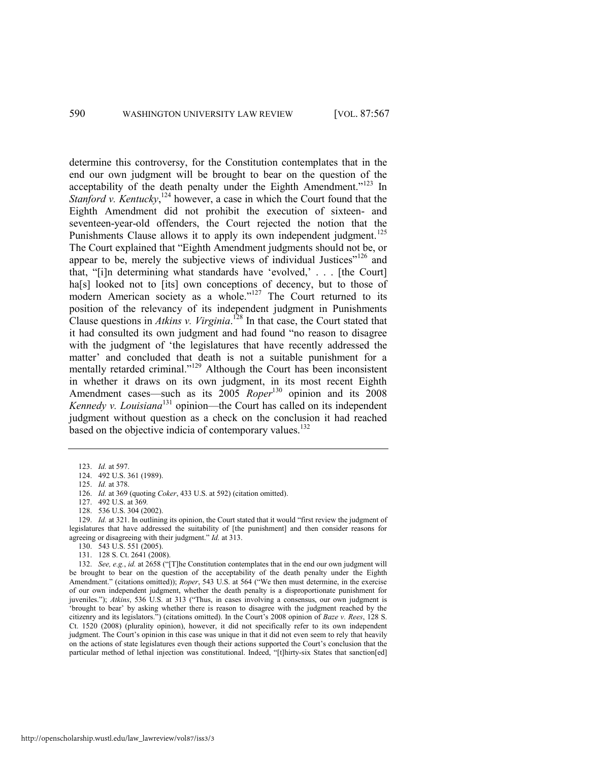determine this controversy, for the Constitution contemplates that in the end our own judgment will be brought to bear on the question of the acceptability of the death penalty under the Eighth Amendment." $123$  In *Stanford v. Kentucky*,<sup>124</sup> however, a case in which the Court found that the Eighth Amendment did not prohibit the execution of sixteen- and seventeen-year-old offenders, the Court rejected the notion that the Punishments Clause allows it to apply its own independent judgment.<sup>125</sup> The Court explained that "Eighth Amendment judgments should not be, or appear to be, merely the subjective views of individual Justices"<sup>126</sup> and that, "[i]n determining what standards have 'evolved,' . . . [the Court] ha<sup>[s]</sup> looked not to [its] own conceptions of decency, but to those of modern American society as a whole."<sup>127</sup> The Court returned to its position of the relevancy of its independent judgment in Punishments Clause questions in *Atkins v. Virginia*. <sup>128</sup> In that case, the Court stated that it had consulted its own judgment and had found "no reason to disagree" with the judgment of 'the legislatures that have recently addressed the matter' and concluded that death is not a suitable punishment for a mentally retarded criminal."<sup>129</sup> Although the Court has been inconsistent in whether it draws on its own judgment, in its most recent Eighth Amendment cases—such as its 2005 *Roper*<sup>130</sup> opinion and its 2008 *Kennedy v. Louisiana*<sup>131</sup> opinion—the Court has called on its independent judgment without question as a check on the conclusion it had reached based on the objective indicia of contemporary values.<sup>132</sup>

- 127. 492 U.S. at 369*.*
- 128. 536 U.S. 304 (2002).

129. *Id.* at 321. In outlining its opinion, the Court stated that it would "first review the judgment of legislatures that have addressed the suitability of [the punishment] and then consider reasons for agreeing or disagreeing with their judgment." *Id.* at 313.

131. 128 S. Ct. 2641 (2008).

132. *See, e.g., id.* at 2658 ("The Constitution contemplates that in the end our own judgment will be brought to bear on the question of the acceptability of the death penalty under the Eighth Amendment." (citations omitted)); *Roper*, 543 U.S. at 564 ("We then must determine, in the exercise of our own independent judgment, whether the death penalty is a disproportionate punishment for juveniles."); *Atkins*, 536 U.S. at 313 ("Thus, in cases involving a consensus, our own judgment is ‗brought to bear' by asking whether there is reason to disagree with the judgment reached by the citizenry and its legislators.‖) (citations omitted). In the Court's 2008 opinion of *Baze v. Rees*, 128 S. Ct. 1520 (2008) (plurality opinion), however, it did not specifically refer to its own independent judgment. The Court's opinion in this case was unique in that it did not even seem to rely that heavily on the actions of state legislatures even though their actions supported the Court's conclusion that the particular method of lethal injection was constitutional. Indeed, "[t]hirty-six States that sanction[ed]

<sup>123.</sup> *Id.* at 597.

<sup>124. 492</sup> U.S. 361 (1989).

<sup>125.</sup> *Id.* at 378.

<sup>126.</sup> *Id.* at 369 (quoting *Coker*, 433 U.S. at 592) (citation omitted).

<sup>130. 543</sup> U.S. 551 (2005).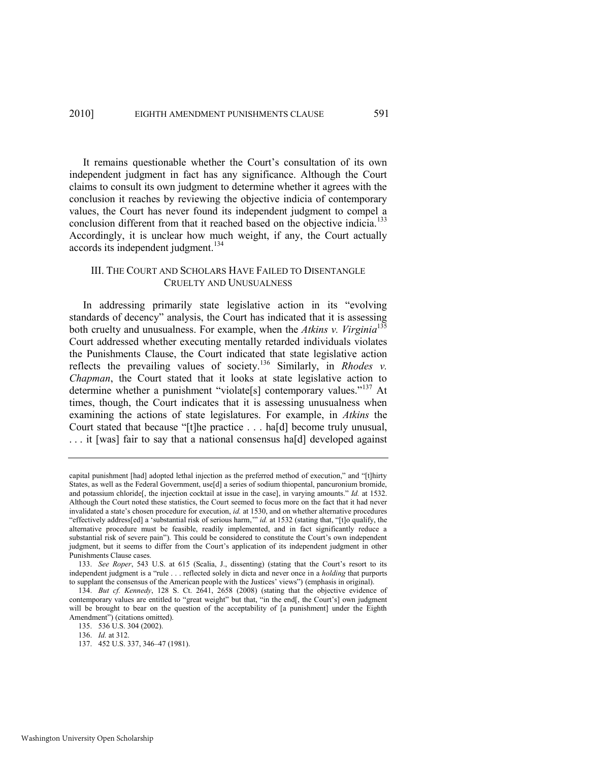It remains questionable whether the Court's consultation of its own independent judgment in fact has any significance. Although the Court claims to consult its own judgment to determine whether it agrees with the conclusion it reaches by reviewing the objective indicia of contemporary values, the Court has never found its independent judgment to compel a conclusion different from that it reached based on the objective indicia.<sup>133</sup> Accordingly, it is unclear how much weight, if any, the Court actually accords its independent judgment.<sup>134</sup>

# <span id="page-25-0"></span>III. THE COURT AND SCHOLARS HAVE FAILED TO DISENTANGLE CRUELTY AND UNUSUALNESS

In addressing primarily state legislative action in its "evolving standards of decency" analysis, the Court has indicated that it is assessing both cruelty and unusualness. For example, when the *Atkins v. Virginia*<sup>135</sup> Court addressed whether executing mentally retarded individuals violates the Punishments Clause, the Court indicated that state legislative action reflects the prevailing values of society.<sup>136</sup> Similarly, in *Rhodes v. Chapman*, the Court stated that it looks at state legislative action to determine whether a punishment "violate[s] contemporary values."<sup>137</sup> At times, though, the Court indicates that it is assessing unusualness when examining the actions of state legislatures. For example, in *Atkins* the Court stated that because "[t]he practice . . . ha[d] become truly unusual, ... it [was] fair to say that a national consensus ha[d] developed against

capital punishment [had] adopted lethal injection as the preferred method of execution," and "[t]hirty States, as well as the Federal Government, use[d] a series of sodium thiopental, pancuronium bromide, and potassium chloride[, the injection cocktail at issue in the case], in varying amounts." *Id.* at 1532. Although the Court noted these statistics, the Court seemed to focus more on the fact that it had never invalidated a state's chosen procedure for execution, *id.* at 1530, and on whether alternative procedures "effectively address[ed] a 'substantial risk of serious harm,"" *id.* at 1532 (stating that, "[t]o qualify, the alternative procedure must be feasible, readily implemented, and in fact significantly reduce a substantial risk of severe pain"). This could be considered to constitute the Court's own independent judgment, but it seems to differ from the Court's application of its independent judgment in other Punishments Clause cases.

<sup>133.</sup> *See Roper*, 543 U.S. at 615 (Scalia, J., dissenting) (stating that the Court's resort to its independent judgment is a "rule . . . reflected solely in dicta and never once in a *holding* that purports to supplant the consensus of the American people with the Justices' views") (emphasis in original).

<sup>134.</sup> *But cf. Kennedy*, 128 S. Ct. 2641, 2658 (2008) (stating that the objective evidence of contemporary values are entitled to "great weight" but that, "in the end[, the Court's] own judgment will be brought to bear on the question of the acceptability of [a punishment] under the Eighth Amendment") (citations omitted).

<sup>135. 536</sup> U.S. 304 (2002).

<sup>136.</sup> *Id.* at 312.

<sup>137. 452</sup> U.S. 337, 346–47 (1981).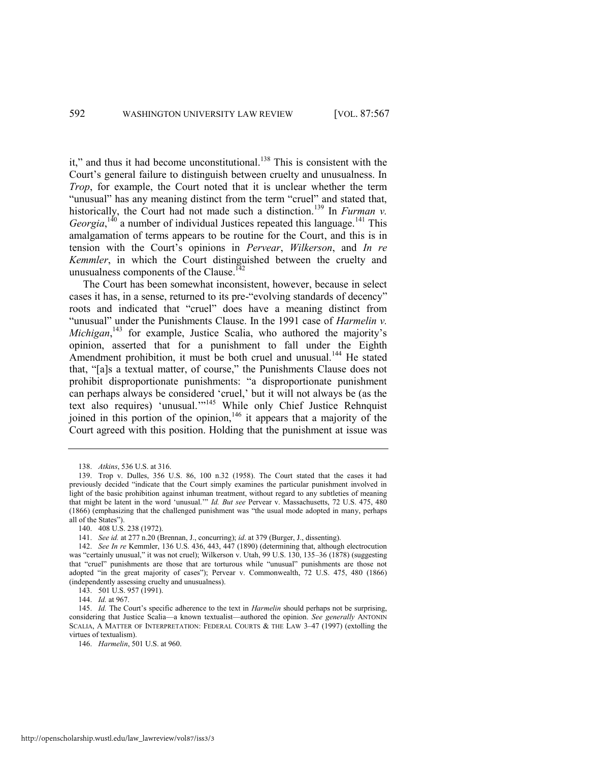it," and thus it had become unconstitutional.<sup>138</sup> This is consistent with the Court's general failure to distinguish between cruelty and unusualness. In *Trop*, for example, the Court noted that it is unclear whether the term "unusual" has any meaning distinct from the term "cruel" and stated that, historically, the Court had not made such a distinction.<sup>139</sup> In *Furman v*. *Georgia*,<sup>140</sup> a number of individual Justices repeated this language.<sup>141</sup> This amalgamation of terms appears to be routine for the Court, and this is in tension with the Court's opinions in *Pervear*, *Wilkerson*, and *In re Kemmler*, in which the Court distinguished between the cruelty and unusualness components of the Clause.<sup>142</sup>

<span id="page-26-0"></span>The Court has been somewhat inconsistent, however, because in select cases it has, in a sense, returned to its pre-"evolving standards of decency" roots and indicated that "cruel" does have a meaning distinct from "unusual" under the Punishments Clause. In the 1991 case of *Harmelin v*. Michigan,<sup>143</sup> for example, Justice Scalia, who authored the majority's opinion, asserted that for a punishment to fall under the Eighth Amendment prohibition, it must be both cruel and unusual.<sup>144</sup> He stated that, "[a]s a textual matter, of course," the Punishments Clause does not prohibit disproportionate punishments: "a disproportionate punishment can perhaps always be considered ‗cruel,' but it will not always be (as the text also requires) 'unusual."<sup>145</sup> While only Chief Justice Rehnquist joined in this portion of the opinion,  $146$  it appears that a majority of the Court agreed with this position. Holding that the punishment at issue was

<sup>138.</sup> *Atkins*, 536 U.S. at 316.

<sup>139.</sup> Trop v. Dulles, 356 U.S. 86, 100 n.32 (1958). The Court stated that the cases it had previously decided "indicate that the Court simply examines the particular punishment involved in light of the basic prohibition against inhuman treatment, without regard to any subtleties of meaning that might be latent in the word 'unusual.'" *Id. But see* Pervear v. Massachusetts, 72 U.S. 475, 480 (1866) (emphasizing that the challenged punishment was "the usual mode adopted in many, perhaps all of the States").

<sup>140. 408</sup> U.S. 238 (1972).

<sup>141.</sup> *See id.* at 277 n.20 (Brennan, J., concurring); *id*. at 379 (Burger, J., dissenting).

<sup>142.</sup> *See In re* Kemmler, 136 U.S. 436, 443, 447 (1890) (determining that, although electrocution was "certainly unusual," it was not cruel); Wilkerson v. Utah, 99 U.S. 130, 135-36 (1878) (suggesting that "cruel" punishments are those that are torturous while "unusual" punishments are those not adopted "in the great majority of cases"); Pervear v. Commonwealth, 72 U.S. 475, 480 (1866) (independently assessing cruelty and unusualness).

<sup>143. 501</sup> U.S. 957 (1991).

<sup>144.</sup> *Id.* at 967.

<sup>145.</sup> *Id.* The Court's specific adherence to the text in *Harmelin* should perhaps not be surprising, considering that Justice Scalia—a known textualist—authored the opinion. *See generally* ANTONIN SCALIA, A MATTER OF INTERPRETATION: FEDERAL COURTS & THE LAW 3-47 (1997) (extolling the virtues of textualism).

<sup>146.</sup> *Harmelin*, 501 U.S. at 960.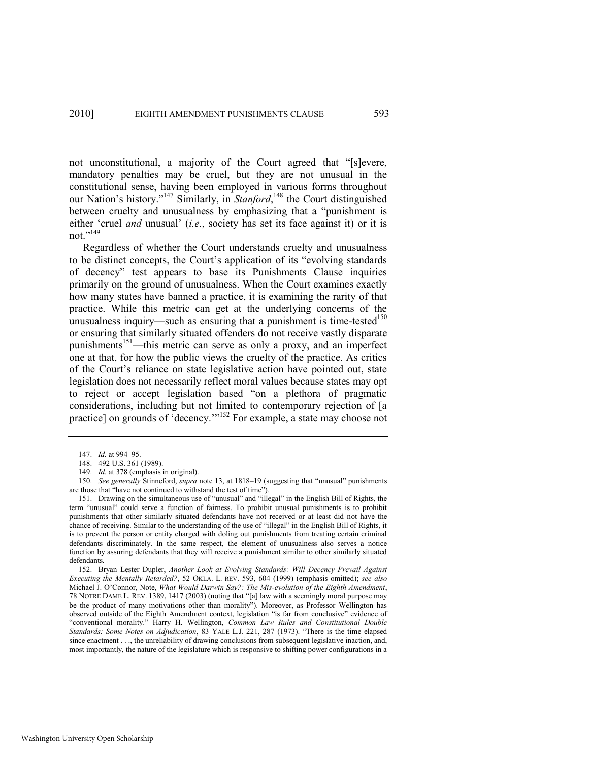not unconstitutional, a majority of the Court agreed that "[s]evere, mandatory penalties may be cruel, but they are not unusual in the constitutional sense, having been employed in various forms throughout our Nation's history."<sup>147</sup> Similarly, in *Stanford*,<sup>148</sup> the Court distinguished between cruelty and unusualness by emphasizing that a "punishment is either 'cruel *and* unusual' *(i.e.*, society has set its face against it) or it is not  $\frac{149}{149}$ 

<span id="page-27-1"></span>Regardless of whether the Court understands cruelty and unusualness to be distinct concepts, the Court's application of its "evolving standards" of decency‖ test appears to base its Punishments Clause inquiries primarily on the ground of unusualness. When the Court examines exactly how many states have banned a practice, it is examining the rarity of that practice. While this metric can get at the underlying concerns of the unusualness inquiry—such as ensuring that a punishment is time-tested<sup>150</sup> or ensuring that similarly situated offenders do not receive vastly disparate punishments<sup>151</sup>—this metric can serve as only a proxy, and an imperfect one at that, for how the public views the cruelty of the practice. As critics of the Court's reliance on state legislative action have pointed out, state legislation does not necessarily reflect moral values because states may opt to reject or accept legislation based "on a plethora of pragmatic considerations, including but not limited to contemporary rejection of [a practice] on grounds of 'decency. $^{152}$  For example, a state may choose not

<span id="page-27-0"></span><sup>147.</sup> *Id.* at 994–95.

<sup>148. 492</sup> U.S. 361 (1989).

<sup>149.</sup> *Id.* at 378 (emphasis in original).

<sup>150.</sup> *See generally* Stinneford, *supra* not[e 13,](#page-3-0) at 1818–19 (suggesting that "unusual" punishments are those that "have not continued to withstand the test of time").

<sup>151.</sup> Drawing on the simultaneous use of "unusual" and "illegal" in the English Bill of Rights, the term "unusual" could serve a function of fairness. To prohibit unusual punishments is to prohibit punishments that other similarly situated defendants have not received or at least did not have the chance of receiving. Similar to the understanding of the use of "illegal" in the English Bill of Rights, it is to prevent the person or entity charged with doling out punishments from treating certain criminal defendants discriminately. In the same respect, the element of unusualness also serves a notice function by assuring defendants that they will receive a punishment similar to other similarly situated defendants.

<sup>152.</sup> Bryan Lester Dupler, *Another Look at Evolving Standards: Will Decency Prevail Against Executing the Mentally Retarded?*, 52 OKLA. L. REV. 593, 604 (1999) (emphasis omitted); *see also*  Michael J. O'Connor, Note, *What Would Darwin Say?: The Mis-evolution of the Eighth Amendment*, 78 NOTRE DAME L. REV. 1389, 1417 (2003) (noting that "[a] law with a seemingly moral purpose may be the product of many motivations other than morality"). Moreover, as Professor Wellington has observed outside of the Eighth Amendment context, legislation "is far from conclusive" evidence of ―conventional morality.‖ Harry H. Wellington, *Common Law Rules and Constitutional Double Standards: Some Notes on Adjudication*, 83 YALE L.J. 221, 287 (1973). ―There is the time elapsed since enactment . . ., the unreliability of drawing conclusions from subsequent legislative inaction, and, most importantly, the nature of the legislature which is responsive to shifting power configurations in a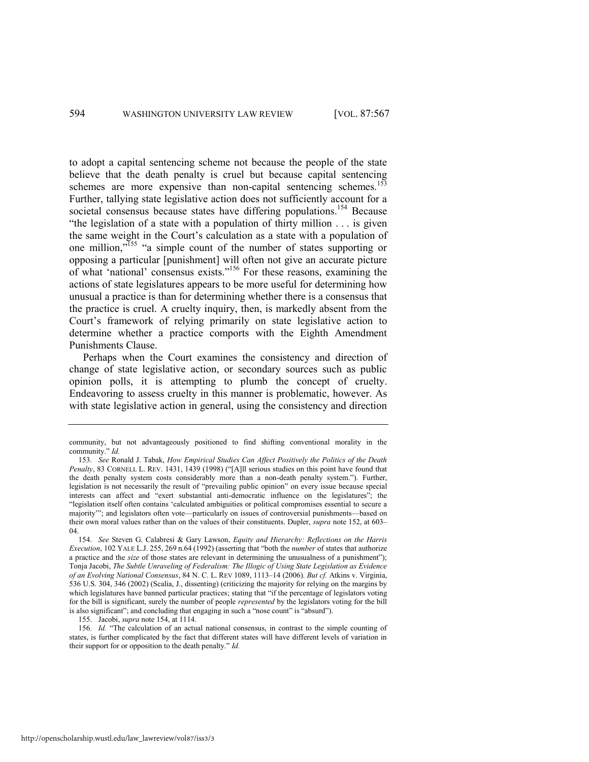<span id="page-28-0"></span>to adopt a capital sentencing scheme not because the people of the state believe that the death penalty is cruel but because capital sentencing schemes are more expensive than non-capital sentencing schemes.<sup>153</sup> Further, tallying state legislative action does not sufficiently account for a societal consensus because states have differing populations.<sup>154</sup> Because "the legislation of a state with a population of thirty million  $\ldots$  is given the same weight in the Court's calculation as a state with a population of one million,"<sup>155</sup> "a simple count of the number of states supporting or opposing a particular [punishment] will often not give an accurate picture of what 'national' consensus exists."<sup>156</sup> For these reasons, examining the actions of state legislatures appears to be more useful for determining how unusual a practice is than for determining whether there is a consensus that the practice is cruel. A cruelty inquiry, then, is markedly absent from the Court's framework of relying primarily on state legislative action to determine whether a practice comports with the Eighth Amendment Punishments Clause.

Perhaps when the Court examines the consistency and direction of change of state legislative action, or secondary sources such as public opinion polls, it is attempting to plumb the concept of cruelty. Endeavoring to assess cruelty in this manner is problematic, however. As with state legislative action in general, using the consistency and direction

155. Jacobi, *supra* not[e 154,](#page-28-0) at 1114.

156. *Id.* "The calculation of an actual national consensus, in contrast to the simple counting of states, is further complicated by the fact that different states will have different levels of variation in their support for or opposition to the death penalty." *Id.* 

community, but not advantageously positioned to find shifting conventional morality in the community." *Id.* 

<sup>153.</sup> *See* Ronald J. Tabak, *How Empirical Studies Can Affect Positively the Politics of the Death Penalty*, 83 CORNELL L. REV. 1431, 1439 (1998) ("[A]ll serious studies on this point have found that the death penalty system costs considerably more than a non-death penalty system."). Further, legislation is not necessarily the result of "prevailing public opinion" on every issue because special interests can affect and "exert substantial anti-democratic influence on the legislatures"; the ―legislation itself often contains ‗calculated ambiguities or political compromises essential to secure a majority"; and legislators often vote—particularly on issues of controversial punishments—based on their own moral values rather than on the values of their constituents. Dupler, *supra* not[e 152,](#page-27-0) at 603– 04.

<sup>154.</sup> *See* Steven G. Calabresi & Gary Lawson, *Equity and Hierarchy: Reflections on the Harris Execution*, 102 YALE L.J. 255, 269 n.64 (1992) (asserting that "both the *number* of states that authorize a practice and the *size* of those states are relevant in determining the unusualness of a punishment"); Tonja Jacobi, *The Subtle Unraveling of Federalism: The Illogic of Using State Legislation as Evidence of an Evolving National Consensus*, 84 N. C. L. REV 1089, 1113–14 (2006). *But cf.* Atkins v. Virginia, 536 U.S. 304, 346 (2002) (Scalia, J., dissenting) (criticizing the majority for relying on the margins by which legislatures have banned particular practices; stating that "if the percentage of legislators voting for the bill is significant, surely the number of people *represented* by the legislators voting for the bill is also significant"; and concluding that engaging in such a "nose count" is "absurd").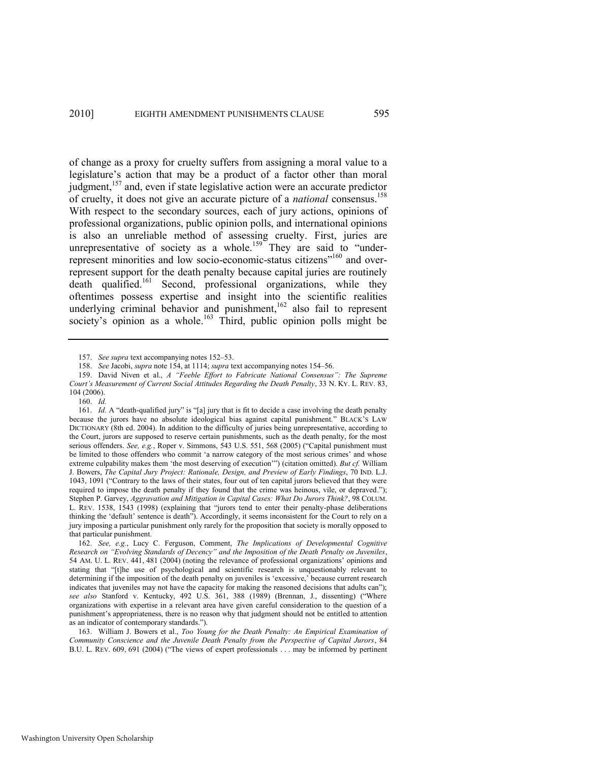<span id="page-29-3"></span><span id="page-29-0"></span>of change as a proxy for cruelty suffers from assigning a moral value to a legislature's action that may be a product of a factor other than moral judgment,  $157$  and, even if state legislative action were an accurate predictor of cruelty, it does not give an accurate picture of a *national* consensus.<sup>158</sup> With respect to the secondary sources, each of jury actions, opinions of professional organizations, public opinion polls, and international opinions is also an unreliable method of assessing cruelty. First, juries are unrepresentative of society as a whole.<sup>159</sup> They are said to "underrepresent minorities and low socio-economic-status citizens"<sup>160</sup> and overrepresent support for the death penalty because capital juries are routinely death qualified.<sup>161</sup> Second, professional organizations, while they oftentimes possess expertise and insight into the scientific realities underlying criminal behavior and punishment,<sup>162</sup> also fail to represent society's opinion as a whole.<sup>163</sup> Third, public opinion polls might be

<span id="page-29-2"></span><span id="page-29-1"></span><sup>157.</sup> *See supra* text accompanying note[s 152](#page-27-0)–53.

<sup>158.</sup> *See* Jacobi, *supra* note [154,](#page-28-0) at 1114; *supra* text accompanying note[s 154](#page-28-0)–56.

<sup>159.</sup> David Niven et al., *A "Feeble Effort to Fabricate National Consensus": The Supreme Court's Measurement of Current Social Attitudes Regarding the Death Penalty*, 33 N. KY. L. REV. 83, 104 (2006).

<sup>160.</sup> *Id.*

<sup>161.</sup> *Id.* A "death-qualified jury" is "[a] jury that is fit to decide a case involving the death penalty because the jurors have no absolute ideological bias against capital punishment." BLACK'S LAW DICTIONARY (8th ed. 2004). In addition to the difficulty of juries being unrepresentative, according to the Court, jurors are supposed to reserve certain punishments, such as the death penalty, for the most serious offenders. See, e.g., Roper v. Simmons, 543 U.S. 551, 568 (2005) ("Capital punishment must be limited to those offenders who commit 'a narrow category of the most serious crimes' and whose extreme culpability makes them 'the most deserving of execution'") (citation omitted). *But cf.* William J. Bowers, *The Capital Jury Project: Rationale, Design, and Preview of Early Findings*, 70 IND. L.J. 1043, 1091 ("Contrary to the laws of their states, four out of ten capital jurors believed that they were required to impose the death penalty if they found that the crime was heinous, vile, or depraved."); Stephen P. Garvey, *Aggravation and Mitigation in Capital Cases: What Do Jurors Think?*, 98 COLUM. L. REV. 1538, 1543 (1998) (explaining that "jurors tend to enter their penalty-phase deliberations thinking the 'default' sentence is death"). Accordingly, it seems inconsistent for the Court to rely on a jury imposing a particular punishment only rarely for the proposition that society is morally opposed to that particular punishment.

<sup>162.</sup> *See, e.g.*, Lucy C. Ferguson, Comment, *The Implications of Developmental Cognitive Research on "Evolving Standards of Decency" and the Imposition of the Death Penalty on Juveniles*, 54 AM. U. L. REV. 441, 481 (2004) (noting the relevance of professional organizations' opinions and stating that "[t]he use of psychological and scientific research is unquestionably relevant to determining if the imposition of the death penalty on juveniles is 'excessive,' because current research indicates that juveniles may not have the capacity for making the reasoned decisions that adults can"); see also Stanford v. Kentucky, 492 U.S. 361, 388 (1989) (Brennan, J., dissenting) ("Where organizations with expertise in a relevant area have given careful consideration to the question of a punishment's appropriateness, there is no reason why that judgment should not be entitled to attention as an indicator of contemporary standards.").

<sup>163.</sup> William J. Bowers et al., *Too Young for the Death Penalty: An Empirical Examination of Community Conscience and the Juvenile Death Penalty from the Perspective of Capital Jurors*, 84 B.U. L. REV. 609, 691 (2004) ("The views of expert professionals . . . may be informed by pertinent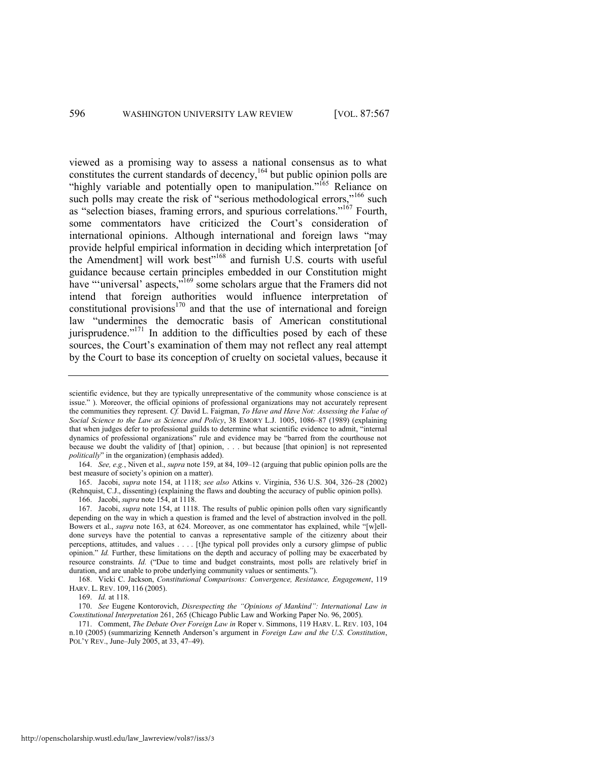<span id="page-30-0"></span>viewed as a promising way to assess a national consensus as to what constitutes the current standards of decency,<sup>164</sup> but public opinion polls are <sup>th</sup>ighly variable and potentially open to manipulation.<sup>"165</sup> Reliance on such polls may create the risk of "serious methodological errors,"<sup>166</sup> such as "selection biases, framing errors, and spurious correlations."<sup>167</sup> Fourth, some commentators have criticized the Court's consideration of international opinions. Although international and foreign laws "may provide helpful empirical information in deciding which interpretation [of the Amendment] will work best<sup>168</sup> and furnish U.S. courts with useful guidance because certain principles embedded in our Constitution might have "universal' aspects,"<sup>169</sup> some scholars argue that the Framers did not intend that foreign authorities would influence interpretation of constitutional provisions $170$  and that the use of international and foreign law "undermines the democratic basis of American constitutional jurisprudence.<sup> $171$ </sup> In addition to the difficulties posed by each of these sources, the Court's examination of them may not reflect any real attempt by the Court to base its conception of cruelty on societal values, because it

164. *See, e.g.*, Niven et al., *supra* not[e 159,](#page-29-0) at 84, 109–12 (arguing that public opinion polls are the best measure of society's opinion on a matter).

165. Jacobi, *supra* note [154,](#page-28-0) at 1118; *see also* Atkins v. Virginia, 536 U.S. 304, 326–28 (2002) (Rehnquist, C.J., dissenting) (explaining the flaws and doubting the accuracy of public opinion polls). 166. Jacobi, *supra* not[e 154,](#page-28-0) at 1118.

167. Jacobi, *supra* not[e 154,](#page-28-0) at 1118. The results of public opinion polls often vary significantly depending on the way in which a question is framed and the level of abstraction involved in the poll. Bowers et al., *supra* note [163,](#page-29-1) at 624. Moreover, as one commentator has explained, while "[w]elldone surveys have the potential to canvas a representative sample of the citizenry about their perceptions, attitudes, and values . . . . [t]he typical poll provides only a cursory glimpse of public opinion." *Id.* Further, these limitations on the depth and accuracy of polling may be exacerbated by resource constraints. *Id.* ("Due to time and budget constraints, most polls are relatively brief in duration, and are unable to probe underlying community values or sentiments.").

168. Vicki C. Jackson, *Constitutional Comparisons: Convergence, Resistance, Engagement*, 119 HARV. L. REV. 109, 116 (2005).

171. Comment, *The Debate Over Foreign Law in* Roper v. Simmons, 119 HARV. L. REV. 103, 104 n.10 (2005) (summarizing Kenneth Anderson's argument in *Foreign Law and the U.S. Constitution*, POL'Y REV., June–July 2005, at 33, 47–49).

scientific evidence, but they are typically unrepresentative of the community whose conscience is at issue.‖ ). Moreover, the official opinions of professional organizations may not accurately represent the communities they represent. *Cf.* David L. Faigman, *To Have and Have Not: Assessing the Value of Social Science to the Law as Science and Policy*, 38 EMORY L.J. 1005, 1086–87 (1989) (explaining that when judges defer to professional guilds to determine what scientific evidence to admit, "internal dynamics of professional organizations" rule and evidence may be "barred from the courthouse not because we doubt the validity of [that] opinion, . . . but because [that opinion] is not represented *politically*" in the organization) (emphasis added).

<sup>169.</sup> *Id.* at 118.

<sup>170.</sup> *See* Eugene Kontorovich, *Disrespecting the "Opinions of Mankind": International Law in Constitutional Interpretation* 261, 265 (Chicago Public Law and Working Paper No. 96, 2005).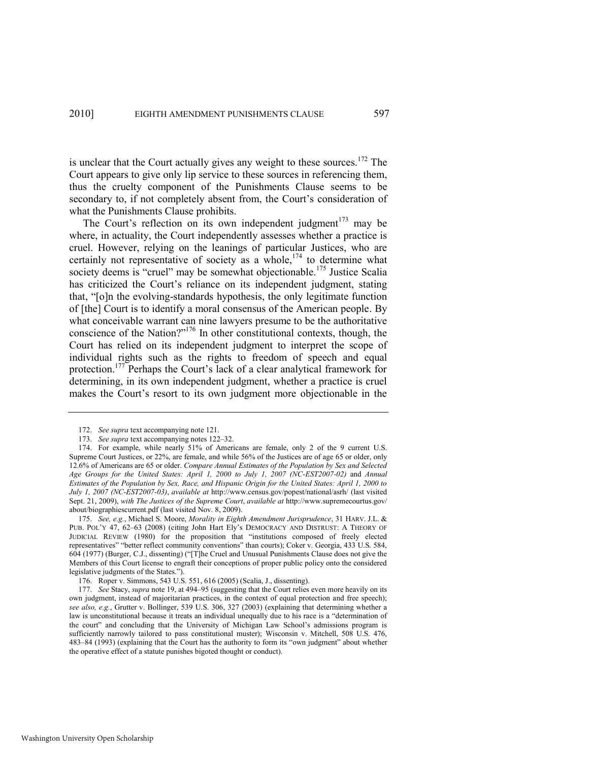is unclear that the Court actually gives any weight to these sources.<sup>172</sup> The Court appears to give only lip service to these sources in referencing them, thus the cruelty component of the Punishments Clause seems to be secondary to, if not completely absent from, the Court's consideration of what the Punishments Clause prohibits.

<span id="page-31-3"></span><span id="page-31-1"></span>The Court's reflection on its own independent judgment<sup>173</sup> may be where, in actuality, the Court independently assesses whether a practice is cruel. However, relying on the leanings of particular Justices, who are certainly not representative of society as a whole,<sup>174</sup> to determine what society deems is "cruel" may be somewhat objectionable.<sup>175</sup> Justice Scalia has criticized the Court's reliance on its independent judgment, stating that, "[o]n the evolving-standards hypothesis, the only legitimate function of [the] Court is to identify a moral consensus of the American people. By what conceivable warrant can nine lawyers presume to be the authoritative conscience of the Nation? $v<sup>176</sup>$  In other constitutional contexts, though, the Court has relied on its independent judgment to interpret the scope of individual rights such as the rights to freedom of speech and equal protection.<sup>177</sup> Perhaps the Court's lack of a clear analytical framework for determining, in its own independent judgment, whether a practice is cruel makes the Court's resort to its own judgment more objectionable in the

175. *See, e.g.*, Michael S. Moore, *Morality in Eighth Amendment Jurisprudence*, 31 HARV. J.L. & PUB. POL'Y 47, 62–63 (2008) (citing John Hart Ely's DEMOCRACY AND DISTRUST: A THEORY OF JUDICIAL REVIEW (1980) for the proposition that "institutions composed of freely elected representatives" "better reflect community conventions" than courts); Coker v. Georgia, 433 U.S. 584, 604 (1977) (Burger, C.J., dissenting) ("[T]he Cruel and Unusual Punishments Clause does not give the Members of this Court license to engraft their conceptions of proper public policy onto the considered legislative judgments of the States.").

<span id="page-31-2"></span><span id="page-31-0"></span><sup>172.</sup> *See supra* text accompanying not[e 121.](#page-23-1)

<sup>173.</sup> *See supra* text accompanying note[s 122](#page-23-0)–32.

<sup>174.</sup> For example, while nearly 51% of Americans are female, only 2 of the 9 current U.S. Supreme Court Justices, or 22%, are female, and while 56% of the Justices are of age 65 or older, only 12.6% of Americans are 65 or older. *Compare Annual Estimates of the Population by Sex and Selected Age Groups for the United States: April 1, 2000 to July 1, 2007 (NC-EST2007-02)* and *Annual Estimates of the Population by Sex, Race, and Hispanic Origin for the United States: April 1, 2000 to July 1, 2007 (NC-EST2007-03)*, *available at* http://www.census.gov/popest/national/asrh/ (last visited Sept. 21, 2009), *with The Justices of the Supreme Court*, *available at* http://www.supremecourtus.gov/ about/biographiescurrent.pdf (last visited Nov. 8, 2009).

<sup>176.</sup> Roper v. Simmons, 543 U.S. 551, 616 (2005) (Scalia, J., dissenting).

<sup>177.</sup> *See* Stacy, *supra* not[e 19,](#page-5-0) at 494–95 (suggesting that the Court relies even more heavily on its own judgment, instead of majoritarian practices, in the context of equal protection and free speech); *see also, e.g.*, Grutter v. Bollinger, 539 U.S. 306, 327 (2003) (explaining that determining whether a law is unconstitutional because it treats an individual unequally due to his race is a "determination of the court" and concluding that the University of Michigan Law School's admissions program is sufficiently narrowly tailored to pass constitutional muster); Wisconsin v. Mitchell, 508 U.S. 476, 483–84 (1993) (explaining that the Court has the authority to form its "own judgment" about whether the operative effect of a statute punishes bigoted thought or conduct).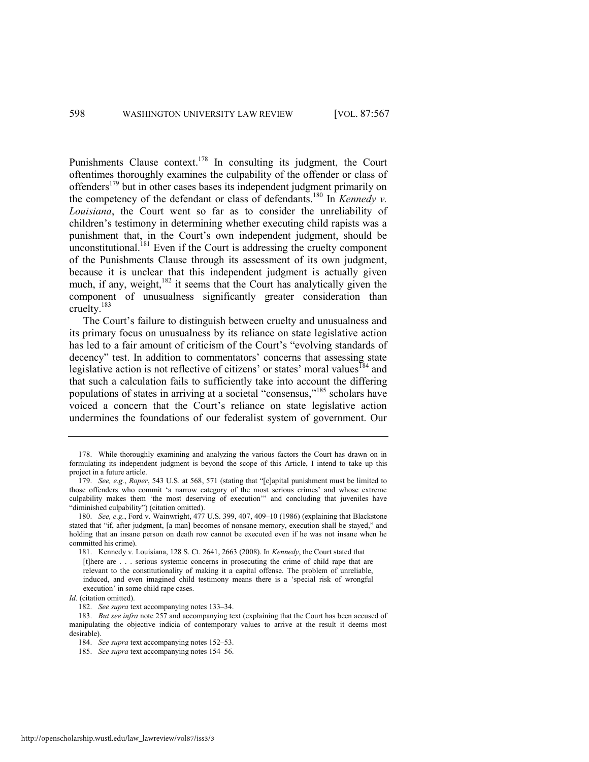Punishments Clause context.<sup>178</sup> In consulting its judgment, the Court oftentimes thoroughly examines the culpability of the offender or class of offenders<sup>179</sup> but in other cases bases its independent judgment primarily on the competency of the defendant or class of defendants.<sup>180</sup> In *Kennedy v. Louisiana*, the Court went so far as to consider the unreliability of children's testimony in determining whether executing child rapists was a punishment that, in the Court's own independent judgment, should be unconstitutional. $181$  Even if the Court is addressing the cruelty component of the Punishments Clause through its assessment of its own judgment, because it is unclear that this independent judgment is actually given much, if any, weight,<sup>182</sup> it seems that the Court has analytically given the component of unusualness significantly greater consideration than cruelty.<sup>183</sup>

The Court's failure to distinguish between cruelty and unusualness and its primary focus on unusualness by its reliance on state legislative action has led to a fair amount of criticism of the Court's "evolving standards of decency" test. In addition to commentators' concerns that assessing state legislative action is not reflective of citizens' or states' moral values<sup>184</sup> and that such a calculation fails to sufficiently take into account the differing populations of states in arriving at a societal "consensus,"<sup>185</sup> scholars have voiced a concern that the Court's reliance on state legislative action undermines the foundations of our federalist system of government. Our

<sup>178.</sup> While thoroughly examining and analyzing the various factors the Court has drawn on in formulating its independent judgment is beyond the scope of this Article, I intend to take up this project in a future article.

<sup>179.</sup> *See, e.g., Roper*, 543 U.S. at 568, 571 (stating that "[c]apital punishment must be limited to those offenders who commit 'a narrow category of the most serious crimes' and whose extreme culpability makes them 'the most deserving of execution'" and concluding that juveniles have "diminished culpability") (citation omitted).

<sup>180.</sup> *See, e.g.*, Ford v. Wainwright, 477 U.S. 399, 407, 409–10 (1986) (explaining that Blackstone stated that "if, after judgment, [a man] becomes of nonsane memory, execution shall be stayed," and holding that an insane person on death row cannot be executed even if he was not insane when he committed his crime).

<sup>181.</sup> Kennedy v. Louisiana, 128 S. Ct. 2641, 2663 (2008). In *Kennedy*, the Court stated that [t]here are . . . serious systemic concerns in prosecuting the crime of child rape that are relevant to the constitutionality of making it a capital offense. The problem of unreliable, induced, and even imagined child testimony means there is a 'special risk of wrongful execution' in some child rape cases.

*Id.* (citation omitted).

<sup>182.</sup> *See supra* text accompanying note[s 133](#page-25-0)–34.

<sup>183.</sup> *But see infra* note [257](#page-45-0) and accompanying text (explaining that the Court has been accused of manipulating the objective indicia of contemporary values to arrive at the result it deems most desirable).

<sup>184.</sup> *See supra* text accompanying note[s 152](#page-27-0)–53.

<sup>185.</sup> *See supra* text accompanying note[s 154](#page-28-0)–56.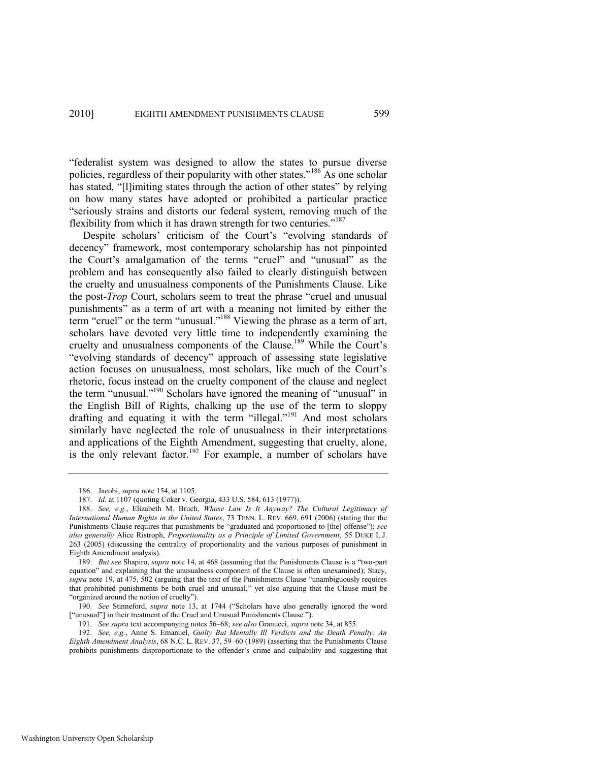<span id="page-33-1"></span>―federalist system was designed to allow the states to pursue diverse policies, regardless of their popularity with other states.<sup> $186$ </sup> As one scholar has stated, "[I]imiting states through the action of other states" by relying on how many states have adopted or prohibited a particular practice "seriously strains and distorts our federal system, removing much of the flexibility from which it has drawn strength for two centuries."<sup>187</sup>

<span id="page-33-0"></span>Despite scholars' criticism of the Court's "evolving standards of decency" framework, most contemporary scholarship has not pinpointed the Court's amalgamation of the terms "cruel" and "unusual" as the problem and has consequently also failed to clearly distinguish between the cruelty and unusualness components of the Punishments Clause. Like the post-*Trop* Court, scholars seem to treat the phrase "cruel and unusual punishments" as a term of art with a meaning not limited by either the term "cruel" or the term "unusual."<sup>188</sup> Viewing the phrase as a term of art, scholars have devoted very little time to independently examining the cruelty and unusualness components of the Clause.<sup>189</sup> While the Court's "evolving standards of decency" approach of assessing state legislative action focuses on unusualness, most scholars, like much of the Court's rhetoric, focus instead on the cruelty component of the clause and neglect the term "unusual."<sup>190</sup> Scholars have ignored the meaning of "unusual" in the English Bill of Rights, chalking up the use of the term to sloppy drafting and equating it with the term "illegal."<sup>191</sup> And most scholars similarly have neglected the role of unusualness in their interpretations and applications of the Eighth Amendment, suggesting that cruelty, alone, is the only relevant factor.<sup>192</sup> For example, a number of scholars have

189. *But see* Shapiro, *supra* not[e 14,](#page-4-1) at 468 (assuming that the Punishments Clause is a "two-part" equation" and explaining that the unusualness component of the Clause is often unexamined); Stacy, supra note [19,](#page-5-0) at 475, 502 (arguing that the text of the Punishments Clause "unambiguously requires that prohibited punishments be both cruel and unusual," yet also arguing that the Clause must be "organized around the notion of cruelty").

190. *See* Stinneford, *supra* note [13](#page-3-0), at 1744 ("Scholars have also generally ignored the word ["unusual"] in their treatment of the Cruel and Unusual Punishments Clause.").

191. *See supra* text accompanying note[s 56](#page-11-3)–[68;](#page-13-0) *see also* Granucci, *supra* not[e 34,](#page-8-0) at 855.

192. *See, e.g.*, Anne S. Emanuel, *Guilty But Mentally Ill Verdicts and the Death Penalty: An Eighth Amendment Analysis*, 68 N.C. L. REV. 37, 59–60 (1989) (asserting that the Punishments Clause prohibits punishments disproportionate to the offender's crime and culpability and suggesting that

<sup>186.</sup> Jacobi, *supra* not[e 154,](#page-28-0) at 1105.

<sup>187.</sup> *Id.* at 1107 (quoting Coker v. Georgia, 433 U.S. 584, 613 (1977)).

<sup>188.</sup> *See, e.g.*, Elizabeth M. Bruch, *Whose Law Is It Anyway? The Cultural Legitimacy of International Human Rights in the United States*, 73 TENN. L. REV. 669, 691 (2006) (stating that the Punishments Clause requires that punishments be "graduated and proportioned to [the] offense"); see *also generally* Alice Ristroph, *Proportionality as a Principle of Limited Government*, 55 DUKE L.J. 263 (2005) (discussing the centrality of proportionality and the various purposes of punishment in Eighth Amendment analysis).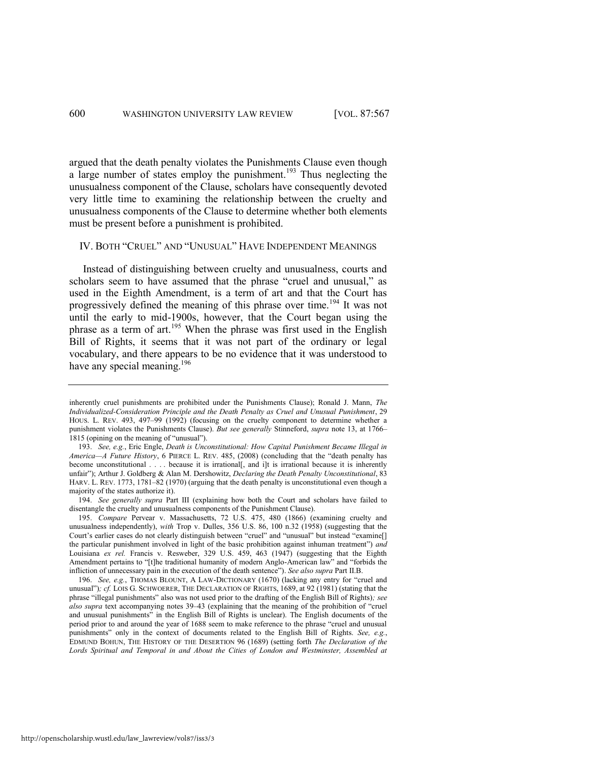<span id="page-34-0"></span>argued that the death penalty violates the Punishments Clause even though a large number of states employ the punishment.<sup>193</sup> Thus neglecting the unusualness component of the Clause, scholars have consequently devoted very little time to examining the relationship between the cruelty and unusualness components of the Clause to determine whether both elements must be present before a punishment is prohibited.

#### IV. BOTH "CRUEL" AND "UNUSUAL" HAVE INDEPENDENT MEANINGS

Instead of distinguishing between cruelty and unusualness, courts and scholars seem to have assumed that the phrase "cruel and unusual," as used in the Eighth Amendment, is a term of art and that the Court has progressively defined the meaning of this phrase over time.<sup>194</sup> It was not until the early to mid-1900s, however, that the Court began using the phrase as a term of art.<sup>195</sup> When the phrase was first used in the English Bill of Rights, it seems that it was not part of the ordinary or legal vocabulary, and there appears to be no evidence that it was understood to have any special meaning.<sup>196</sup>

inherently cruel punishments are prohibited under the Punishments Clause); Ronald J. Mann, *The Individualized-Consideration Principle and the Death Penalty as Cruel and Unusual Punishment*, 29 HOUS. L. REV. 493, 497–99 (1992) (focusing on the cruelty component to determine whether a punishment violates the Punishments Clause). *But see generally* Stinneford, *supra* note [13,](#page-3-0) at 1766– 1815 (opining on the meaning of "unusual").

<sup>193.</sup> *See, e.g.*, Eric Engle, *Death is Unconstitutional: How Capital Punishment Became Illegal in America*—*A Future History*, 6 PIERCE L. REV. 485, (2008) (concluding that the "death penalty has become unconstitutional . . . . because it is irrational[, and i]t is irrational because it is inherently unfair‖); Arthur J. Goldberg & Alan M. Dershowitz, *Declaring the Death Penalty Unconstitutional*, 83 HARV. L. REV. 1773, 1781–82 (1970) (arguing that the death penalty is unconstitutional even though a majority of the states authorize it).

<sup>194.</sup> *See generally supra* Part III (explaining how both the Court and scholars have failed to disentangle the cruelty and unusualness components of the Punishment Clause).

<sup>195.</sup> *Compare* Pervear v. Massachusetts, 72 U.S. 475, 480 (1866) (examining cruelty and unusualness independently), *with* Trop v. Dulles, 356 U.S. 86, 100 n.32 (1958) (suggesting that the Court's earlier cases do not clearly distinguish between "cruel" and "unusual" but instead "examine[] the particular punishment involved in light of the basic prohibition against inhuman treatment") and Louisiana *ex rel.* Francis v. Resweber, 329 U.S. 459, 463 (1947) (suggesting that the Eighth Amendment pertains to "[t]he traditional humanity of modern Anglo-American law" and "forbids the infliction of unnecessary pain in the execution of the death sentence"). *See also supra* Part II.B.

<sup>196.</sup> *See, e.g.*, THOMAS BLOUNT, A LAW-DICTIONARY (1670) (lacking any entry for "cruel and unusual")*; cf.* LOIS G. SCHWOERER, THE DECLARATION OF RIGHTS, 1689, at 92 (1981) (stating that the phrase "illegal punishments" also was not used prior to the drafting of the English Bill of Rights); see *also supra* text accompanying notes [39](#page-9-1)–[43](#page-9-2) (explaining that the meaning of the prohibition of "cruel and unusual punishments" in the English Bill of Rights is unclear). The English documents of the period prior to and around the year of 1688 seem to make reference to the phrase "cruel and unusual punishments" only in the context of documents related to the English Bill of Rights. *See, e.g.*, EDMUND BOHUN, THE HISTORY OF THE DESERTION 96 (1689) (setting forth *The Declaration of the Lords Spiritual and Temporal in and About the Cities of London and Westminster, Assembled at*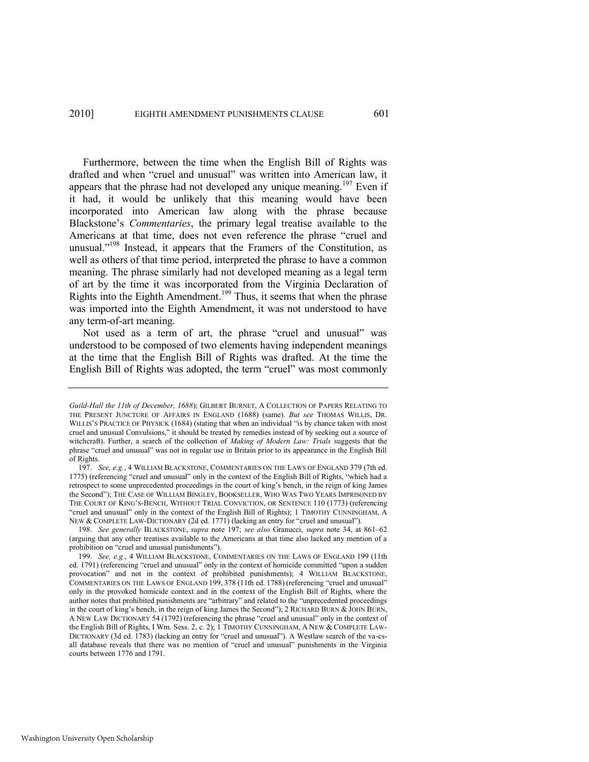<span id="page-35-0"></span>Furthermore, between the time when the English Bill of Rights was drafted and when "cruel and unusual" was written into American law, it appears that the phrase had not developed any unique meaning.<sup>197</sup> Even if it had, it would be unlikely that this meaning would have been incorporated into American law along with the phrase because Blackstone's *Commentaries*, the primary legal treatise available to the Americans at that time, does not even reference the phrase "cruel and unusual."<sup>198</sup> Instead, it appears that the Framers of the Constitution, as well as others of that time period, interpreted the phrase to have a common meaning. The phrase similarly had not developed meaning as a legal term of art by the time it was incorporated from the Virginia Declaration of Rights into the Eighth Amendment.<sup>199</sup> Thus, it seems that when the phrase was imported into the Eighth Amendment, it was not understood to have any term-of-art meaning.

Not used as a term of art, the phrase "cruel and unusual" was understood to be composed of two elements having independent meanings at the time that the English Bill of Rights was drafted. At the time the English Bill of Rights was adopted, the term "cruel" was most commonly

*Guild-Hall the 11th of December, 1688*); GILBERT BURNET, A COLLECTION OF PAPERS RELATING TO THE PRESENT JUNCTURE OF AFFAIRS IN ENGLAND (1688) (same). *But see* THOMAS WILLIS, DR. WILLIS'S PRACTICE OF PHYSICK (1684) (stating that when an individual "is by chance taken with most cruel and unusual Convulsions," it should be treated by remedies instead of by seeking out a source of witchcraft). Further, a search of the collection of *Making of Modern Law: Trials* suggests that the phrase "cruel and unusual" was not in regular use in Britain prior to its appearance in the English Bill of Rights.

<sup>197.</sup> *See, e.g.*, 4 WILLIAM BLACKSTONE, COMMENTARIES ON THE LAWS OF ENGLAND 379 (7th ed. 1775) (referencing "cruel and unusual" only in the context of the English Bill of Rights, "which had a retrospect to some unprecedented proceedings in the court of king's bench, in the reign of king James the Second‖); THE CASE OF WILLIAM BINGLEY, BOOKSELLER, WHO WAS TWO YEARS IMPRISONED BY THE COURT OF KING'S-BENCH, WITHOUT TRIAL CONVICTION, OR SENTENCE 110 (1773) (referencing ―cruel and unusual‖ only in the context of the English Bill of Rights); 1 TIMOTHY CUNNINGHAM, A NEW & COMPLETE LAW-DICTIONARY (2d ed. 1771) (lacking an entry for "cruel and unusual").

<sup>198.</sup> *See generally* BLACKSTONE, *supra* note [197;](#page-35-0) *see also* Granucci, *supra* note [34,](#page-8-0) at 861–62 (arguing that any other treatises available to the Americans at that time also lacked any mention of a prohibition on "cruel and unusual punishments").

<sup>199.</sup> *See, e.g.*, 4 WILLIAM BLACKSTONE, COMMENTARIES ON THE LAWS OF ENGLAND 199 (11th ed. 1791) (referencing "cruel and unusual" only in the context of homicide committed "upon a sudden provocation" and not in the context of prohibited punishments); 4 WILLIAM BLACKSTONE, COMMENTARIES ON THE LAWS OF ENGLAND 199, 378 (11th ed. 1788) (referencing "cruel and unusual" only in the provoked homicide context and in the context of the English Bill of Rights, where the author notes that prohibited punishments are "arbitrary" and related to the "unprecedented proceedings in the court of king's bench, in the reign of king James the Second"); 2 RICHARD BURN & JOHN BURN, A NEW LAW DICTIONARY 54 (1792) (referencing the phrase "cruel and unusual" only in the context of the English Bill of Rights, I Wm. Sess. 2, c. 2); 1 TIMOTHY CUNNINGHAM, A NEW & COMPLETE LAW-DICTIONARY (3d ed. 1783) (lacking an entry for "cruel and unusual"). A Westlaw search of the va-csall database reveals that there was no mention of "cruel and unusual" punishments in the Virginia courts between 1776 and 1791.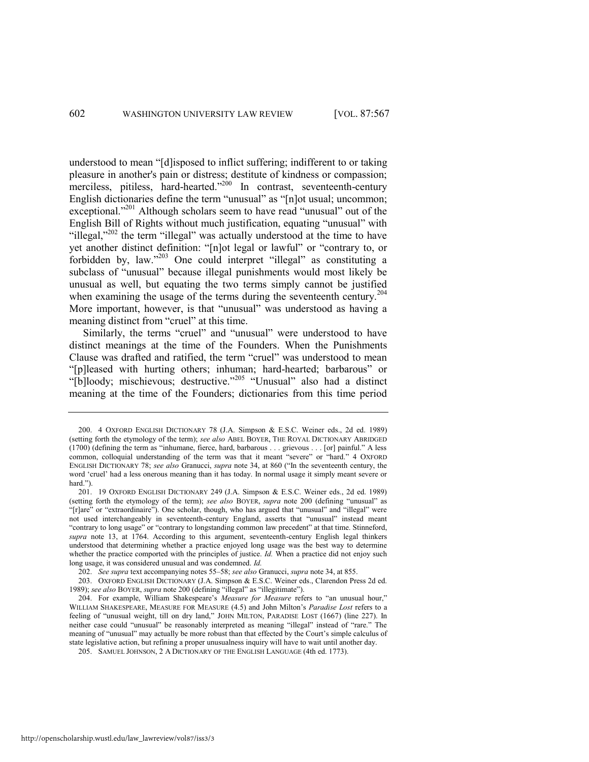<span id="page-36-0"></span>understood to mean "[d]isposed to inflict suffering; indifferent to or taking pleasure in another's pain or distress; destitute of kindness or compassion; merciless, pitiless, hard-hearted."<sup>200</sup> In contrast, seventeenth-century English dictionaries define the term "unusual" as "[n]ot usual; uncommon; exceptional."<sup>201</sup> Although scholars seem to have read "unusual" out of the English Bill of Rights without much justification, equating "unusual" with "illegal," $^{202}$  the term "illegal" was actually understood at the time to have yet another distinct definition: "[n]ot legal or lawful" or "contrary to, or forbidden by, law." $203$  One could interpret "illegal" as constituting a subclass of "unusual" because illegal punishments would most likely be unusual as well, but equating the two terms simply cannot be justified when examining the usage of the terms during the seventeenth century.<sup>204</sup> More important, however, is that "unusual" was understood as having a meaning distinct from "cruel" at this time.

Similarly, the terms "cruel" and "unusual" were understood to have distinct meanings at the time of the Founders. When the Punishments Clause was drafted and ratified, the term "cruel" was understood to mean "[p]leased with hurting others; inhuman; hard-hearted; barbarous" or "[b]loody; mischievous; destructive."<sup>205</sup> "Unusual" also had a distinct meaning at the time of the Founders; dictionaries from this time period

<sup>200. 4</sup> OXFORD ENGLISH DICTIONARY 78 (J.A. Simpson & E.S.C. Weiner eds., 2d ed. 1989) (setting forth the etymology of the term); *see also* ABEL BOYER, THE ROYAL DICTIONARY ABRIDGED  $(1700)$  (defining the term as "inhumane, fierce, hard, barbarous . . . grievous . . . [or] painful." A less common, colloquial understanding of the term was that it meant "severe" or "hard." 4 OXFORD ENGLISH DICTIONARY 78; see also Granucci, *supra* note [34](#page-8-0), at 860 ("In the seventeenth century, the word ‗cruel' had a less onerous meaning than it has today. In normal usage it simply meant severe or hard.").

<sup>201. 19</sup> OXFORD ENGLISH DICTIONARY 249 (J.A. Simpson & E.S.C. Weiner eds., 2d ed. 1989) (setting forth the etymology of the term); see also BOYER, supra note [200](#page-36-0) (defining "unusual" as "[r]are" or "extraordinaire"). One scholar, though, who has argued that "unusual" and "illegal" were not used interchangeably in seventeenth-century England, asserts that "unusual" instead meant "contrary to long usage" or "contrary to longstanding common law precedent" at that time. Stinneford, *supra* note [13,](#page-3-0) at 1764. According to this argument, seventeenth-century English legal thinkers understood that determining whether a practice enjoyed long usage was the best way to determine whether the practice comported with the principles of justice. *Id.* When a practice did not enjoy such long usage, it was considered unusual and was condemned. *Id.*

<sup>202.</sup> *See supra* text accompanying note[s 55](#page-11-4)–[58;](#page-12-2) *see also* Granucci, *supra* not[e 34,](#page-8-0) at 855.

<sup>203.</sup> OXFORD ENGLISH DICTIONARY (J.A. Simpson & E.S.C. Weiner eds., Clarendon Press 2d ed. 1989); see also BOYER, *supra* not[e 200](#page-36-0) (defining "illegal" as "illegitimate").

<sup>204.</sup> For example, William Shakespeare's *Measure for Measure* refers to "an unusual hour," WILLIAM SHAKESPEARE, MEASURE FOR MEASURE (4.5) and John Milton's *Paradise Lost* refers to a feeling of "unusual weight, till on dry land," JOHN MILTON, PARADISE LOST (1667) (line 227). In neither case could "unusual" be reasonably interpreted as meaning "illegal" instead of "rare." The meaning of "unusual" may actually be more robust than that effected by the Court's simple calculus of state legislative action, but refining a proper unusualness inquiry will have to wait until another day.

<sup>205.</sup> SAMUEL JOHNSON, 2 A DICTIONARY OF THE ENGLISH LANGUAGE (4th ed. 1773).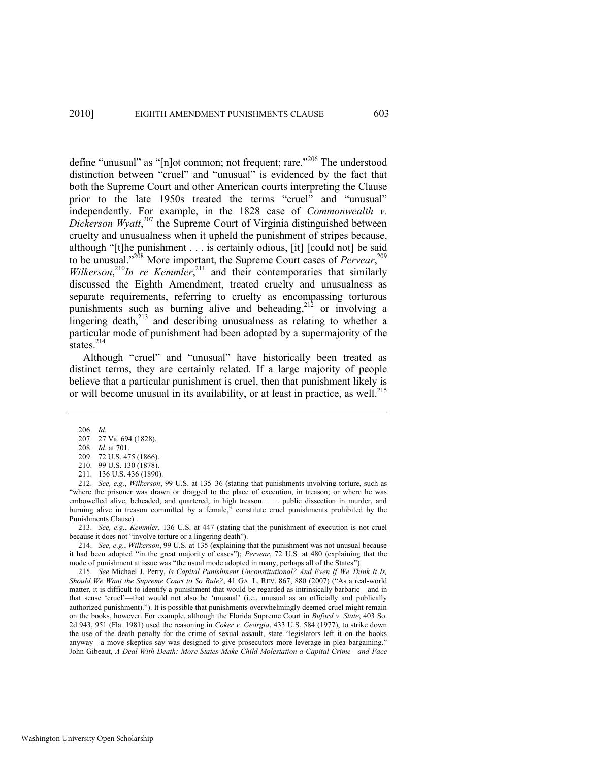define "unusual" as "[n]ot common; not frequent; rare."<sup>206</sup> The understood distinction between "cruel" and "unusual" is evidenced by the fact that both the Supreme Court and other American courts interpreting the Clause prior to the late 1950s treated the terms "cruel" and "unusual" independently. For example, in the 1828 case of *Commonwealth v.*  Dickerson Wyatt,<sup>207</sup> the Supreme Court of Virginia distinguished between cruelty and unusualness when it upheld the punishment of stripes because, although "[t]he punishment . . . is certainly odious, [it] [could not] be said to be unusual."<sup>208</sup> More important, the Supreme Court cases of *Pervear*,<sup>209</sup> *Wilkerson*<sup>210</sup>*In re Kemmler*<sup>211</sup> and their contemporaries that similarly discussed the Eighth Amendment, treated cruelty and unusualness as separate requirements, referring to cruelty as encompassing torturous punishments such as burning alive and beheading,  $2^{12}$  or involving a lingering death,<sup>213</sup> and describing unusualness as relating to whether a particular mode of punishment had been adopted by a supermajority of the states. $^{214}$ 

Although "cruel" and "unusual" have historically been treated as distinct terms, they are certainly related. If a large majority of people believe that a particular punishment is cruel, then that punishment likely is or will become unusual in its availability, or at least in practice, as well.<sup>215</sup>

<span id="page-37-0"></span>206. *Id.* 

213. *See, e.g.*, *Kemmler*, 136 U.S. at 447 (stating that the punishment of execution is not cruel because it does not "involve torture or a lingering death").

214. *See, e.g.*, *Wilkerson*, 99 U.S. at 135 (explaining that the punishment was not unusual because it had been adopted "in the great majority of cases"); *Pervear*, 72 U.S. at 480 (explaining that the mode of punishment at issue was "the usual mode adopted in many, perhaps all of the States").

215. *See* Michael J. Perry, *Is Capital Punishment Unconstitutional? And Even If We Think It Is, Should We Want the Supreme Court to So Rule?*, 41 GA. L. REV. 867, 880 (2007) ("As a real-world matter, it is difficult to identify a punishment that would be regarded as intrinsically barbaric—and in that sense ‗cruel'—that would not also be ‗unusual' (i.e., unusual as an officially and publically authorized punishment)."). It is possible that punishments overwhelmingly deemed cruel might remain on the books, however. For example, although the Florida Supreme Court in *Buford v. State*, 403 So. 2d 943, 951 (Fla. 1981) used the reasoning in *Coker v. Georgia*, 433 U.S. 584 (1977), to strike down the use of the death penalty for the crime of sexual assault, state "legislators left it on the books anyway—a move skeptics say was designed to give prosecutors more leverage in plea bargaining." John Gibeaut, *A Deal With Death: More States Make Child Molestation a Capital Crime—and Face* 

<sup>207. 27</sup> Va. 694 (1828).

<sup>208.</sup> *Id.* at 701.

<sup>209. 72</sup> U.S. 475 (1866).

<sup>210. 99</sup> U.S. 130 (1878).

<sup>211. 136</sup> U.S. 436 (1890).

<sup>212.</sup> *See, e.g.*, *Wilkerson*, 99 U.S. at 135–36 (stating that punishments involving torture, such as "where the prisoner was drawn or dragged to the place of execution, in treason; or where he was embowelled alive, beheaded, and quartered, in high treason. . . . public dissection in murder, and burning alive in treason committed by a female," constitute cruel punishments prohibited by the Punishments Clause).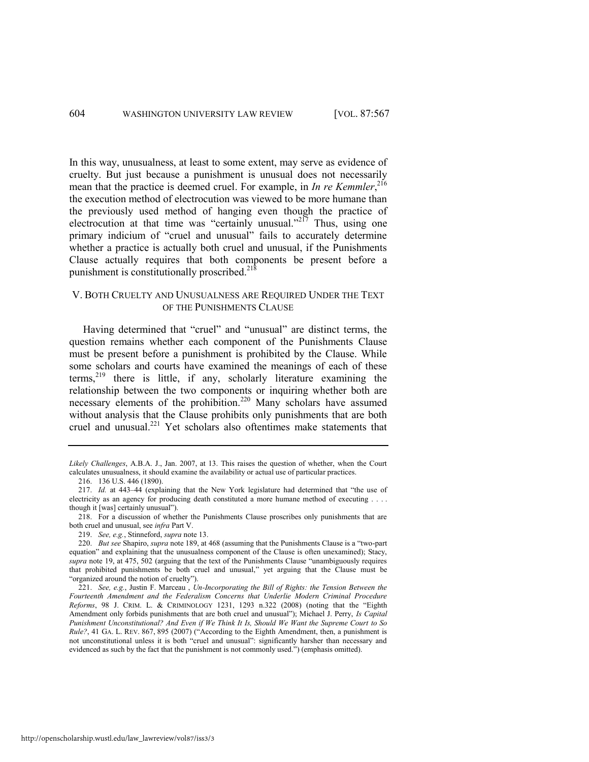In this way, unusualness, at least to some extent, may serve as evidence of cruelty. But just because a punishment is unusual does not necessarily mean that the practice is deemed cruel. For example, in *In re Kemmler*, 216 the execution method of electrocution was viewed to be more humane than the previously used method of hanging even though the practice of electrocution at that time was "certainly unusual."<sup>217</sup> Thus, using one primary indicium of "cruel and unusual" fails to accurately determine whether a practice is actually both cruel and unusual, if the Punishments Clause actually requires that both components be present before a punishment is constitutionally proscribed. $2^{18}$ 

# V. BOTH CRUELTY AND UNUSUALNESS ARE REQUIRED UNDER THE TEXT OF THE PUNISHMENTS CLAUSE

Having determined that "cruel" and "unusual" are distinct terms, the question remains whether each component of the Punishments Clause must be present before a punishment is prohibited by the Clause. While some scholars and courts have examined the meanings of each of these terms,<sup>219</sup> there is little, if any, scholarly literature examining the relationship between the two components or inquiring whether both are necessary elements of the prohibition.<sup>220</sup> Many scholars have assumed without analysis that the Clause prohibits only punishments that are both cruel and unusual.<sup>221</sup> Yet scholars also oftentimes make statements that

219. *See, e.g.*, Stinneford, *supra* not[e 13.](#page-3-0) 

*Likely Challenges*, A.B.A. J., Jan. 2007, at 13. This raises the question of whether, when the Court calculates unusualness, it should examine the availability or actual use of particular practices.

<sup>216. 136</sup> U.S. 446 (1890).

<sup>217.</sup> *Id.* at 443–44 (explaining that the New York legislature had determined that "the use of electricity as an agency for producing death constituted a more humane method of executing . . . . though it [was] certainly unusual").

<sup>218.</sup> For a discussion of whether the Punishments Clause proscribes only punishments that are both cruel and unusual, see *infra* Part V.

<sup>220.</sup> *But see Shapiro, supra* not[e 189,](#page-33-0) at 468 (assuming that the Punishments Clause is a "two-part equation" and explaining that the unusualness component of the Clause is often unexamined); Stacy, supra note [19,](#page-5-0) at 475, 502 (arguing that the text of the Punishments Clause "unambiguously requires that prohibited punishments be both cruel and unusual," yet arguing that the Clause must be "organized around the notion of cruelty").

<sup>221.</sup> *See, e.g.*, Justin F. Marceau , *Un-Incorporating the Bill of Rights: the Tension Between the Fourteenth Amendment and the Federalism Concerns that Underlie Modern Criminal Procedure Reforms*, 98 J. CRIM. L. & CRIMINOLOGY 1231, 1293 n.322 (2008) (noting that the "Eighth Amendment only forbids punishments that are both cruel and unusual"); Michael J. Perry, *Is Capital Punishment Unconstitutional? And Even if We Think It Is, Should We Want the Supreme Court to So Rule?*, 41 GA. L. REV. 867, 895 (2007) ("According to the Eighth Amendment, then, a punishment is not unconstitutional unless it is both "cruel and unusual": significantly harsher than necessary and evidenced as such by the fact that the punishment is not commonly used.") (emphasis omitted).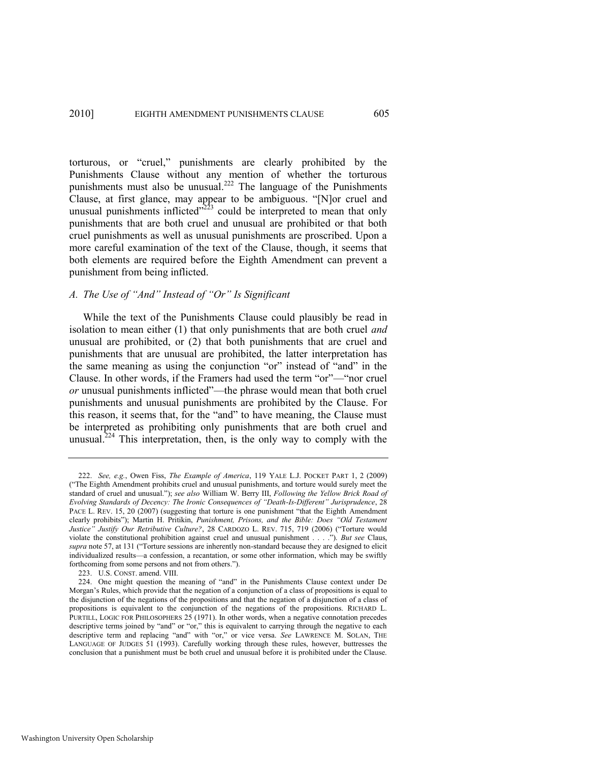<span id="page-39-0"></span>torturous, or "cruel," punishments are clearly prohibited by the Punishments Clause without any mention of whether the torturous punishments must also be unusual.<sup>222</sup> The language of the Punishments Clause, at first glance, may appear to be ambiguous. "[N]or cruel and unusual punishments inflicted $v^{223}$  could be interpreted to mean that only punishments that are both cruel and unusual are prohibited or that both cruel punishments as well as unusual punishments are proscribed. Upon a more careful examination of the text of the Clause, though, it seems that both elements are required before the Eighth Amendment can prevent a punishment from being inflicted.

# *A. The Use of "And" Instead of "Or" Is Significant*

While the text of the Punishments Clause could plausibly be read in isolation to mean either (1) that only punishments that are both cruel *and*  unusual are prohibited, or (2) that both punishments that are cruel and punishments that are unusual are prohibited, the latter interpretation has the same meaning as using the conjunction "or" instead of "and" in the Clause. In other words, if the Framers had used the term "or"—"nor cruel *or* unusual punishments inflicted"—the phrase would mean that both cruel punishments and unusual punishments are prohibited by the Clause. For this reason, it seems that, for the "and" to have meaning, the Clause must be interpreted as prohibiting only punishments that are both cruel and unusual. $224$  This interpretation, then, is the only way to comply with the

<span id="page-39-1"></span><sup>222.</sup> *See, e.g.*, Owen Fiss, *The Example of America*, 119 YALE L.J. POCKET PART 1, 2 (2009) (―The Eighth Amendment prohibits cruel and unusual punishments, and torture would surely meet the standard of cruel and unusual.‖); *see also* William W. Berry III, *Following the Yellow Brick Road of Evolving Standards of Decency: The Ironic Consequences of "Death-Is-Different" Jurisprudence*, 28 PACE L. REV. 15, 20 (2007) (suggesting that torture is one punishment "that the Eighth Amendment clearly prohibits"); Martin H. Pritikin, *Punishment, Prisons, and the Bible: Does "Old Testament* Justice" Justify Our Retributive Culture?, 28 CARDOZO L. REV. 715, 719 (2006) ("Torture would violate the constitutional prohibition against cruel and unusual punishment . . . .‖). *But see* Claus, *supra* not[e 57](#page-11-5), at 131 ("Torture sessions are inherently non-standard because they are designed to elicit individualized results—a confession, a recantation, or some other information, which may be swiftly forthcoming from some persons and not from others.").

<sup>223.</sup> U.S. CONST. amend. VIII.

<sup>224.</sup> One might question the meaning of "and" in the Punishments Clause context under De Morgan's Rules, which provide that the negation of a conjunction of a class of propositions is equal to the disjunction of the negations of the propositions and that the negation of a disjunction of a class of propositions is equivalent to the conjunction of the negations of the propositions. RICHARD L. PURTILL, LOGIC FOR PHILOSOPHERS 25 (1971). In other words, when a negative connotation precedes descriptive terms joined by "and" or "or," this is equivalent to carrying through the negative to each descriptive term and replacing "and" with "or," or vice versa. See LAWRENCE M. SOLAN, THE LANGUAGE OF JUDGES 51 (1993). Carefully working through these rules, however, buttresses the conclusion that a punishment must be both cruel and unusual before it is prohibited under the Clause.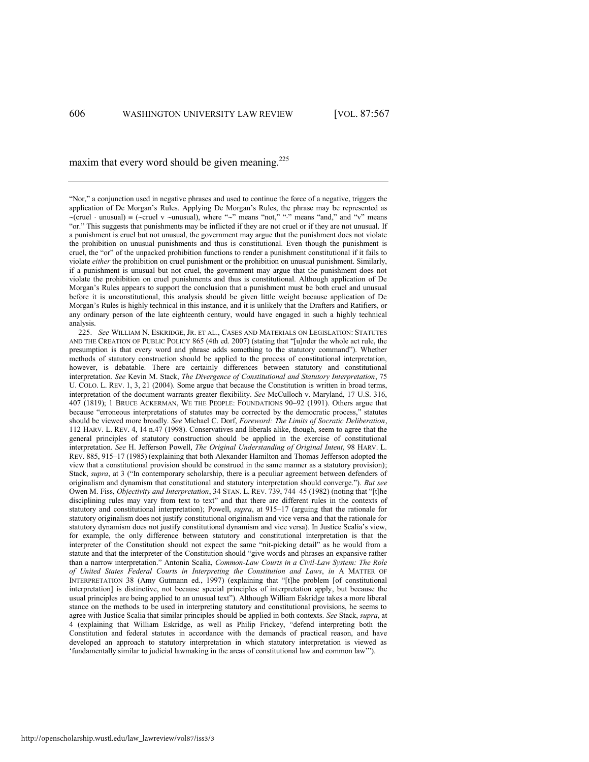<span id="page-40-0"></span>maxim that every word should be given meaning. $225$ 

―Nor,‖ a conjunction used in negative phrases and used to continue the force of a negative, triggers the application of De Morgan's Rules. Applying De Morgan's Rules, the phrase may be represented as  $-(\text{cruel} \cdot \text{unusual}) = (\text{cruel v} \cdot \text{unusual})$ , where " $\sim$ " means "not," "." means "and," and "v" means "or." This suggests that punishments may be inflicted if they are not cruel or if they are not unusual. If a punishment is cruel but not unusual, the government may argue that the punishment does not violate the prohibition on unusual punishments and thus is constitutional. Even though the punishment is cruel, the "or" of the unpacked prohibition functions to render a punishment constitutional if it fails to violate *either* the prohibition on cruel punishment or the prohibition on unusual punishment. Similarly, if a punishment is unusual but not cruel, the government may argue that the punishment does not violate the prohibition on cruel punishments and thus is constitutional. Although application of De Morgan's Rules appears to support the conclusion that a punishment must be both cruel and unusual before it is unconstitutional, this analysis should be given little weight because application of De Morgan's Rules is highly technical in this instance, and it is unlikely that the Drafters and Ratifiers, or any ordinary person of the late eighteenth century, would have engaged in such a highly technical analysis.

225. *See* WILLIAM N. ESKRIDGE, JR. ET AL., CASES AND MATERIALS ON LEGISLATION: STATUTES AND THE CREATION OF PUBLIC POLICY 865 (4th ed. 2007) (stating that "[u]nder the whole act rule, the presumption is that every word and phrase adds something to the statutory command"). Whether methods of statutory construction should be applied to the process of constitutional interpretation, however, is debatable. There are certainly differences between statutory and constitutional interpretation. *See* Kevin M. Stack, *The Divergence of Constitutional and Statutory Interpretation*, 75 U. COLO. L. REV. 1, 3, 21 (2004). Some argue that because the Constitution is written in broad terms, interpretation of the document warrants greater flexibility. *See* McCulloch v. Maryland, 17 U.S. 316, 407 (1819); 1 BRUCE ACKERMAN, WE THE PEOPLE: FOUNDATIONS 90–92 (1991). Others argue that because "erroneous interpretations of statutes may be corrected by the democratic process," statutes should be viewed more broadly. *See* Michael C. Dorf, *Foreword: The Limits of Socratic Deliberation*, 112 HARV. L. REV. 4, 14 n.47 (1998). Conservatives and liberals alike, though, seem to agree that the general principles of statutory construction should be applied in the exercise of constitutional interpretation. *See* H. Jefferson Powell, *The Original Understanding of Original Intent*, 98 HARV. L. REV. 885, 915–17 (1985) (explaining that both Alexander Hamilton and Thomas Jefferson adopted the view that a constitutional provision should be construed in the same manner as a statutory provision); Stack, *supra*, at 3 ("In contemporary scholarship, there is a peculiar agreement between defenders of originalism and dynamism that constitutional and statutory interpretation should converge."). *But see* Owen M. Fiss, *Objectivity and Interpretation*, 34 STAN. L. REV. 739, 744-45 (1982) (noting that "[t]he disciplining rules may vary from text to text" and that there are different rules in the contexts of statutory and constitutional interpretation); Powell, *supra*, at 915–17 (arguing that the rationale for statutory originalism does not justify constitutional originalism and vice versa and that the rationale for statutory dynamism does not justify constitutional dynamism and vice versa). In Justice Scalia's view, for example, the only difference between statutory and constitutional interpretation is that the interpreter of the Constitution should not expect the same "nit-picking detail" as he would from a statute and that the interpreter of the Constitution should "give words and phrases an expansive rather than a narrow interpretation.‖ Antonin Scalia, *Common-Law Courts in a Civil-Law System: The Role of United States Federal Courts in Interpreting the Constitution and Laws*, *in* A MATTER OF INTERPRETATION 38 (Amy Gutmann ed., 1997) (explaining that "[t]he problem [of constitutional interpretation] is distinctive, not because special principles of interpretation apply, but because the usual principles are being applied to an unusual text"). Although William Eskridge takes a more liberal stance on the methods to be used in interpreting statutory and constitutional provisions, he seems to agree with Justice Scalia that similar principles should be applied in both contexts. *See* Stack, *supra*, at 4 (explaining that William Eskridge, as well as Philip Frickey, "defend interpreting both the Constitution and federal statutes in accordance with the demands of practical reason, and have developed an approach to statutory interpretation in which statutory interpretation is viewed as 'fundamentally similar to judicial lawmaking in the areas of constitutional law and common law'").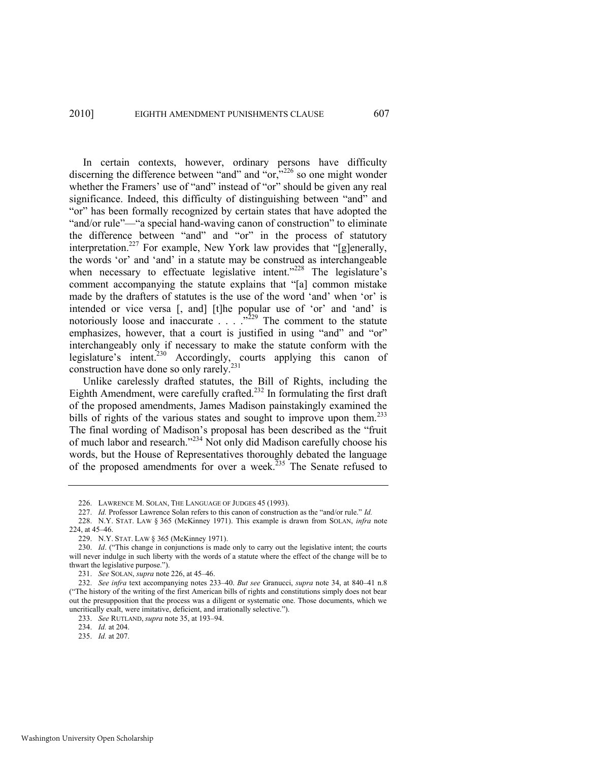<span id="page-41-0"></span>In certain contexts, however, ordinary persons have difficulty discerning the difference between "and" and  $\sim$  or,  $\sim$  226 so one might wonder whether the Framers' use of "and" instead of "or" should be given any real significance. Indeed, this difficulty of distinguishing between "and" and "or" has been formally recognized by certain states that have adopted the "and/or rule"—"a special hand-waving canon of construction" to eliminate the difference between "and" and "or" in the process of statutory interpretation.<sup>227</sup> For example, New York law provides that "[g]enerally, the words 'or' and 'and' in a statute may be construed as interchangeable when necessary to effectuate legislative intent." $228$  The legislature's comment accompanying the statute explains that "[a] common mistake made by the drafters of statutes is the use of the word 'and' when 'or' is intended or vice versa [, and] [t]he popular use of 'or' and 'and' is notoriously loose and inaccurate  $\ldots$   $\ldots$   $\ldots$   $\ldots$  The comment to the statute emphasizes, however, that a court is justified in using "and" and "or" interchangeably only if necessary to make the statute conform with the legislature's intent.<sup>230</sup> Accordingly, courts applying this canon of construction have done so only rarely.<sup>231</sup>

<span id="page-41-1"></span>Unlike carelessly drafted statutes, the Bill of Rights, including the Eighth Amendment, were carefully crafted.<sup>232</sup> In formulating the first draft of the proposed amendments, James Madison painstakingly examined the bills of rights of the various states and sought to improve upon them.<sup>233</sup> The final wording of Madison's proposal has been described as the "fruit of much labor and research."<sup>234</sup> Not only did Madison carefully choose his words, but the House of Representatives thoroughly debated the language of the proposed amendments for over a week.<sup>235</sup> The Senate refused to

<sup>226.</sup> LAWRENCE M. SOLAN, THE LANGUAGE OF JUDGES 45 (1993).

<sup>227.</sup> *Id.* Professor Lawrence Solan refers to this canon of construction as the "and/or rule." Id.

<sup>228.</sup> N.Y. STAT. LAW § 365 (McKinney 1971). This example is drawn from SOLAN, *infra* note [224,](#page-39-1) at 45–46.

<sup>229.</sup> N.Y. STAT. LAW § 365 (McKinney 1971).

<sup>230.</sup> *Id.* ("This change in conjunctions is made only to carry out the legislative intent; the courts will never indulge in such liberty with the words of a statute where the effect of the change will be to thwart the legislative purpose.").

<sup>231.</sup> *See* SOLAN, *supra* not[e 226,](#page-41-0) at 45–46.

<sup>232.</sup> *See infra* text accompanying notes [233](#page-41-1)–40. *But see* Granucci, *supra* not[e 34,](#page-8-0) at 840–41 n.8 (―The history of the writing of the first American bills of rights and constitutions simply does not bear out the presupposition that the process was a diligent or systematic one. Those documents, which we uncritically exalt, were imitative, deficient, and irrationally selective.").

<sup>233.</sup> *See* RUTLAND, *supra* not[e 35,](#page-8-1) at 193–94.

<sup>234.</sup> *Id.* at 204.

<sup>235.</sup> *Id.* at 207.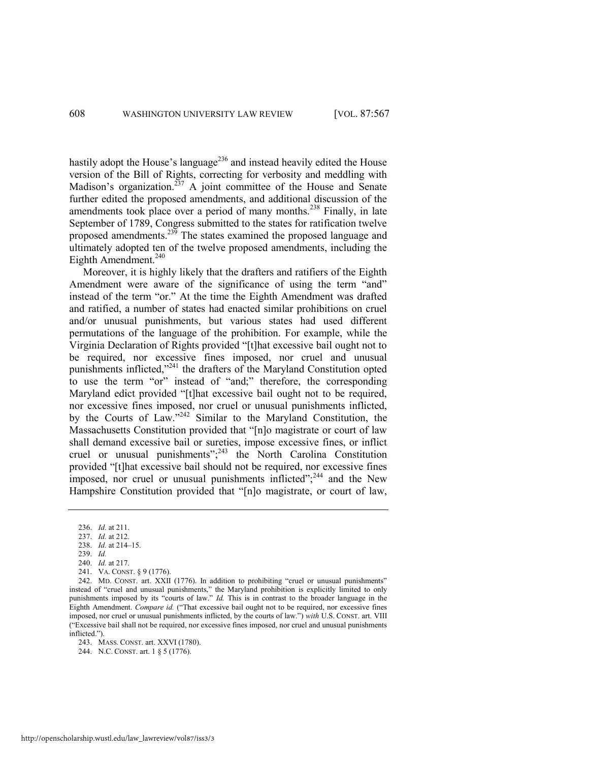hastily adopt the House's language<sup>236</sup> and instead heavily edited the House version of the Bill of Rights, correcting for verbosity and meddling with Madison's organization.<sup>237</sup> A joint committee of the House and Senate further edited the proposed amendments, and additional discussion of the amendments took place over a period of many months.<sup>238</sup> Finally, in late September of 1789, Congress submitted to the states for ratification twelve proposed amendments.<sup>239</sup> The states examined the proposed language and ultimately adopted ten of the twelve proposed amendments, including the Eighth Amendment.<sup>240</sup>

Moreover, it is highly likely that the drafters and ratifiers of the Eighth Amendment were aware of the significance of using the term "and" instead of the term "or." At the time the Eighth Amendment was drafted and ratified, a number of states had enacted similar prohibitions on cruel and/or unusual punishments, but various states had used different permutations of the language of the prohibition. For example, while the Virginia Declaration of Rights provided "[t]hat excessive bail ought not to be required, nor excessive fines imposed, nor cruel and unusual punishments inflicted,"<sup>241</sup> the drafters of the Maryland Constitution opted to use the term "or" instead of "and;" therefore, the corresponding Maryland edict provided "[t]hat excessive bail ought not to be required, nor excessive fines imposed, nor cruel or unusual punishments inflicted, by the Courts of Law." $242$  Similar to the Maryland Constitution, the Massachusetts Constitution provided that "[n]o magistrate or court of law shall demand excessive bail or sureties, impose excessive fines, or inflict cruel or unusual punishments"; $^{243}$  the North Carolina Constitution provided "[t]hat excessive bail should not be required, nor excessive fines imposed, nor cruel or unusual punishments inflicted"; $^{244}$  and the New Hampshire Constitution provided that "[n]o magistrate, or court of law,

<sup>236.</sup> *Id.* at 211.

<sup>237.</sup> *Id.* at 212.

<sup>238.</sup> *Id.* at 214–15.

<sup>239.</sup> *Id.*

<sup>240.</sup> *Id.* at 217.

<sup>241.</sup> VA. CONST. § 9 (1776).

<sup>242.</sup> MD. CONST. art. XXII (1776). In addition to prohibiting "cruel or unusual punishments" instead of "cruel and unusual punishments," the Maryland prohibition is explicitly limited to only punishments imposed by its "courts of law." *Id*. This is in contrast to the broader language in the Eighth Amendment. *Compare id.* ("That excessive bail ought not to be required, nor excessive fines imposed, nor cruel or unusual punishments inflicted, by the courts of law.‖) *with* U.S. CONST. art. VIII (―Excessive bail shall not be required, nor excessive fines imposed, nor cruel and unusual punishments inflicted."

<sup>243.</sup> MASS. CONST. art. XXVI (1780).

<sup>244.</sup> N.C. CONST. art. 1 § 5 (1776).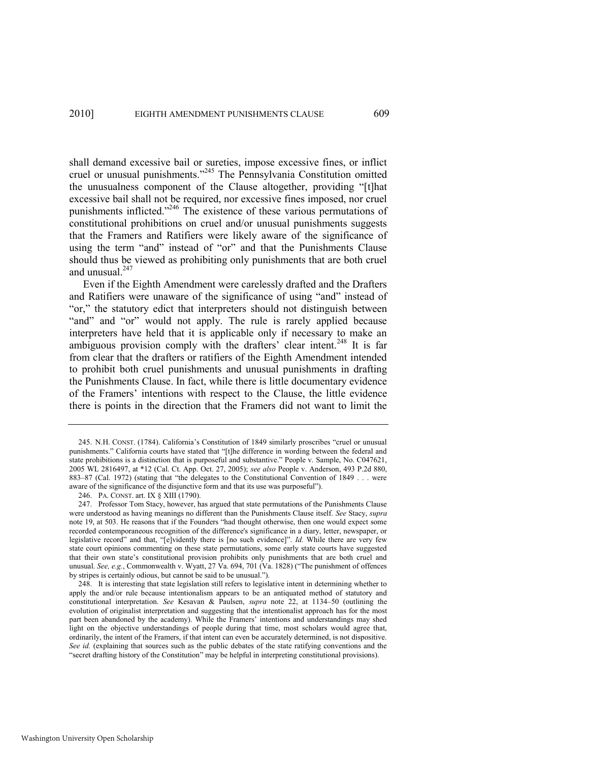shall demand excessive bail or sureties, impose excessive fines, or inflict cruel or unusual punishments."<sup>245</sup> The Pennsylvania Constitution omitted the unusualness component of the Clause altogether, providing "[t]hat excessive bail shall not be required, nor excessive fines imposed, nor cruel punishments inflicted."<sup>246</sup> The existence of these various permutations of constitutional prohibitions on cruel and/or unusual punishments suggests that the Framers and Ratifiers were likely aware of the significance of using the term "and" instead of "or" and that the Punishments Clause should thus be viewed as prohibiting only punishments that are both cruel and unusual<sup>247</sup>

Even if the Eighth Amendment were carelessly drafted and the Drafters and Ratifiers were unaware of the significance of using "and" instead of "or," the statutory edict that interpreters should not distinguish between "and" and "or" would not apply. The rule is rarely applied because interpreters have held that it is applicable only if necessary to make an ambiguous provision comply with the drafters' clear intent.<sup>248</sup> It is far from clear that the drafters or ratifiers of the Eighth Amendment intended to prohibit both cruel punishments and unusual punishments in drafting the Punishments Clause. In fact, while there is little documentary evidence of the Framers' intentions with respect to the Clause, the little evidence there is points in the direction that the Framers did not want to limit the

<sup>245.</sup> N.H. CONST. (1784). California's Constitution of 1849 similarly proscribes "cruel or unusual punishments." California courts have stated that "[t]he difference in wording between the federal and state prohibitions is a distinction that is purposeful and substantive." People v. Sample, No. C047621, 2005 WL 2816497, at \*12 (Cal. Ct. App. Oct. 27, 2005); *see also* People v. Anderson, 493 P.2d 880, 883–87 (Cal. 1972) (stating that "the delegates to the Constitutional Convention of 1849 . . . were aware of the significance of the disjunctive form and that its use was purposeful").

<sup>246.</sup> PA. CONST. art. IX § XIII (1790).

<sup>247.</sup> Professor Tom Stacy, however, has argued that state permutations of the Punishments Clause were understood as having meanings no different than the Punishments Clause itself. *See* Stacy, *supra*  note [19,](#page-5-0) at 503. He reasons that if the Founders "had thought otherwise, then one would expect some recorded contemporaneous recognition of the difference's significance in a diary, letter, newspaper, or legislative record" and that, "[e]vidently there is [no such evidence]". *Id.* While there are very few state court opinions commenting on these state permutations, some early state courts have suggested that their own state's constitutional provision prohibits only punishments that are both cruel and unusual. *See, e.g.*, Commonwealth v. Wyatt, 27 Va. 694, 701 (Va. 1828) ("The punishment of offences by stripes is certainly odious, but cannot be said to be unusual.").

<sup>248.</sup> It is interesting that state legislation still refers to legislative intent in determining whether to apply the and/or rule because intentionalism appears to be an antiquated method of statutory and constitutional interpretation. *See* Kesavan & Paulsen, *supra* note [22,](#page-6-0) at 1134–50 (outlining the evolution of originalist interpretation and suggesting that the intentionalist approach has for the most part been abandoned by the academy). While the Framers' intentions and understandings may shed light on the objective understandings of people during that time, most scholars would agree that, ordinarily, the intent of the Framers, if that intent can even be accurately determined, is not dispositive. *See id.* (explaining that sources such as the public debates of the state ratifying conventions and the ―secret drafting history of the Constitution‖ may be helpful in interpreting constitutional provisions).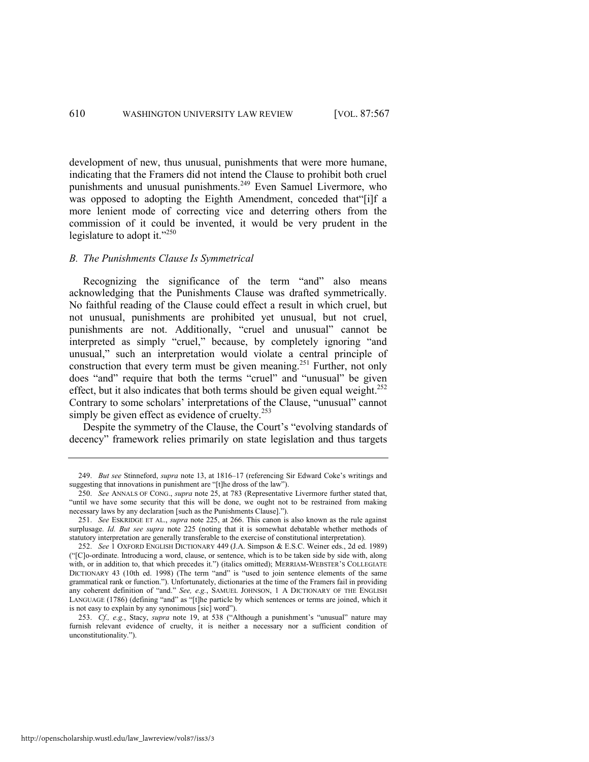development of new, thus unusual, punishments that were more humane, indicating that the Framers did not intend the Clause to prohibit both cruel punishments and unusual punishments.<sup>249</sup> Even Samuel Livermore, who was opposed to adopting the Eighth Amendment, conceded that '[i]f a more lenient mode of correcting vice and deterring others from the commission of it could be invented, it would be very prudent in the legislature to adopt it." $250$ 

#### *B. The Punishments Clause Is Symmetrical*

Recognizing the significance of the term "and" also means acknowledging that the Punishments Clause was drafted symmetrically. No faithful reading of the Clause could effect a result in which cruel, but not unusual, punishments are prohibited yet unusual, but not cruel, punishments are not. Additionally, "cruel and unusual" cannot be interpreted as simply "cruel," because, by completely ignoring "and unusual," such an interpretation would violate a central principle of construction that every term must be given meaning.<sup>251</sup> Further, not only does "and" require that both the terms "cruel" and "unusual" be given effect, but it also indicates that both terms should be given equal weight.<sup>252</sup> Contrary to some scholars' interpretations of the Clause, "unusual" cannot simply be given effect as evidence of cruelty. $253$ 

Despite the symmetry of the Clause, the Court's "evolving standards of decency" framework relies primarily on state legislation and thus targets

<sup>249.</sup> *But see* Stinneford, *supra* note [13,](#page-3-0) at 1816–17 (referencing Sir Edward Coke's writings and suggesting that innovations in punishment are "[t]he dross of the law").

<sup>250.</sup> *See* ANNALS OF CONG., *supra* note [25,](#page-7-0) at 783 (Representative Livermore further stated that, "until we have some security that this will be done, we ought not to be restrained from making necessary laws by any declaration [such as the Punishments Clause].").

<sup>251.</sup> *See* ESKRIDGE ET AL., *supra* note [225,](#page-40-0) at 266. This canon is also known as the rule against surplusage. *Id. But see supra* note [225](#page-40-0) (noting that it is somewhat debatable whether methods of statutory interpretation are generally transferable to the exercise of constitutional interpretation).

<sup>252.</sup> *See* 1 OXFORD ENGLISH DICTIONARY 449 (J.A. Simpson & E.S.C. Weiner eds., 2d ed. 1989) (―[C]o-ordinate. Introducing a word, clause, or sentence, which is to be taken side by side with, along with, or in addition to, that which precedes it.") (italics omitted); MERRIAM-WEBSTER'S COLLEGIATE DICTIONARY 43 (10th ed. 1998) (The term "and" is "used to join sentence elements of the same grammatical rank or function."). Unfortunately, dictionaries at the time of the Framers fail in providing any coherent definition of "and." See, e.g., SAMUEL JOHNSON, 1 A DICTIONARY OF THE ENGLISH LANGUAGE (1786) (defining "and" as "[t]he particle by which sentences or terms are joined, which it is not easy to explain by any synonimous [sic] word").

<sup>253.</sup> *Cf., e.g.*, Stacy, *supra* note [19,](#page-5-0) at 538 ("Although a punishment's "unusual" nature may furnish relevant evidence of cruelty, it is neither a necessary nor a sufficient condition of unconstitutionality.").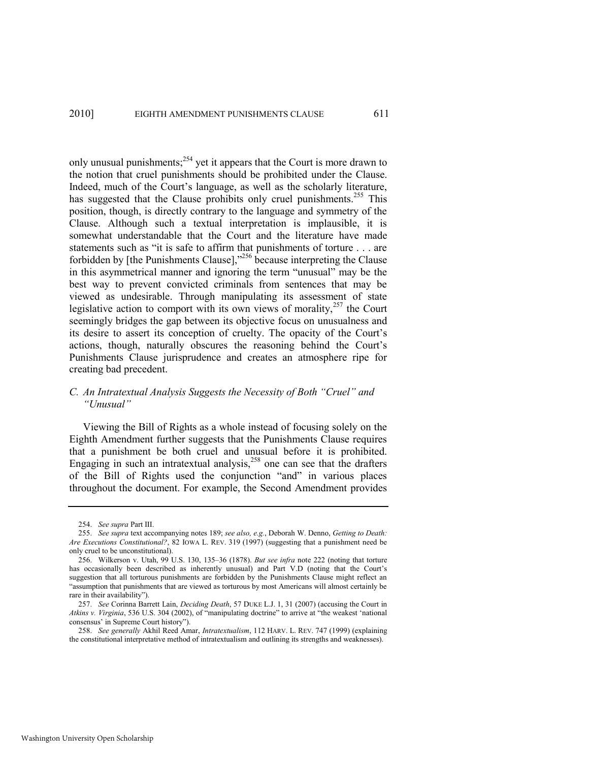only unusual punishments; $254$  yet it appears that the Court is more drawn to the notion that cruel punishments should be prohibited under the Clause. Indeed, much of the Court's language, as well as the scholarly literature, has suggested that the Clause prohibits only cruel punishments.<sup>255</sup> This position, though, is directly contrary to the language and symmetry of the Clause. Although such a textual interpretation is implausible, it is somewhat understandable that the Court and the literature have made statements such as "it is safe to affirm that punishments of torture . . . are forbidden by [the Punishments Clause], $256$  because interpreting the Clause in this asymmetrical manner and ignoring the term "unusual" may be the best way to prevent convicted criminals from sentences that may be viewed as undesirable. Through manipulating its assessment of state legislative action to comport with its own views of morality, $257$  the Court seemingly bridges the gap between its objective focus on unusualness and its desire to assert its conception of cruelty. The opacity of the Court's actions, though, naturally obscures the reasoning behind the Court's Punishments Clause jurisprudence and creates an atmosphere ripe for creating bad precedent.

# <span id="page-45-0"></span>*C. An Intratextual Analysis Suggests the Necessity of Both "Cruel" and "Unusual"*

Viewing the Bill of Rights as a whole instead of focusing solely on the Eighth Amendment further suggests that the Punishments Clause requires that a punishment be both cruel and unusual before it is prohibited. Engaging in such an intratextual analysis,<sup>258</sup> one can see that the drafters of the Bill of Rights used the conjunction "and" in various places throughout the document. For example, the Second Amendment provides

<sup>254.</sup> *See supra* Part III.

<sup>255.</sup> *See supra* text accompanying note[s 189;](#page-33-0) *see also, e.g.*, Deborah W. Denno, *Getting to Death: Are Executions Constitutional?*, 82 IOWA L. REV. 319 (1997) (suggesting that a punishment need be only cruel to be unconstitutional).

<sup>256.</sup> Wilkerson v. Utah, 99 U.S. 130, 135–36 (1878). *But see infra* note [222](#page-39-0) (noting that torture has occasionally been described as inherently unusual) and Part V.D (noting that the Court's suggestion that all torturous punishments are forbidden by the Punishments Clause might reflect an "assumption that punishments that are viewed as torturous by most Americans will almost certainly be rare in their availability").

<sup>257.</sup> *See* Corinna Barrett Lain, *Deciding Death*, 57 DUKE L.J. 1, 31 (2007) (accusing the Court in Atkins v. Virginia, 536 U.S. 304 (2002), of "manipulating doctrine" to arrive at "the weakest 'national consensus' in Supreme Court history").

<sup>258.</sup> *See generally* Akhil Reed Amar, *Intratextualism*, 112 HARV. L. REV. 747 (1999) (explaining the constitutional interpretative method of intratextualism and outlining its strengths and weaknesses).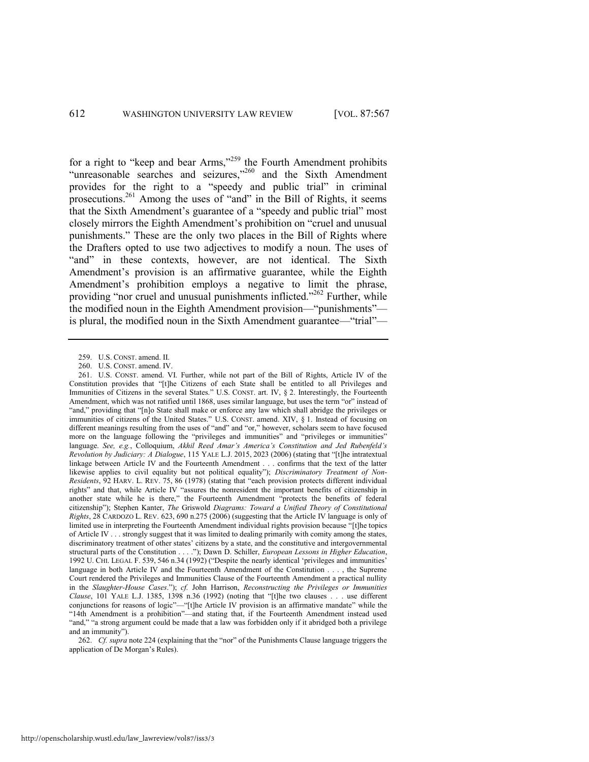for a right to "keep and bear Arms,"<sup>259</sup> the Fourth Amendment prohibits "unreasonable searches and seizures,"<sup>260</sup> and the Sixth Amendment provides for the right to a "speedy and public trial" in criminal prosecutions.<sup>261</sup> Among the uses of "and" in the Bill of Rights, it seems that the Sixth Amendment's guarantee of a "speedy and public trial" most closely mirrors the Eighth Amendment's prohibition on "cruel and unusual punishments.‖ These are the only two places in the Bill of Rights where the Drafters opted to use two adjectives to modify a noun. The uses of "and" in these contexts, however, are not identical. The Sixth Amendment's provision is an affirmative guarantee, while the Eighth Amendment's prohibition employs a negative to limit the phrase, providing "nor cruel and unusual punishments inflicted." $^{262}$  Further, while the modified noun in the Eighth Amendment provision—"punishments" is plural, the modified noun in the Sixth Amendment guarantee—"trial"—

<sup>259.</sup> U.S. CONST. amend. II.

<sup>260.</sup> U.S. CONST. amend. IV.

<sup>261.</sup> U.S. CONST. amend. VI. Further, while not part of the Bill of Rights, Article IV of the Constitution provides that "[t]he Citizens of each State shall be entitled to all Privileges and Immunities of Citizens in the several States." U.S. CONST. art. IV, § 2. Interestingly, the Fourteenth Amendment, which was not ratified until 1868, uses similar language, but uses the term "or" instead of "and," providing that "[n]o State shall make or enforce any law which shall abridge the privileges or immunities of citizens of the United States." U.S. CONST. amend. XIV, § 1. Instead of focusing on different meanings resulting from the uses of "and" and "or," however, scholars seem to have focused more on the language following the "privileges and immunities" and "privileges or immunities" language. *See, e.g.*, Colloquium, *Akhil Reed Amar's America's Constitution and Jed Rubenfeld's Revolution by Judiciary: A Dialogue*, 115 YALE L.J. 2015, 2023 (2006) (stating that "[t]he intratextual linkage between Article IV and the Fourteenth Amendment . . . confirms that the text of the latter likewise applies to civil equality but not political equality"); *Discriminatory Treatment of Non-Residents*, 92 HARV. L. REV. 75, 86 (1978) (stating that "each provision protects different individual rights" and that, while Article IV "assures the nonresident the important benefits of citizenship in another state while he is there," the Fourteenth Amendment "protects the benefits of federal citizenship‖); Stephen Kanter, *The* Griswold *Diagrams: Toward a Unified Theory of Constitutional Rights*, 28 CARDOZO L. REV. 623, 690 n.275 (2006) (suggesting that the Article IV language is only of limited use in interpreting the Fourteenth Amendment individual rights provision because "[t]he topics of Article IV . . . strongly suggest that it was limited to dealing primarily with comity among the states, discriminatory treatment of other states' citizens by a state, and the constitutive and intergovernmental structural parts of the Constitution . . . ."); Dawn D. Schiller, *European Lessons in Higher Education*, 1992 U. CHI. LEGAL F. 539, 546 n.34 (1992) ("Despite the nearly identical 'privileges and immunities' language in both Article IV and the Fourteenth Amendment of the Constitution . . . , the Supreme Court rendered the Privileges and Immunities Clause of the Fourteenth Amendment a practical nullity in the *Slaughter-House Cases*.‖); *cf.* John Harrison, *Reconstructing the Privileges or Immunities Clause*, 101 YALE L.J. 1385, 1398 n.36 (1992) (noting that "[t]he two clauses . . . use different conjunctions for reasons of logic"—"[t]he Article IV provision is an affirmative mandate" while the ―14th Amendment is a prohibition‖—and stating that, if the Fourteenth Amendment instead used "and," "a strong argument could be made that a law was forbidden only if it abridged both a privilege and an immunity").

<sup>262.</sup> *Cf. supra* not[e 224](#page-39-1) (explaining that the "nor" of the Punishments Clause language triggers the application of De Morgan's Rules).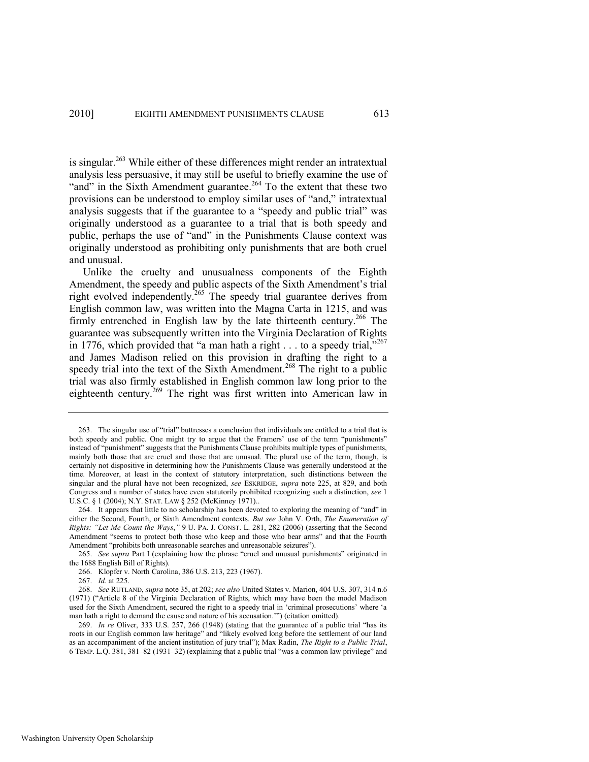is singular.<sup>263</sup> While either of these differences might render an intratextual analysis less persuasive, it may still be useful to briefly examine the use of "and" in the Sixth Amendment guarantee.<sup>264</sup> To the extent that these two provisions can be understood to employ similar uses of "and," intratextual analysis suggests that if the guarantee to a "speedy and public trial" was originally understood as a guarantee to a trial that is both speedy and public, perhaps the use of "and" in the Punishments Clause context was originally understood as prohibiting only punishments that are both cruel and unusual.

Unlike the cruelty and unusualness components of the Eighth Amendment, the speedy and public aspects of the Sixth Amendment's trial right evolved independently.<sup>265</sup> The speedy trial guarantee derives from English common law, was written into the Magna Carta in 1215, and was firmly entrenched in English law by the late thirteenth century.<sup>266</sup> The guarantee was subsequently written into the Virginia Declaration of Rights in 1776, which provided that "a man hath a right  $\dots$  to a speedy trial,"<sup>267</sup> and James Madison relied on this provision in drafting the right to a speedy trial into the text of the Sixth Amendment.<sup>268</sup> The right to a public trial was also firmly established in English common law long prior to the eighteenth century.<sup>269</sup> The right was first written into American law in

<sup>263.</sup> The singular use of "trial" buttresses a conclusion that individuals are entitled to a trial that is both speedy and public. One might try to argue that the Framers' use of the term "punishments" instead of "punishment" suggests that the Punishments Clause prohibits multiple types of punishments, mainly both those that are cruel and those that are unusual. The plural use of the term, though, is certainly not dispositive in determining how the Punishments Clause was generally understood at the time. Moreover, at least in the context of statutory interpretation, such distinctions between the singular and the plural have not been recognized, *see* ESKRIDGE, *supra* note [225,](#page-40-0) at 829, and both Congress and a number of states have even statutorily prohibited recognizing such a distinction, *see* 1 U.S.C. § 1 (2004); N.Y. STAT. LAW § 252 (McKinney 1971)..

<sup>264.</sup> It appears that little to no scholarship has been devoted to exploring the meaning of "and" in either the Second, Fourth, or Sixth Amendment contexts. *But see* John V. Orth, *The Enumeration of Rights: "Let Me Count the Ways*,*"* 9 U. PA. J. CONST. L. 281, 282 (2006) (asserting that the Second Amendment "seems to protect both those who keep and those who bear arms" and that the Fourth Amendment "prohibits both unreasonable searches and unreasonable seizures").

<sup>265.</sup> *See supra* Part I (explaining how the phrase "cruel and unusual punishments" originated in the 1688 English Bill of Rights).

<sup>266.</sup> Klopfer v. North Carolina, 386 U.S. 213, 223 (1967).

<sup>267.</sup> *Id.* at 225.

<sup>268.</sup> *See* RUTLAND, *supra* not[e 35,](#page-8-1) at 202; *see also* United States v. Marion, 404 U.S. 307, 314 n.6 (1971) ("Article 8 of the Virginia Declaration of Rights, which may have been the model Madison used for the Sixth Amendment, secured the right to a speedy trial in 'criminal prosecutions' where 'a man hath a right to demand the cause and nature of his accusation."") (citation omitted).

<sup>269.</sup> *In re* Oliver, 333 U.S. 257, 266 (1948) (stating that the guarantee of a public trial "has its roots in our English common law heritage" and "likely evolved long before the settlement of our land as an accompaniment of the ancient institution of jury trial"); Max Radin, *The Right to a Public Trial*, 6 TEMP. L.Q. 381, 381–82 (1931–32) (explaining that a public trial "was a common law privilege" and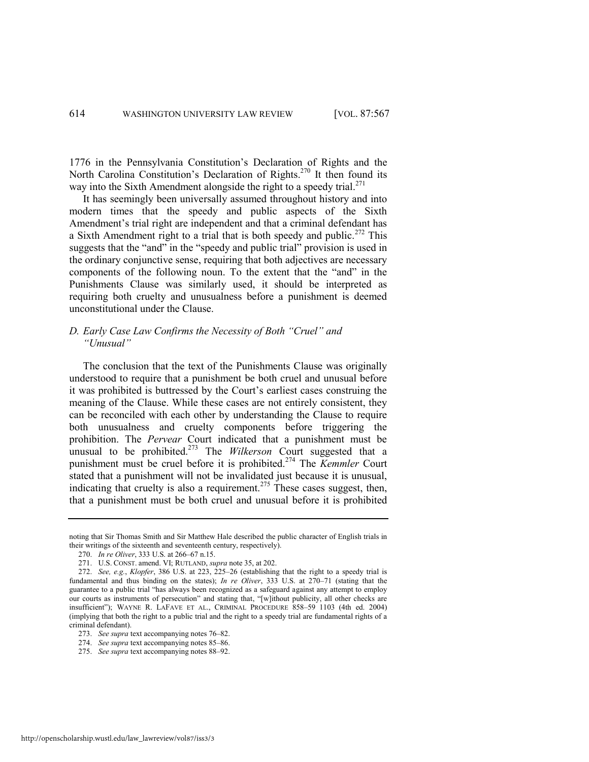1776 in the Pennsylvania Constitution's Declaration of Rights and the North Carolina Constitution's Declaration of Rights.<sup>270</sup> It then found its way into the Sixth Amendment alongside the right to a speedy trial. $^{271}$ 

It has seemingly been universally assumed throughout history and into modern times that the speedy and public aspects of the Sixth Amendment's trial right are independent and that a criminal defendant has a Sixth Amendment right to a trial that is both speedy and public.<sup>272</sup> This suggests that the "and" in the "speedy and public trial" provision is used in the ordinary conjunctive sense, requiring that both adjectives are necessary components of the following noun. To the extent that the "and" in the Punishments Clause was similarly used, it should be interpreted as requiring both cruelty and unusualness before a punishment is deemed unconstitutional under the Clause.

# *D. Early Case Law Confirms the Necessity of Both "Cruel" and "Unusual"*

The conclusion that the text of the Punishments Clause was originally understood to require that a punishment be both cruel and unusual before it was prohibited is buttressed by the Court's earliest cases construing the meaning of the Clause. While these cases are not entirely consistent, they can be reconciled with each other by understanding the Clause to require both unusualness and cruelty components before triggering the prohibition. The *Pervear* Court indicated that a punishment must be unusual to be prohibited.<sup>273</sup> The *Wilkerson* Court suggested that a punishment must be cruel before it is prohibited.<sup>274</sup> The *Kemmler* Court stated that a punishment will not be invalidated just because it is unusual, indicating that cruelty is also a requirement.<sup>275</sup> These cases suggest, then, that a punishment must be both cruel and unusual before it is prohibited

noting that Sir Thomas Smith and Sir Matthew Hale described the public character of English trials in their writings of the sixteenth and seventeenth century, respectively).

<sup>270.</sup> *In re Oliver*, 333 U.S. at 266–67 n.15.

<sup>271.</sup> U.S. CONST. amend. VI; RUTLAND, *supra* not[e 35,](#page-8-1) at 202.

<sup>272.</sup> *See, e.g.*, *Klopfer*, 386 U.S. at 223, 225–26 (establishing that the right to a speedy trial is fundamental and thus binding on the states); *In re Oliver*, 333 U.S. at 270–71 (stating that the guarantee to a public trial "has always been recognized as a safeguard against any attempt to employ our courts as instruments of persecution" and stating that, "[w]ithout publicity, all other checks are insufficient"); WAYNE R. LAFAVE ET AL., CRIMINAL PROCEDURE 858-59 1103 (4th ed. 2004) (implying that both the right to a public trial and the right to a speedy trial are fundamental rights of a criminal defendant).

<sup>273.</sup> *See supra* text accompanying note[s 76](#page-15-2)–[82.](#page-16-0)

<sup>274.</sup> *See supra* text accompanying note[s 85](#page-16-1)–[86.](#page-16-2)

<sup>275.</sup> *See supra* text accompanying note[s 88](#page-17-0)–[92.](#page-17-1)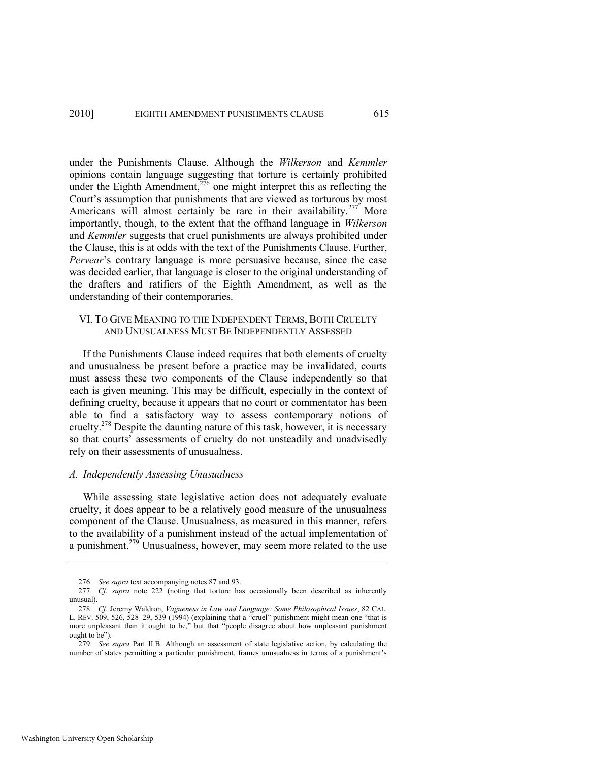under the Punishments Clause. Although the *Wilkerson* and *Kemmler*  opinions contain language suggesting that torture is certainly prohibited under the Eighth Amendment, $276$  one might interpret this as reflecting the Court's assumption that punishments that are viewed as torturous by most Americans will almost certainly be rare in their availability.<sup>277</sup> More importantly, though, to the extent that the offhand language in *Wilkerson*  and *Kemmler* suggests that cruel punishments are always prohibited under the Clause, this is at odds with the text of the Punishments Clause. Further, *Pervear*'s contrary language is more persuasive because, since the case was decided earlier, that language is closer to the original understanding of the drafters and ratifiers of the Eighth Amendment, as well as the understanding of their contemporaries.

# VI. TO GIVE MEANING TO THE INDEPENDENT TERMS, BOTH CRUELTY AND UNUSUALNESS MUST BE INDEPENDENTLY ASSESSED

If the Punishments Clause indeed requires that both elements of cruelty and unusualness be present before a practice may be invalidated, courts must assess these two components of the Clause independently so that each is given meaning. This may be difficult, especially in the context of defining cruelty, because it appears that no court or commentator has been able to find a satisfactory way to assess contemporary notions of cruelty.<sup>278</sup> Despite the daunting nature of this task, however, it is necessary so that courts' assessments of cruelty do not unsteadily and unadvisedly rely on their assessments of unusualness.

#### *A. Independently Assessing Unusualness*

While assessing state legislative action does not adequately evaluate cruelty, it does appear to be a relatively good measure of the unusualness component of the Clause. Unusualness, as measured in this manner, refers to the availability of a punishment instead of the actual implementation of a punishment.<sup>279</sup> Unusualness, however, may seem more related to the use

<sup>276.</sup> *See supra* text accompanying note[s 87](#page-16-3) an[d 93.](#page-17-2) 

<sup>277.</sup> *Cf. supra* note [222](#page-39-0) (noting that torture has occasionally been described as inherently unusual).

<sup>278.</sup> *Cf.* Jeremy Waldron, *Vagueness in Law and Language: Some Philosophical Issues*, 82 CAL. L. REV. 509, 526, 528–29, 539 (1994) (explaining that a "cruel" punishment might mean one "that is more unpleasant than it ought to be," but that "people disagree about how unpleasant punishment ought to be").

<sup>279.</sup> *See supra* Part II.B. Although an assessment of state legislative action, by calculating the number of states permitting a particular punishment, frames unusualness in terms of a punishment's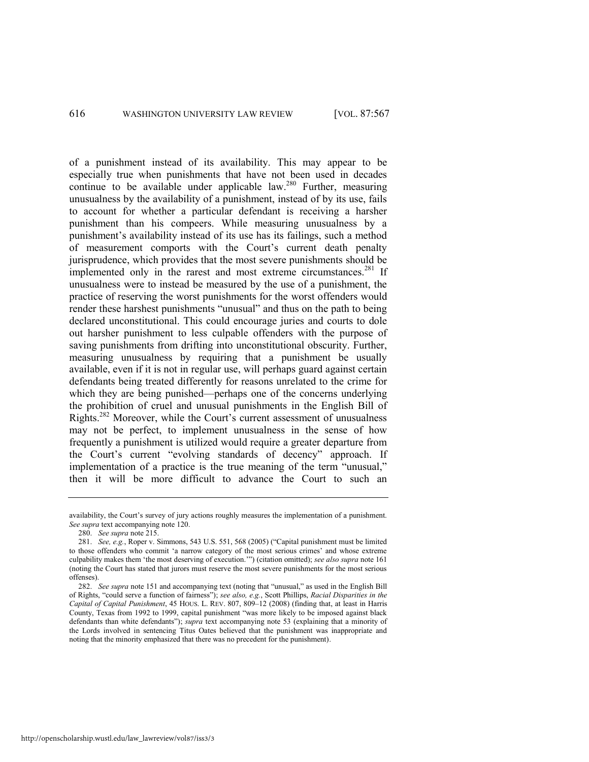of a punishment instead of its availability. This may appear to be especially true when punishments that have not been used in decades continue to be available under applicable law.<sup>280</sup> Further, measuring unusualness by the availability of a punishment, instead of by its use, fails to account for whether a particular defendant is receiving a harsher punishment than his compeers. While measuring unusualness by a punishment's availability instead of its use has its failings, such a method of measurement comports with the Court's current death penalty jurisprudence, which provides that the most severe punishments should be implemented only in the rarest and most extreme circumstances.<sup>281</sup> If unusualness were to instead be measured by the use of a punishment, the practice of reserving the worst punishments for the worst offenders would render these harshest punishments "unusual" and thus on the path to being declared unconstitutional. This could encourage juries and courts to dole out harsher punishment to less culpable offenders with the purpose of saving punishments from drifting into unconstitutional obscurity. Further, measuring unusualness by requiring that a punishment be usually available, even if it is not in regular use, will perhaps guard against certain defendants being treated differently for reasons unrelated to the crime for which they are being punished—perhaps one of the concerns underlying the prohibition of cruel and unusual punishments in the English Bill of Rights.<sup>282</sup> Moreover, while the Court's current assessment of unusualness may not be perfect, to implement unusualness in the sense of how frequently a punishment is utilized would require a greater departure from the Court's current "evolving standards of decency" approach. If implementation of a practice is the true meaning of the term "unusual," then it will be more difficult to advance the Court to such an

availability, the Court's survey of jury actions roughly measures the implementation of a punishment. *See supra* text accompanying note [120.](#page-23-2) 

<sup>280.</sup> *See supra* not[e 215.](#page-37-0)

<sup>281.</sup> *See, e.g.*, Roper v. Simmons, 543 U.S. 551, 568 (2005) ("Capital punishment must be limited to those offenders who commit 'a narrow category of the most serious crimes' and whose extreme culpability makes them 'the most deserving of execution.'") (citation omitted); see also supra not[e 161](#page-29-2) (noting the Court has stated that jurors must reserve the most severe punishments for the most serious offenses).

<sup>282.</sup> *See supra* note [151 a](#page-27-1)nd accompanying text (noting that "unusual," as used in the English Bill of Rights, "could serve a function of fairness"); *see also, e.g.*, Scott Phillips, *Racial Disparities in the Capital of Capital Punishment*, 45 HOUS. L. REV. 807, 809–12 (2008) (finding that, at least in Harris County, Texas from 1992 to 1999, capital punishment "was more likely to be imposed against black defendants than white defendants‖); *supra* text accompanying note [53](#page-11-2) (explaining that a minority of the Lords involved in sentencing Titus Oates believed that the punishment was inappropriate and noting that the minority emphasized that there was no precedent for the punishment).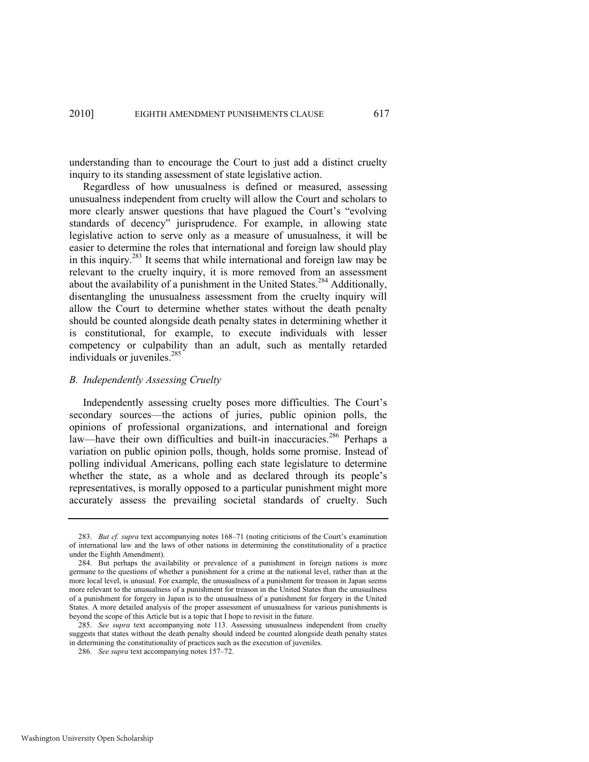understanding than to encourage the Court to just add a distinct cruelty inquiry to its standing assessment of state legislative action.

Regardless of how unusualness is defined or measured, assessing unusualness independent from cruelty will allow the Court and scholars to more clearly answer questions that have plagued the Court's "evolving" standards of decency" jurisprudence. For example, in allowing state legislative action to serve only as a measure of unusualness, it will be easier to determine the roles that international and foreign law should play in this inquiry.<sup>283</sup> It seems that while international and foreign law may be relevant to the cruelty inquiry, it is more removed from an assessment about the availability of a punishment in the United States.<sup>284</sup> Additionally, disentangling the unusualness assessment from the cruelty inquiry will allow the Court to determine whether states without the death penalty should be counted alongside death penalty states in determining whether it is constitutional, for example, to execute individuals with lesser competency or culpability than an adult, such as mentally retarded individuals or juveniles.<sup>285</sup>

#### *B. Independently Assessing Cruelty*

Independently assessing cruelty poses more difficulties. The Court's secondary sources—the actions of juries, public opinion polls, the opinions of professional organizations, and international and foreign law—have their own difficulties and built-in inaccuracies.<sup>286</sup> Perhaps a variation on public opinion polls, though, holds some promise. Instead of polling individual Americans, polling each state legislature to determine whether the state, as a whole and as declared through its people's representatives, is morally opposed to a particular punishment might more accurately assess the prevailing societal standards of cruelty. Such

<sup>283.</sup> *But cf. supra* text accompanying note[s 168](#page-30-0)–71 (noting criticisms of the Court's examination of international law and the laws of other nations in determining the constitutionality of a practice under the Eighth Amendment).

<sup>284.</sup> But perhaps the availability or prevalence of a punishment in foreign nations is more germane to the questions of whether a punishment for a crime at the national level, rather than at the more local level, is unusual. For example, the unusualness of a punishment for treason in Japan seems more relevant to the unusualness of a punishment for treason in the United States than the unusualness of a punishment for forgery in Japan is to the unusualness of a punishment for forgery in the United States. A more detailed analysis of the proper assessment of unusualness for various punishments is beyond the scope of this Article but is a topic that I hope to revisit in the future.

<sup>285.</sup> *See supra* text accompanying note [113.](#page-21-0) Assessing unusualness independent from cruelty suggests that states without the death penalty should indeed be counted alongside death penalty states in determining the constitutionality of practices such as the execution of juveniles.

<sup>286.</sup> *See supra* text accompanying note[s 157](#page-29-3)–72.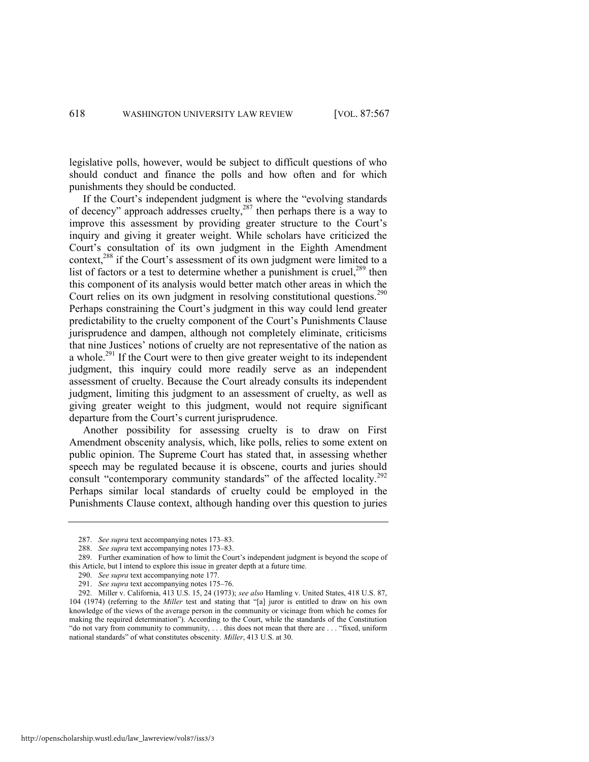legislative polls, however, would be subject to difficult questions of who should conduct and finance the polls and how often and for which punishments they should be conducted.

<span id="page-52-0"></span>If the Court's independent judgment is where the "evolving standards" of decency" approach addresses cruelty,<sup>287</sup> then perhaps there is a way to improve this assessment by providing greater structure to the Court's inquiry and giving it greater weight. While scholars have criticized the Court's consultation of its own judgment in the Eighth Amendment context,<sup>288</sup> if the Court's assessment of its own judgment were limited to a list of factors or a test to determine whether a punishment is cruel.<sup>289</sup> then this component of its analysis would better match other areas in which the Court relies on its own judgment in resolving constitutional questions.<sup>290</sup> Perhaps constraining the Court's judgment in this way could lend greater predictability to the cruelty component of the Court's Punishments Clause jurisprudence and dampen, although not completely eliminate, criticisms that nine Justices' notions of cruelty are not representative of the nation as a whole.<sup>291</sup> If the Court were to then give greater weight to its independent judgment, this inquiry could more readily serve as an independent assessment of cruelty. Because the Court already consults its independent judgment, limiting this judgment to an assessment of cruelty, as well as giving greater weight to this judgment, would not require significant departure from the Court's current jurisprudence.

Another possibility for assessing cruelty is to draw on First Amendment obscenity analysis, which, like polls, relies to some extent on public opinion. The Supreme Court has stated that, in assessing whether speech may be regulated because it is obscene, courts and juries should consult "contemporary community standards" of the affected locality.<sup>292</sup> Perhaps similar local standards of cruelty could be employed in the Punishments Clause context, although handing over this question to juries

<sup>287.</sup> *See supra* text accompanying note[s 173](#page-31-1)–83.

<sup>288.</sup> *See supra* text accompanying note[s 173](#page-31-1)–83.

<sup>289.</sup> Further examination of how to limit the Court's independent judgment is beyond the scope of this Article, but I intend to explore this issue in greater depth at a future time.

<sup>290.</sup> *See supra* text accompanying not[e 177.](#page-31-2)

<sup>291.</sup> *See supra* text accompanying note[s 175](#page-31-3)–76.

<sup>292.</sup> Miller v. California, 413 U.S. 15, 24 (1973); *see also* Hamling v. United States, 418 U.S. 87, 104 (1974) (referring to the *Miller* test and stating that "[a] juror is entitled to draw on his own knowledge of the views of the average person in the community or vicinage from which he comes for making the required determination"). According to the Court, while the standards of the Constitution "do not vary from community to community, . . . this does not mean that there are . . . "fixed, uniform national standards" of what constitutes obscenity. *Miller*, 413 U.S. at 30.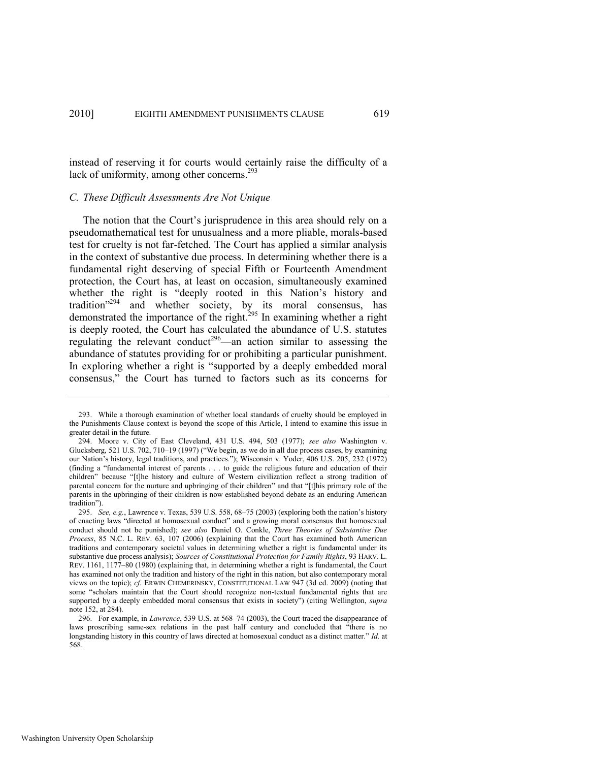instead of reserving it for courts would certainly raise the difficulty of a lack of uniformity, among other concerns.<sup>293</sup>

#### *C. These Difficult Assessments Are Not Unique*

The notion that the Court's jurisprudence in this area should rely on a pseudomathematical test for unusualness and a more pliable, morals-based test for cruelty is not far-fetched. The Court has applied a similar analysis in the context of substantive due process. In determining whether there is a fundamental right deserving of special Fifth or Fourteenth Amendment protection, the Court has, at least on occasion, simultaneously examined whether the right is "deeply rooted in this Nation's history and tradition"<sup>294</sup> and whether society, by its moral consensus, has demonstrated the importance of the right.<sup>295</sup> In examining whether a right is deeply rooted, the Court has calculated the abundance of U.S. statutes regulating the relevant conduct<sup>296</sup>—an action similar to assessing the abundance of statutes providing for or prohibiting a particular punishment. In exploring whether a right is "supported by a deeply embedded moral consensus,‖ the Court has turned to factors such as its concerns for

<sup>293.</sup> While a thorough examination of whether local standards of cruelty should be employed in the Punishments Clause context is beyond the scope of this Article, I intend to examine this issue in greater detail in the future.

<sup>294.</sup> Moore v. City of East Cleveland, 431 U.S. 494, 503 (1977); *see also* Washington v. Glucksberg,  $521$  U.S.  $702$ ,  $710-19$  (1997) (We begin, as we do in all due process cases, by examining our Nation's history, legal traditions, and practices."); Wisconsin v. Yoder, 406 U.S. 205, 232 (1972) (finding a "fundamental interest of parents . . . to guide the religious future and education of their children" because "[t]he history and culture of Western civilization reflect a strong tradition of parental concern for the nurture and upbringing of their children" and that "[t]his primary role of the parents in the upbringing of their children is now established beyond debate as an enduring American tradition").

<sup>295.</sup> *See, e.g.*, Lawrence v. Texas, 539 U.S. 558, 68–75 (2003) (exploring both the nation's history of enacting laws "directed at homosexual conduct" and a growing moral consensus that homosexual conduct should not be punished); *see also* Daniel O. Conkle, *Three Theories of Substantive Due Process*, 85 N.C. L. REV. 63, 107 (2006) (explaining that the Court has examined both American traditions and contemporary societal values in determining whether a right is fundamental under its substantive due process analysis); *Sources of Constitutional Protection for Family Rights*, 93 HARV. L. REV. 1161, 1177–80 (1980) (explaining that, in determining whether a right is fundamental, the Court has examined not only the tradition and history of the right in this nation, but also contemporary moral views on the topic); *cf.* ERWIN CHEMERINSKY, CONSTITUTIONAL LAW 947 (3d ed. 2009) (noting that some "scholars maintain that the Court should recognize non-textual fundamental rights that are supported by a deeply embedded moral consensus that exists in society") (citing Wellington, *supra* note [152,](#page-27-0) at 284).

<sup>296.</sup> For example, in *Lawrence*, 539 U.S. at 568–74 (2003), the Court traced the disappearance of laws proscribing same-sex relations in the past half century and concluded that "there is no longstanding history in this country of laws directed at homosexual conduct as a distinct matter." *Id.* at 568.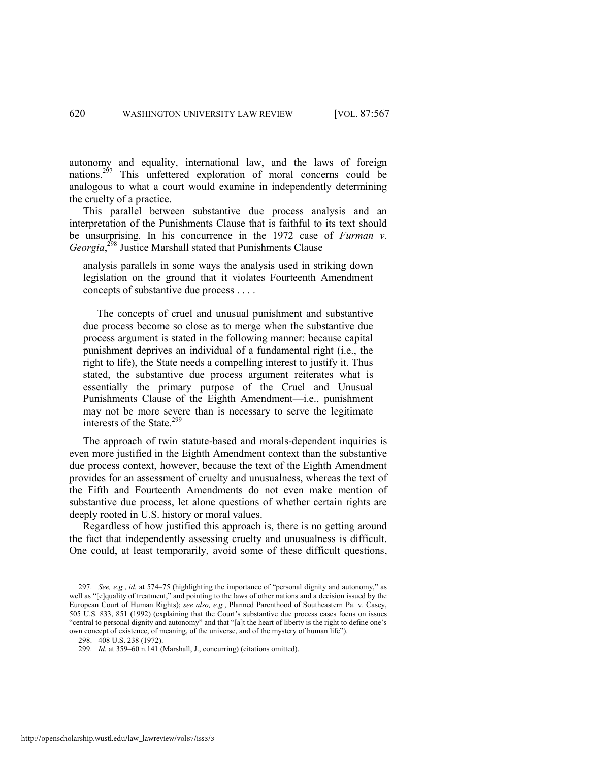autonomy and equality, international law, and the laws of foreign nations.<sup>297</sup> This unfettered exploration of moral concerns could be analogous to what a court would examine in independently determining the cruelty of a practice.

This parallel between substantive due process analysis and an interpretation of the Punishments Clause that is faithful to its text should be unsurprising. In his concurrence in the 1972 case of *Furman v. Georgia*, <sup>298</sup> Justice Marshall stated that Punishments Clause

analysis parallels in some ways the analysis used in striking down legislation on the ground that it violates Fourteenth Amendment concepts of substantive due process . . . .

 The concepts of cruel and unusual punishment and substantive due process become so close as to merge when the substantive due process argument is stated in the following manner: because capital punishment deprives an individual of a fundamental right (i.e., the right to life), the State needs a compelling interest to justify it. Thus stated, the substantive due process argument reiterates what is essentially the primary purpose of the Cruel and Unusual Punishments Clause of the Eighth Amendment—i.e., punishment may not be more severe than is necessary to serve the legitimate interests of the State.<sup>299</sup>

The approach of twin statute-based and morals-dependent inquiries is even more justified in the Eighth Amendment context than the substantive due process context, however, because the text of the Eighth Amendment provides for an assessment of cruelty and unusualness, whereas the text of the Fifth and Fourteenth Amendments do not even make mention of substantive due process, let alone questions of whether certain rights are deeply rooted in U.S. history or moral values.

Regardless of how justified this approach is, there is no getting around the fact that independently assessing cruelty and unusualness is difficult. One could, at least temporarily, avoid some of these difficult questions,

<sup>297.</sup> *See, e.g., id.* at 574–75 (highlighting the importance of "personal dignity and autonomy," as well as "[e]quality of treatment," and pointing to the laws of other nations and a decision issued by the European Court of Human Rights); *see also, e.g.*, Planned Parenthood of Southeastern Pa. v. Casey, 505 U.S. 833, 851 (1992) (explaining that the Court's substantive due process cases focus on issues "central to personal dignity and autonomy" and that "[a]t the heart of liberty is the right to define one's own concept of existence, of meaning, of the universe, and of the mystery of human life").

<sup>298. 408</sup> U.S. 238 (1972).

<sup>299.</sup> *Id.* at 359–60 n.141 (Marshall, J., concurring) (citations omitted).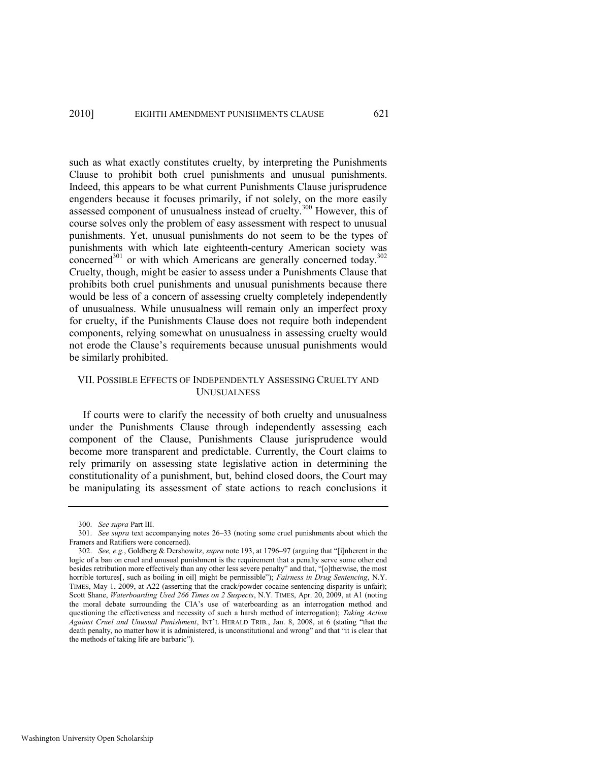such as what exactly constitutes cruelty, by interpreting the Punishments Clause to prohibit both cruel punishments and unusual punishments. Indeed, this appears to be what current Punishments Clause jurisprudence engenders because it focuses primarily, if not solely, on the more easily assessed component of unusualness instead of cruelty.<sup>300</sup> However, this of course solves only the problem of easy assessment with respect to unusual punishments. Yet, unusual punishments do not seem to be the types of punishments with which late eighteenth-century American society was concerned<sup>301</sup> or with which Americans are generally concerned today.<sup>302</sup> Cruelty, though, might be easier to assess under a Punishments Clause that prohibits both cruel punishments and unusual punishments because there would be less of a concern of assessing cruelty completely independently of unusualness. While unusualness will remain only an imperfect proxy for cruelty, if the Punishments Clause does not require both independent components, relying somewhat on unusualness in assessing cruelty would not erode the Clause's requirements because unusual punishments would be similarly prohibited.

# VII. POSSIBLE EFFECTS OF INDEPENDENTLY ASSESSING CRUELTY AND UNUSUALNESS

If courts were to clarify the necessity of both cruelty and unusualness under the Punishments Clause through independently assessing each component of the Clause, Punishments Clause jurisprudence would become more transparent and predictable. Currently, the Court claims to rely primarily on assessing state legislative action in determining the constitutionality of a punishment, but, behind closed doors, the Court may be manipulating its assessment of state actions to reach conclusions it

<sup>300.</sup> *See supra* Part III.

<sup>301.</sup> *See supra* text accompanying notes [26](#page-7-1)–[33](#page-8-3) (noting some cruel punishments about which the Framers and Ratifiers were concerned).

<sup>302.</sup> *See, e.g.*, Goldberg & Dershowitz, *supra* not[e 193,](#page-34-0) at 1796–97 (arguing that "[i]nherent in the logic of a ban on cruel and unusual punishment is the requirement that a penalty serve some other end besides retribution more effectively than any other less severe penalty" and that, "[o]therwise, the most horrible tortures[, such as boiling in oil] might be permissible"); *Fairness in Drug Sentencing*, N.Y. TIMES, May 1, 2009, at A22 (asserting that the crack/powder cocaine sentencing disparity is unfair); Scott Shane, *Waterboarding Used 266 Times on 2 Suspects*, N.Y. TIMES, Apr. 20, 2009, at A1 (noting the moral debate surrounding the CIA's use of waterboarding as an interrogation method and questioning the effectiveness and necessity of such a harsh method of interrogation); *Taking Action*  Against Cruel and Unusual Punishment, INT'L HERALD TRIB., Jan. 8, 2008, at 6 (stating "that the death penalty, no matter how it is administered, is unconstitutional and wrong" and that "it is clear that the methods of taking life are barbaric").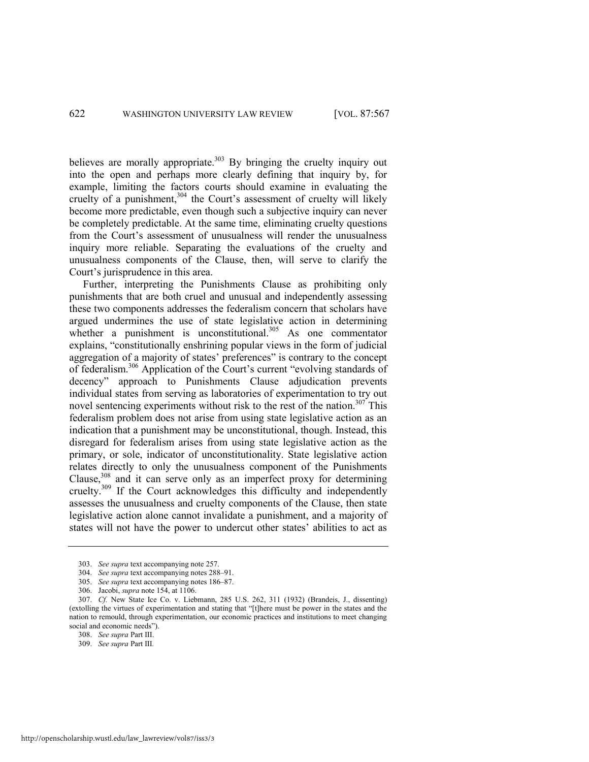believes are morally appropriate.<sup>303</sup> By bringing the cruelty inquiry out into the open and perhaps more clearly defining that inquiry by, for example, limiting the factors courts should examine in evaluating the cruelty of a punishment,  $304$  the Court's assessment of cruelty will likely become more predictable, even though such a subjective inquiry can never be completely predictable. At the same time, eliminating cruelty questions from the Court's assessment of unusualness will render the unusualness inquiry more reliable. Separating the evaluations of the cruelty and unusualness components of the Clause, then, will serve to clarify the Court's jurisprudence in this area.

<span id="page-56-0"></span>Further, interpreting the Punishments Clause as prohibiting only punishments that are both cruel and unusual and independently assessing these two components addresses the federalism concern that scholars have argued undermines the use of state legislative action in determining whether a punishment is unconstitutional. $305$  As one commentator explains, "constitutionally enshrining popular views in the form of judicial aggregation of a majority of states' preferences" is contrary to the concept of federalism.<sup>306</sup> Application of the Court's current "evolving standards of decency" approach to Punishments Clause adjudication prevents individual states from serving as laboratories of experimentation to try out novel sentencing experiments without risk to the rest of the nation.<sup>307</sup> This federalism problem does not arise from using state legislative action as an indication that a punishment may be unconstitutional, though. Instead, this disregard for federalism arises from using state legislative action as the primary, or sole, indicator of unconstitutionality. State legislative action relates directly to only the unusualness component of the Punishments Clause, $308$  and it can serve only as an imperfect proxy for determining cruelty.<sup>309</sup> If the Court acknowledges this difficulty and independently assesses the unusualness and cruelty components of the Clause, then state legislative action alone cannot invalidate a punishment, and a majority of states will not have the power to undercut other states' abilities to act as

<sup>303.</sup> *See supra* text accompanying not[e 257.](#page-45-0)

<sup>304.</sup> *See supra* text accompanying note[s 288](#page-52-0)–91.

<sup>305.</sup> *See supra* text accompanying note[s 186](#page-33-1)–87.

<sup>306.</sup> Jacobi, *supra* not[e 154,](#page-28-0) at 1106.

<sup>307.</sup> *Cf.* New State Ice Co. v. Liebmann, 285 U.S. 262, 311 (1932) (Brandeis, J., dissenting) (extolling the virtues of experimentation and stating that "[t]here must be power in the states and the nation to remould, through experimentation, our economic practices and institutions to meet changing social and economic needs").

<sup>308.</sup> *See supra* Part III.

<sup>309.</sup> *See supra* Part III*.*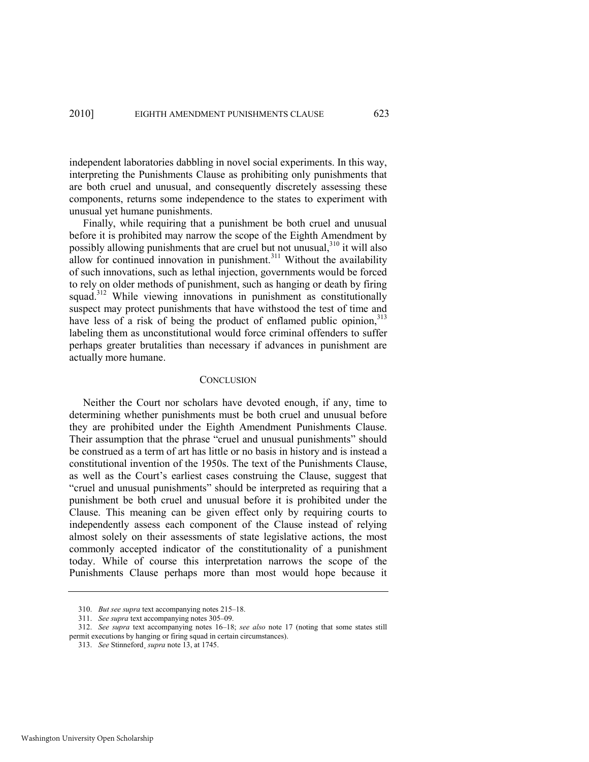independent laboratories dabbling in novel social experiments. In this way, interpreting the Punishments Clause as prohibiting only punishments that are both cruel and unusual, and consequently discretely assessing these components, returns some independence to the states to experiment with unusual yet humane punishments.

Finally, while requiring that a punishment be both cruel and unusual before it is prohibited may narrow the scope of the Eighth Amendment by possibly allowing punishments that are cruel but not unusual,  $310$  it will also allow for continued innovation in punishment.<sup>311</sup> Without the availability of such innovations, such as lethal injection, governments would be forced to rely on older methods of punishment, such as hanging or death by firing squad.<sup>312</sup> While viewing innovations in punishment as constitutionally suspect may protect punishments that have withstood the test of time and have less of a risk of being the product of enflamed public opinion, 313 labeling them as unconstitutional would force criminal offenders to suffer perhaps greater brutalities than necessary if advances in punishment are actually more humane.

#### **CONCLUSION**

Neither the Court nor scholars have devoted enough, if any, time to determining whether punishments must be both cruel and unusual before they are prohibited under the Eighth Amendment Punishments Clause. Their assumption that the phrase "cruel and unusual punishments" should be construed as a term of art has little or no basis in history and is instead a constitutional invention of the 1950s. The text of the Punishments Clause, as well as the Court's earliest cases construing the Clause, suggest that "cruel and unusual punishments" should be interpreted as requiring that a punishment be both cruel and unusual before it is prohibited under the Clause. This meaning can be given effect only by requiring courts to independently assess each component of the Clause instead of relying almost solely on their assessments of state legislative actions, the most commonly accepted indicator of the constitutionality of a punishment today. While of course this interpretation narrows the scope of the Punishments Clause perhaps more than most would hope because it

<sup>310.</sup> *But see supra* text accompanying note[s 215](#page-37-0)–18.

<sup>311.</sup> *See supra* text accompanying note[s 305](#page-56-0)–09.

<sup>312.</sup> *See supra* text accompanying notes [16](#page-5-1)–[18;](#page-5-2) *see also* note [17](#page-5-3) (noting that some states still permit executions by hanging or firing squad in certain circumstances).

<sup>313.</sup> *See* Stinneford¸ *supra* note [13,](#page-3-0) at 1745.